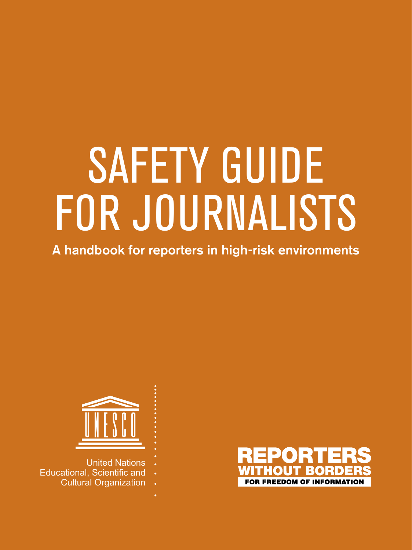## SAFETY GUIDE FOR JOURNALISTS

A handbook for reporters in high-risk environments



- United Nations
- Educational, Scientific and
	- Cultural Organization

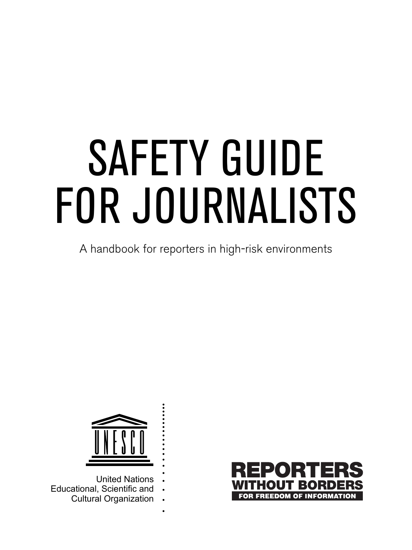# SAFETY GUIDE FOR JOURNALISTS

A handbook for reporters in high-risk environments



- United Nations Educational, Scientific and
	- Cultural Organization

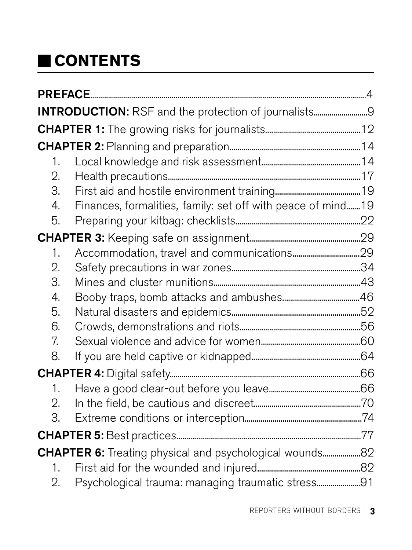## <span id="page-2-0"></span> **CONTENTS**

| INTRODUCTION: RSF and the protection of journalists9 |                                                              |  |  |
|------------------------------------------------------|--------------------------------------------------------------|--|--|
|                                                      |                                                              |  |  |
|                                                      |                                                              |  |  |
| 1.                                                   |                                                              |  |  |
| 2.                                                   |                                                              |  |  |
| З.                                                   |                                                              |  |  |
| 4.                                                   | Finances, formalities, family: set off with peace of mind 19 |  |  |
| 5.                                                   |                                                              |  |  |
|                                                      |                                                              |  |  |
| 1.                                                   |                                                              |  |  |
| $\mathfrak{D}$ .                                     |                                                              |  |  |
| З.                                                   |                                                              |  |  |
| 4.                                                   |                                                              |  |  |
| 5.                                                   |                                                              |  |  |
| 6.                                                   |                                                              |  |  |
| 7.                                                   |                                                              |  |  |
| 8.                                                   |                                                              |  |  |
|                                                      |                                                              |  |  |
| 1.                                                   |                                                              |  |  |
| 2.                                                   |                                                              |  |  |
| З.                                                   |                                                              |  |  |
|                                                      |                                                              |  |  |
|                                                      |                                                              |  |  |
| 1.                                                   |                                                              |  |  |
| 2.                                                   | Psychological trauma: managing traumatic stress91            |  |  |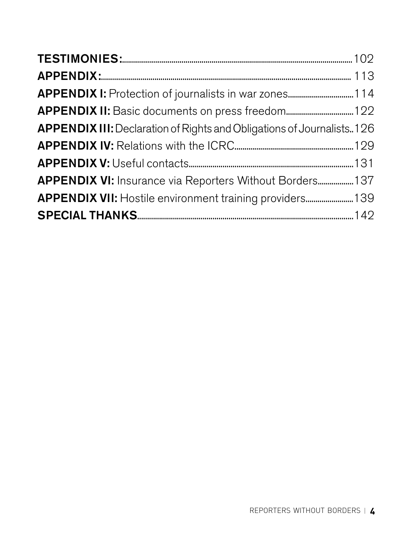<span id="page-3-0"></span>

| APPENDIX III: Declaration of Rights and Obligations of Journalists126 |  |
|-----------------------------------------------------------------------|--|
|                                                                       |  |
|                                                                       |  |
| APPENDIX VI: Insurance via Reporters Without Borders 137              |  |
| APPENDIX VII: Hostile environment training providers 139              |  |
|                                                                       |  |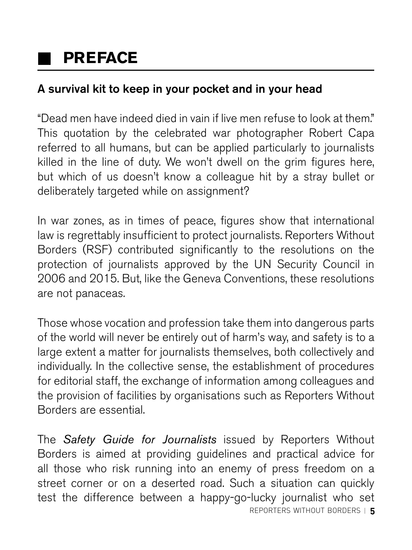## **PREFACE**

#### A survival kit to keep in your pocket and in your head

"Dead men have indeed died in vain if live men refuse to look at them." This quotation by the celebrated war photographer Robert Capa referred to all humans, but can be applied particularly to journalists killed in the line of duty. We won't dwell on the grim figures here, but which of us doesn't know a colleague hit by a stray bullet or deliberately targeted while on assignment?

In war zones, as in times of peace, figures show that international law is regrettably insufficient to protect journalists. Reporters Without Borders (RSF) contributed significantly to the resolutions on the protection of journalists approved by the UN Security Council in 2006 and 2015. But, like the Geneva Conventions, these resolutions are not panaceas.

Those whose vocation and profession take them into dangerous parts of the world will never be entirely out of harm's way, and safety is to a large extent a matter for journalists themselves, both collectively and individually. In the collective sense, the establishment of procedures for editorial staff, the exchange of information among colleagues and the provision of facilities by organisations such as Reporters Without Borders are essential.

reporters without borders **5** reporters without borders **5** The *Safety Guide for Journalists* issued by Reporters Without Borders is aimed at providing guidelines and practical advice for all those who risk running into an enemy of press freedom on a street corner or on a deserted road. Such a situation can quickly test the difference between a happy-go-lucky journalist who set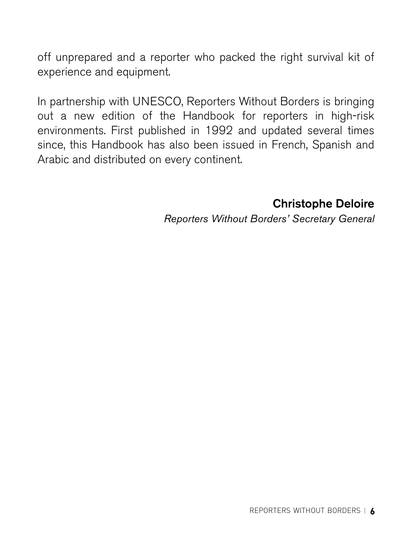off unprepared and a reporter who packed the right survival kit of experience and equipment.

In partnership with UNESCO, Reporters Without Borders is bringing out a new edition of the Handbook for reporters in high-risk environments. First published in 1992 and updated several times since, this Handbook has also been issued in French, Spanish and Arabic and distributed on every continent.

Christophe Deloire

*Reporters Without Borders' Secretary General*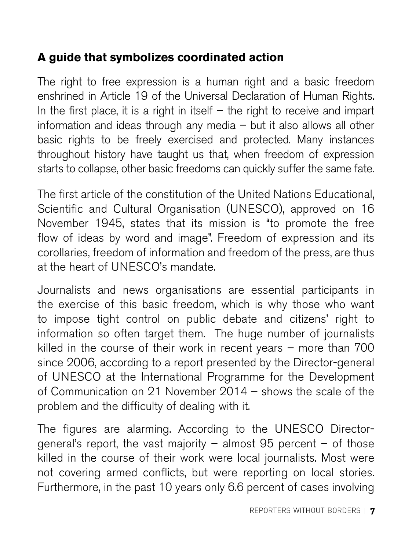#### **A guide that symbolizes coordinated action**

The right to free expression is a human right and a basic freedom enshrined in Article 19 of the Universal Declaration of Human Rights. In the first place, it is a right in itself  $-$  the right to receive and impart information and ideas through any media – but it also allows all other basic rights to be freely exercised and protected. Many instances throughout history have taught us that, when freedom of expression starts to collapse, other basic freedoms can quickly suffer the same fate.

The first article of the constitution of the United Nations Educational, Scientific and Cultural Organisation (UNESCO), approved on 16 November 1945, states that its mission is "to promote the free flow of ideas by word and image". Freedom of expression and its corollaries, freedom of information and freedom of the press, are thus at the heart of UNESCO's mandate.

Journalists and news organisations are essential participants in the exercise of this basic freedom, which is why those who want to impose tight control on public debate and citizens' right to information so often target them. The huge number of journalists killed in the course of their work in recent years – more than 700 since 2006, according to a report presented by the Director-general of UNESCO at the International Programme for the Development of Communication on 21 November 2014 – shows the scale of the problem and the difficulty of dealing with it.

The figures are alarming. According to the UNESCO Directorgeneral's report, the vast majority  $-$  almost 95 percent  $-$  of those killed in the course of their work were local journalists. Most were not covering armed conflicts, but were reporting on local stories. Furthermore, in the past 10 years only 6.6 percent of cases involving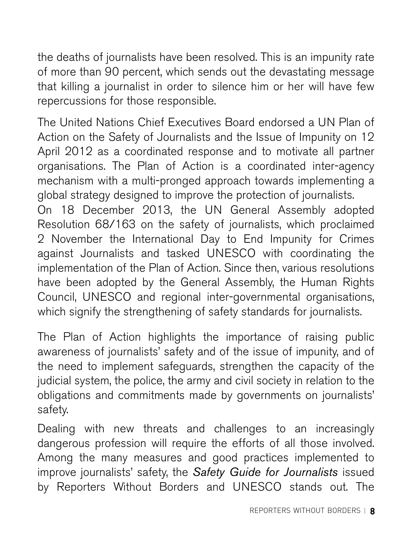the deaths of journalists have been resolved. This is an impunity rate of more than 90 percent, which sends out the devastating message that killing a journalist in order to silence him or her will have few repercussions for those responsible.

The United Nations Chief Executives Board endorsed a UN Plan of Action on the Safety of Journalists and the Issue of Impunity on 12 April 2012 as a coordinated response and to motivate all partner organisations. The Plan of Action is a coordinated inter-agency mechanism with a multi-pronged approach towards implementing a global strategy designed to improve the protection of journalists.

On 18 December 2013, the UN General Assembly adopted Resolution 68/163 on the safety of journalists, which proclaimed 2 November the International Day to End Impunity for Crimes against Journalists and tasked UNESCO with coordinating the implementation of the Plan of Action. Since then, various resolutions have been adopted by the General Assembly, the Human Rights Council, UNESCO and regional inter-governmental organisations, which signify the strengthening of safety standards for journalists.

 $\overline{a}$ The Plan of Action highlights the importance of raising public awareness of journalists' safety and of the issue of impunity, and of the need to implement safeguards, strengthen the capacity of the judicial system, the police, the army and civil society in relation to the obligations and commitments made by governments on journalists' safety.

Dealing with new threats and challenges to an increasingly dangerous profession will require the efforts of all those involved. Among the many measures and good practices implemented to improve journalists' safety, the *Safety Guide for Journalists* issued by Reporters Without Borders and UNESCO stands out. The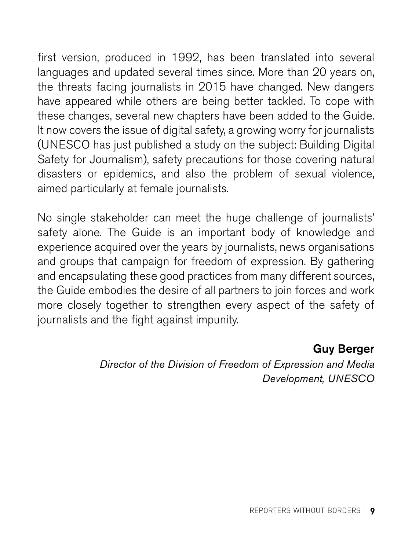<span id="page-8-0"></span>first version, produced in 1992, has been translated into several languages and updated several times since. More than 20 years on, the threats facing journalists in 2015 have changed. New dangers have appeared while others are being better tackled. To cope with these changes, several new chapters have been added to the Guide. It now covers the issue of digital safety, a growing worry for journalists (UNESCO has just published a study on the subject: Building Digital Safety for Journalism), safety precautions for those covering natural disasters or epidemics, and also the problem of sexual violence, aimed particularly at female journalists.

No single stakeholder can meet the huge challenge of journalists' safety alone. The Guide is an important body of knowledge and experience acquired over the years by journalists, news organisations and groups that campaign for freedom of expression. By gathering and encapsulating these good practices from many different sources, the Guide embodies the desire of all partners to join forces and work more closely together to strengthen every aspect of the safety of journalists and the fight against impunity.

#### Guy Berger

*Director of the Division of Freedom of Expression and Media Development, UNESCO*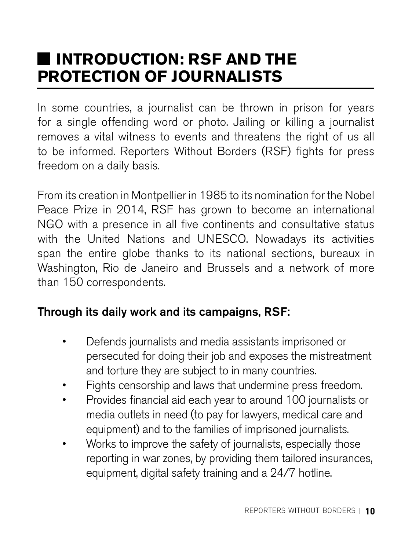## **INTRODUCTION: RSF AND THE PROTECTION OF JOURNALISTS**

In some countries, a journalist can be thrown in prison for years for a single offending word or photo. Jailing or killing a journalist removes a vital witness to events and threatens the right of us all to be informed. Reporters Without Borders (RSF) fights for press freedom on a daily basis.

From its creation in Montpellier in 1985 to its nomination for the Nobel Peace Prize in 2014, RSF has grown to become an international NGO with a presence in all five continents and consultative status with the United Nations and UNESCO. Nowadays its activities span the entire globe thanks to its national sections, bureaux in Washington, Rio de Janeiro and Brussels and a network of more than 150 correspondents.

#### Through its daily work and its campaigns, RSF:

- Defends journalists and media assistants imprisoned or persecuted for doing their job and exposes the mistreatment and torture they are subject to in many countries.
- Fights censorship and laws that undermine press freedom.
- Provides financial aid each year to around 100 journalists or media outlets in need (to pay for lawyers, medical care and equipment) and to the families of imprisoned journalists.
- Works to improve the safety of journalists, especially those reporting in war zones, by providing them tailored insurances, equipment, digital safety training and a 24/7 hotline.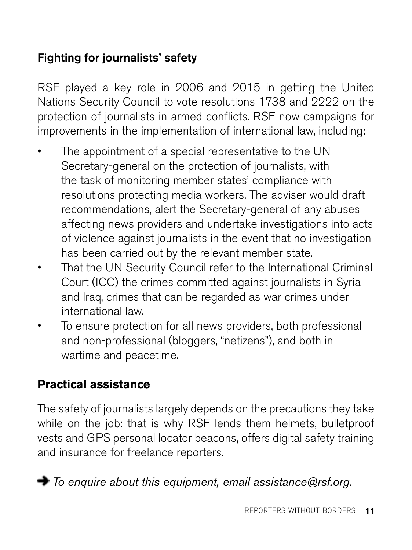#### Fighting for journalists' safety

RSF played a key role in 2006 and 2015 in getting the United Nations Security Council to vote resolutions 1738 and 2222 on the protection of journalists in armed conflicts. RSF now campaigns for improvements in the implementation of international law, including:

- The appointment of a special representative to the UN Secretary-general on the protection of journalists, with the task of monitoring member states' compliance with resolutions protecting media workers. The adviser would draft recommendations, alert the Secretary-general of any abuses affecting news providers and undertake investigations into acts of violence against journalists in the event that no investigation has been carried out by the relevant member state.
- That the UN Security Council refer to the International Criminal Court (ICC) the crimes committed against journalists in Syria and Iraq, crimes that can be regarded as war crimes under international law.
- To ensure protection for all news providers, both professional and non-professional (bloggers, "netizens"), and both in wartime and peacetime.

#### **Practical assistance**

The safety of journalists largely depends on the precautions they take while on the job: that is why RSF lends them helmets, bulletproof vests and GPS personal locator beacons, offers digital safety training and insurance for freelance reporters.

*To enquire about this equipment, email [assistance@rsf.org.](mailto:assistance@rsf.org)*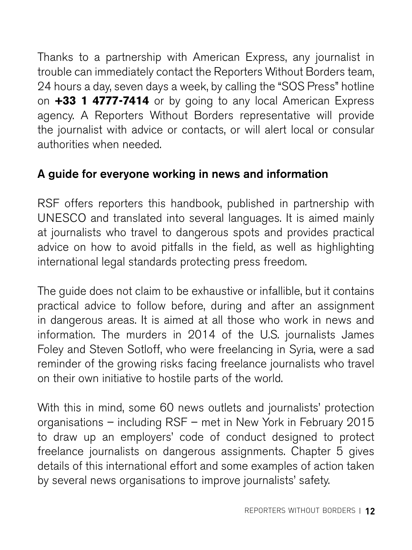<span id="page-11-0"></span>Thanks to a partnership with American Express, any journalist in trouble can immediately contact the Reporters Without Borders team, 24 hours a day, seven days a week, by calling the "SOS Press" hotline on **+33 1 4777-7414** or by going to any local American Express agency. A Reporters Without Borders representative will provide the journalist with advice or contacts, or will alert local or consular authorities when needed.

#### A guide for everyone working in news and information

RSF offers reporters this handbook, published in partnership with UNESCO and translated into several languages. It is aimed mainly at journalists who travel to dangerous spots and provides practical advice on how to avoid pitfalls in the field, as well as highlighting international legal standards protecting press freedom.

The guide does not claim to be exhaustive or infallible, but it contains practical advice to follow before, during and after an assignment in dangerous areas. It is aimed at all those who work in news and information. The murders in 2014 of the U.S. journalists James Foley and Steven Sotloff, who were freelancing in Syria, were a sad reminder of the growing risks facing freelance journalists who travel on their own initiative to hostile parts of the world.

With this in mind, some 60 news outlets and journalists' protection organisations – including RSF – met in New York in February 2015 to draw up an employers' code of conduct designed to protect freelance journalists on dangerous assignments. Chapter 5 gives details of this international effort and some examples of action taken by several news organisations to improve journalists' safety.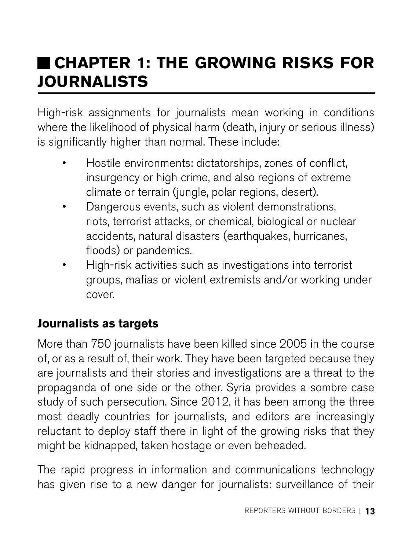## **CHAPTER 1: THE GROWING RISKS FOR JOURNALISTS**

High-risk assignments for journalists mean working in conditions where the likelihood of physical harm (death, injury or serious illness) is significantly higher than normal. These include:

- Hostile environments: dictatorships, zones of conflict, insurgency or high crime, and also regions of extreme climate or terrain (jungle, polar regions, desert).
- Dangerous events, such as violent demonstrations, riots, terrorist attacks, or chemical, biological or nuclear accidents, natural disasters (earthquakes, hurricanes, floods) or pandemics.
- High-risk activities such as investigations into terrorist groups, mafias or violent extremists and/or working under cover.

#### **Journalists as targets**

More than 750 journalists have been killed since 2005 in the course of, or as a result of, their work. They have been targeted because they are journalists and their stories and investigations are a threat to the propaganda of one side or the other. Syria provides a sombre case study of such persecution. Since 2012, it has been among the three most deadly countries for journalists, and editors are increasingly reluctant to deploy staff there in light of the growing risks that they might be kidnapped, taken hostage or even beheaded.

The rapid progress in information and communications technology has given rise to a new danger for journalists: surveillance of their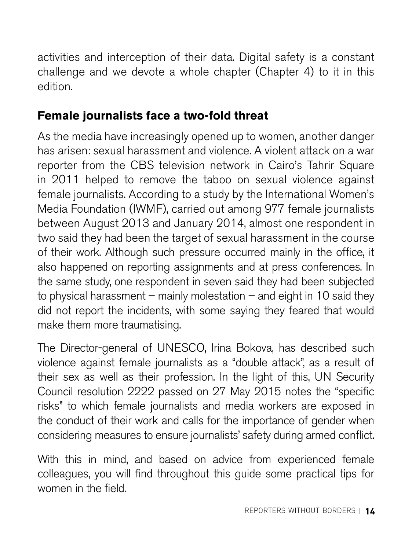<span id="page-13-0"></span>activities and interception of their data. Digital safety is a constant challenge and we devote a whole chapter (Chapter 4) to it in this edition.

#### **Female journalists face a two-fold threat**

As the media have increasingly opened up to women, another danger has arisen: sexual harassment and violence. A violent attack on a war reporter from the CBS television network in Cairo's Tahrir Square in 2011 helped to remove the taboo on sexual violence against female journalists. According to a study by the International Women's Media Foundation (IWMF), carried out among 977 female journalists between August 2013 and January 2014, almost one respondent in two said they had been the target of sexual harassment in the course of their work. Although such pressure occurred mainly in the office, it also happened on reporting assignments and at press conferences. In the same study, one respondent in seven said they had been subjected to physical harassment – mainly molestation – and eight in 10 said they did not report the incidents, with some saying they feared that would make them more traumatising.

The Director-general of UNESCO, Irina Bokova, has described such violence against female journalists as a "double attack", as a result of their sex as well as their profession. In the light of this, UN Security Council resolution 2222 passed on 27 May 2015 notes the "specific risks" to which female journalists and media workers are exposed in the conduct of their work and calls for the importance of gender when considering measures to ensure journalists' safety during armed conflict.

 With this in mind, and based on advice from experienced female colleagues, you will find throughout this guide some practical tips for women in the field.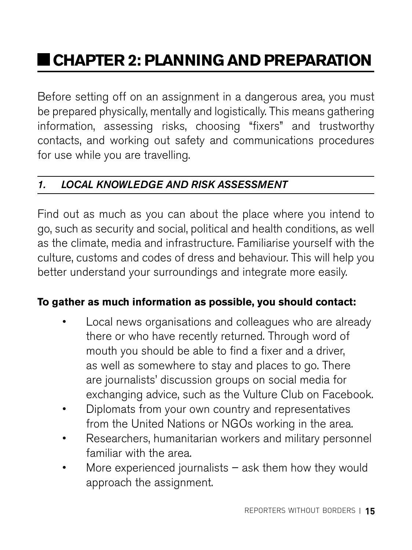## **CHAPTER 2: PLANNING AND PREPARATION**

Before setting off on an assignment in a dangerous area, you must be prepared physically, mentally and logistically. This means gathering information, assessing risks, choosing "fixers" and trustworthy contacts, and working out safety and communications procedures for use while you are travelling.

#### *1. LOCAL KNOWLEDGE AND RISK ASSESSMENT*

Find out as much as you can about the place where you intend to go, such as security and social, political and health conditions, as well as the climate, media and infrastructure. Familiarise yourself with the culture, customs and codes of dress and behaviour. This will help you better understand your surroundings and integrate more easily.

#### **To gather as much information as possible, you should contact:**

- Local news organisations and colleagues who are already there or who have recently returned. Through word of mouth you should be able to find a fixer and a driver, as well as somewhere to stay and places to go. There are journalists' discussion groups on social media for exchanging advice, such as the Vulture Club on Facebook.
- Diplomats from your own country and representatives from the United Nations or NGOs working in the area.
- Researchers, humanitarian workers and military personnel familiar with the area.
- More experienced journalists  $-$  ask them how they would approach the assignment.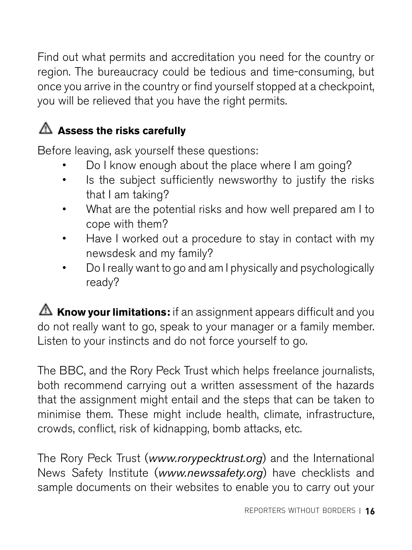Find out what permits and accreditation you need for the country or region. The bureaucracy could be tedious and time-consuming, but once you arrive in the country or find yourself stopped at a checkpoint, you will be relieved that you have the right permits.

### **Assess the risks carefully**

Before leaving, ask yourself these questions:

- Do I know enough about the place where I am going?
- Is the subject sufficiently newsworthy to justify the risks that I am taking?
- What are the potential risks and how well prepared am I to cope with them?
- Have I worked out a procedure to stay in contact with my newsdesk and my family?
- Do I really want to go and am I physically and psychologically ready?

**A** Know your limitations: if an assignment appears difficult and you do not really want to go, speak to your manager or a family member. Listen to your instincts and do not force yourself to go.

The BBC, and the Rory Peck Trust which helps freelance journalists, both recommend carrying out a written assessment of the hazards that the assignment might entail and the steps that can be taken to minimise them. These might include health, climate, infrastructure, crowds, conflict, risk of kidnapping, bomb attacks, etc.

The Rory Peck Trust (*[www.rorypecktrust.org](http://www.rorypecktrust.org)*) and the International News Safety Institute (*[www.newssafety.org](http://www.newssafety.org)*) have checklists and sample documents on their websites to enable you to carry out your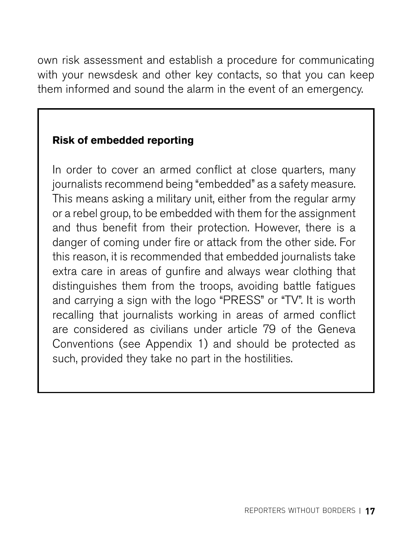<span id="page-16-0"></span>own risk assessment and establish a procedure for communicating with your newsdesk and other key contacts, so that you can keep them informed and sound the alarm in the event of an emergency.

#### **Risk of embedded reporting**

In order to cover an armed conflict at close quarters, many journalists recommend being "embedded" as a safety measure. This means asking a military unit, either from the regular army or a rebel group, to be embedded with them for the assignment and thus benefit from their protection. However, there is a danger of coming under fire or attack from the other side. For this reason, it is recommended that embedded journalists take extra care in areas of gunfire and always wear clothing that distinguishes them from the troops, avoiding battle fatigues and carrying a sign with the logo "PRESS" or "TV". It is worth recalling that journalists working in areas of armed conflict are considered as civilians under article 79 of the Geneva Conventions (see Appendix 1) and should be protected as such, provided they take no part in the hostilities.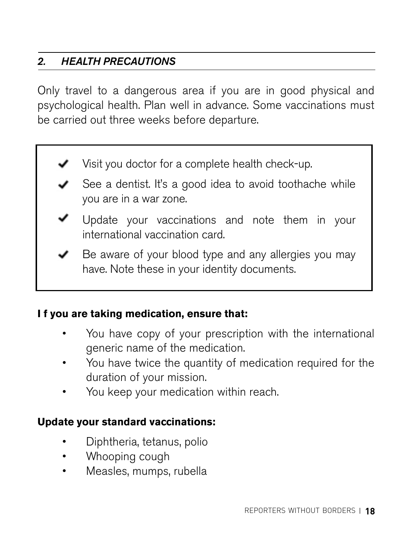#### *2. HEALTH PRECAUTIONS*

Only travel to a dangerous area if you are in good physical and psychological health. Plan well in advance. Some vaccinations must be carried out three weeks before departure.

Visit you doctor for a complete health check-up.



 $\blacktriangleright$  Be aware of your blood type and any allergies you may have. Note these in your identity documents.

#### **I f you are taking medication, ensure that:**

- You have copy of your prescription with the international generic name of the medication.
- You have twice the quantity of medication required for the duration of your mission.
- You keep your medication within reach.

#### **Update your standard vaccinations:**

- Diphtheria, tetanus, polio
- Whooping cough
- Measles, mumps, rubella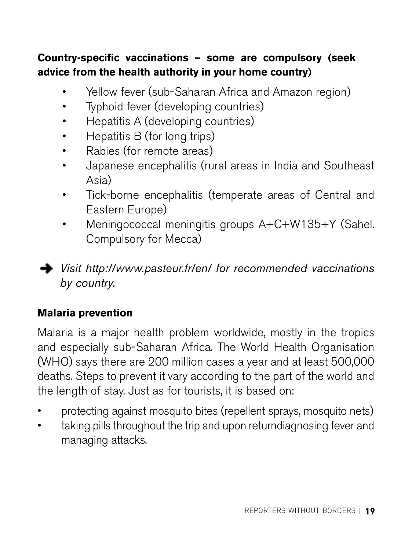#### <span id="page-18-0"></span>**Country-specific vaccinations – some are compulsory (seek advice from the health authority in your home country)**

- Yellow fever (sub-Saharan Africa and Amazon region)
- Typhoid fever (developing countries)
- Hepatitis A (developing countries)
- Hepatitis B (for long trips)
- Rabies (for remote areas)
- Japanese encephalitis (rural areas in India and Southeast Asia)
- Tick-borne encephalitis (temperate areas of Central and Eastern Europe)
- Meningococcal meningitis groups A+C+W135+Y (Sahel. Compulsory for Mecca)

*Visit <http://www.pasteur.fr/en/> for recommended vaccinations by country.*

#### **Malaria prevention**

Malaria is a major health problem worldwide, mostly in the tropics and especially sub-Saharan Africa. The World Health Organisation (WHO) says there are 200 million cases a year and at least 500,000 deaths. Steps to prevent it vary according to the part of the world and the length of stay. Just as for tourists, it is based on:

- protecting against mosquito bites (repellent sprays, mosquito nets)
- taking pills throughout the trip and upon returndiagnosing fever and managing attacks.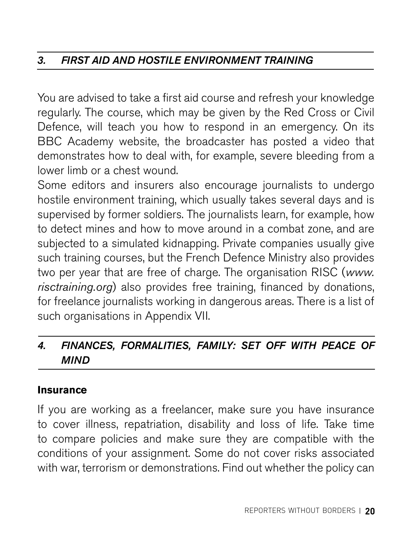#### *3. FIRST AID AND HOSTILE ENVIRONMENT TRAINING*

You are advised to take a first aid course and refresh your knowledge regularly. The course, which may be given by the Red Cross or Civil Defence, will teach you how to respond in an emergency. On its BBC Academy website, the broadcaster has posted a video that demonstrates how to deal with, for example, severe bleeding from a lower limb or a chest wound.

Some editors and insurers also encourage journalists to undergo hostile environment training, which usually takes several days and is supervised by former soldiers. The journalists learn, for example, how to detect mines and how to move around in a combat zone, and are subjected to a simulated kidnapping. Private companies usually give such training courses, but the French Defence Ministry also provides two per year that are free of charge. The organisation RISC (*[www.](http://www.risctraining.org) [risctraining.org](http://www.risctraining.org)*) also provides free training, financed by donations, for freelance journalists working in dangerous areas. There is a list of such organisations in Appendix VII.

#### *4. FINANCES, FORMALITIES, FAMILY: SET OFF WITH PEACE OF MIND*

#### **Insurance**

If you are working as a freelancer, make sure you have insurance to cover illness, repatriation, disability and loss of life. Take time to compare policies and make sure they are compatible with the conditions of your assignment. Some do not cover risks associated with war, terrorism or demonstrations. Find out whether the policy can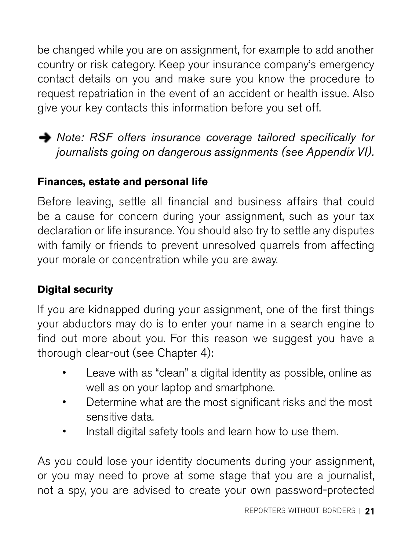be changed while you are on assignment, for example to add another country or risk category. Keep your insurance company's emergency contact details on you and make sure you know the procedure to request repatriation in the event of an accident or health issue. Also give your key contacts this information before you set off.

**→** Note: RSF offers insurance coverage tailored specifically for *journalists going on dangerous assignments (see Appendix VI).* 

#### **Finances, estate and personal life**

Before leaving, settle all financial and business affairs that could be a cause for concern during your assignment, such as your tax declaration or life insurance. You should also try to settle any disputes with family or friends to prevent unresolved quarrels from affecting your morale or concentration while you are away.

#### **Digital security**

If you are kidnapped during your assignment, one of the first things your abductors may do is to enter your name in a search engine to find out more about you. For this reason we suggest you have a thorough clear-out (see Chapter 4):

- Leave with as "clean" a digital identity as possible, online as well as on your laptop and smartphone.
- Determine what are the most significant risks and the most sensitive data.
- Install digital safety tools and learn how to use them.

As you could lose your identity documents during your assignment, or you may need to prove at some stage that you are a journalist, not a spy, you are advised to create your own password-protected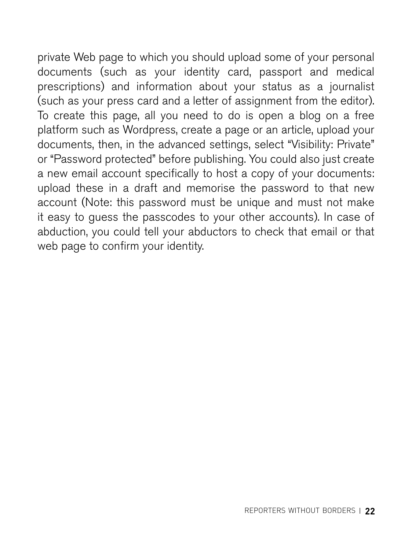<span id="page-21-0"></span>private Web page to which you should upload some of your personal documents (such as your identity card, passport and medical prescriptions) and information about your status as a journalist (such as your press card and a letter of assignment from the editor). To create this page, all you need to do is open a blog on a free platform such as Wordpress, create a page or an article, upload your documents, then, in the advanced settings, select "Visibility: Private" or "Password protected" before publishing. You could also just create a new email account specifically to host a copy of your documents: upload these in a draft and memorise the password to that new account (Note: this password must be unique and must not make it easy to guess the passcodes to your other accounts). In case of abduction, you could tell your abductors to check that email or that web page to confirm your identity.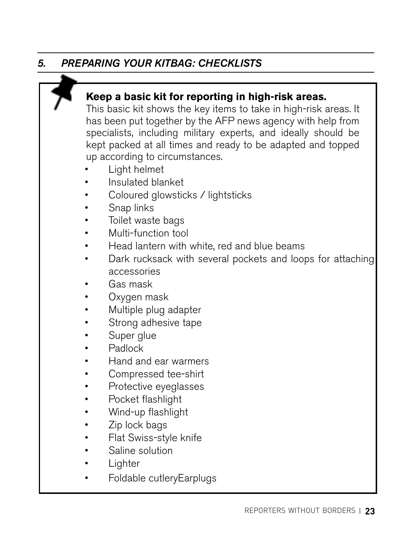#### *5. PREPARING YOUR KITBAG: CHECKLISTS*

#### **Keep a basic kit for reporting in high-risk areas.**

This basic kit shows the key items to take in high-risk areas. It has been put together by the AFP news agency with help from specialists, including military experts, and ideally should be kept packed at all times and ready to be adapted and topped up according to circumstances.

- Light helmet
- Insulated blanket
- Coloured glowsticks / lightsticks
- Snap links
- Toilet waste bags
- Multi-function tool
- Head lantern with white, red and blue beams
- Dark rucksack with several pockets and loops for attaching accessories
- Gas mask
- Oxygen mask
- Multiple plug adapter
- Strong adhesive tape
- Super glue
- Padlock
- Hand and ear warmers
- Compressed tee-shirt
- Protective eyeglasses
- Pocket flashlight
- Wind-up flashlight
- Zip lock bags
- Flat Swiss-style knife
- Saline solution
- **Lighter**
- Foldable cutleryEarplugs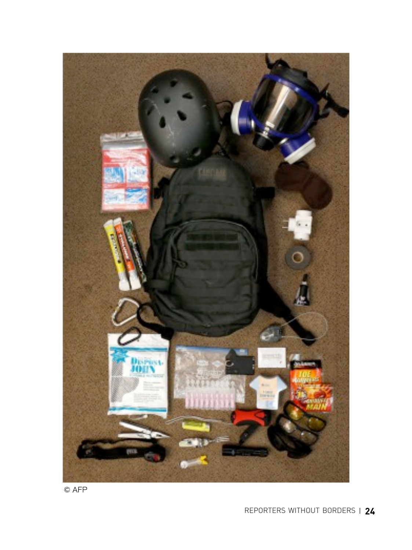

© AFP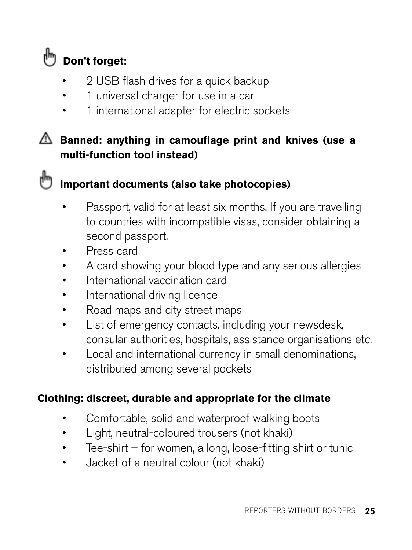

- 2 USB flash drives for a quick backup
- 1 universal charger for use in a car
- 1 international adapter for electric sockets

#### **Banned: anything in camouflage print and knives (use a multi-function tool instead)**

#### **Important documents (also take photocopies)**

- Passport, valid for at least six months. If you are travelling to countries with incompatible visas, consider obtaining a second passport.
- Press card
- A card showing your blood type and any serious allergies
- International vaccination card
- International driving licence
- Road maps and city street maps
- List of emergency contacts, including your newsdesk, consular authorities, hospitals, assistance organisations etc.
- Local and international currency in small denominations, distributed among several pockets

#### **Clothing: discreet, durable and appropriate for the climate**

- Comfortable, solid and waterproof walking boots
- Light, neutral-coloured trousers (not khaki)
- Tee-shirt for women, a long, loose-fitting shirt or tunic
- Jacket of a neutral colour (not khaki)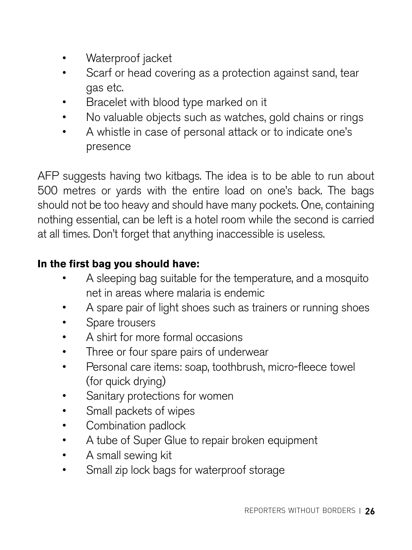- Waterproof jacket
- Scarf or head covering as a protection against sand, tear gas etc.
- Bracelet with blood type marked on it
- No valuable objects such as watches, gold chains or rings
- A whistle in case of personal attack or to indicate one's presence

AFP suggests having two kitbags. The idea is to be able to run about 500 metres or yards with the entire load on one's back. The bags should not be too heavy and should have many pockets. One, containing nothing essential, can be left is a hotel room while the second is carried at all times. Don't forget that anything inaccessible is useless.

#### **In the first bag you should have:**

- A sleeping bag suitable for the temperature, and a mosquito net in areas where malaria is endemic
- A spare pair of light shoes such as trainers or running shoes
- Spare trousers
- A shirt for more formal occasions
- Three or four spare pairs of underwear
- Personal care items: soap, toothbrush, micro-fleece towel (for quick drying)
- Sanitary protections for women
- Small packets of wipes
- Combination padlock
- A tube of Super Glue to repair broken equipment
- A small sewing kit
- Small zip lock bags for waterproof storage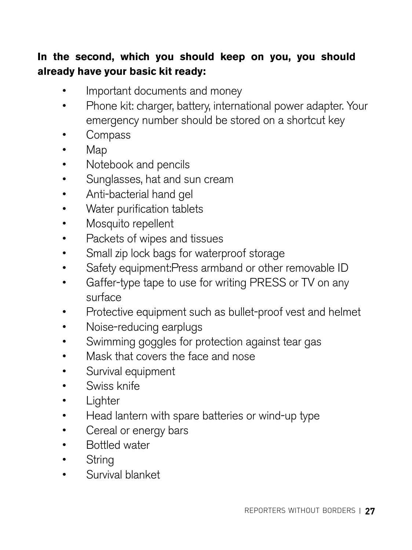#### **In the second, which you should keep on you, you should already have your basic kit ready:**

- Important documents and money
- Phone kit: charger, battery, international power adapter. Your emergency number should be stored on a shortcut key
- Compass
- Map
- Notebook and pencils
- Sunglasses, hat and sun cream
- Anti-bacterial hand gel
- Water purification tablets
- Mosquito repellent
- Packets of wipes and tissues
- Small zip lock bags for waterproof storage
- Safety equipment:Press armband or other removable ID
- Gaffer-type tape to use for writing PRESS or TV on any surface
- Protective equipment such as bullet-proof vest and helmet
- Noise-reducing earplugs
- Swimming goggles for protection against tear gas
- Mask that covers the face and nose
- Survival equipment
- Swiss knife
- Lighter
- Head lantern with spare batteries or wind-up type
- Cereal or energy bars
- Bottled water
- String
- Survival blanket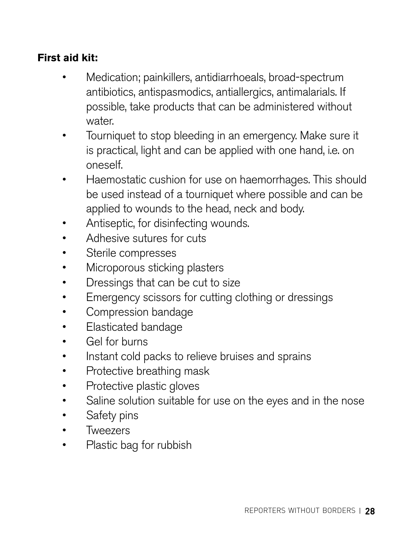#### **First aid kit:**

- Medication; painkillers, antidiarrhoeals, broad-spectrum antibiotics, antispasmodics, antiallergics, antimalarials. If possible, take products that can be administered without water.
- Tourniquet to stop bleeding in an emergency. Make sure it is practical, light and can be applied with one hand, i.e. on oneself.
- Haemostatic cushion for use on haemorrhages. This should be used instead of a tourniquet where possible and can be applied to wounds to the head, neck and body.
- Antiseptic, for disinfecting wounds.
- Adhesive sutures for cuts
- Sterile compresses
- Microporous sticking plasters
- Dressings that can be cut to size
- Emergency scissors for cutting clothing or dressings
- Compression bandage
- Elasticated bandage
- Gel for burns
- Instant cold packs to relieve bruises and sprains
- Protective breathing mask
- Protective plastic gloves
- Saline solution suitable for use on the eyes and in the nose
- Safety pins
- Tweezers
- Plastic bag for rubbish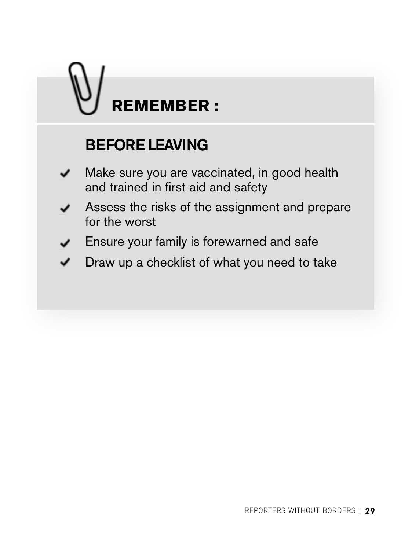# <span id="page-28-0"></span>**REMEMBER :**

## BEFORE LEAVING

- Make sure you are vaccinated, in good health ✓ and trained in first aid and safety
- Assess the risks of the assignment and prepare for the worst
- Ensure your family is forewarned and safe
- Draw up a checklist of what you need to take ✓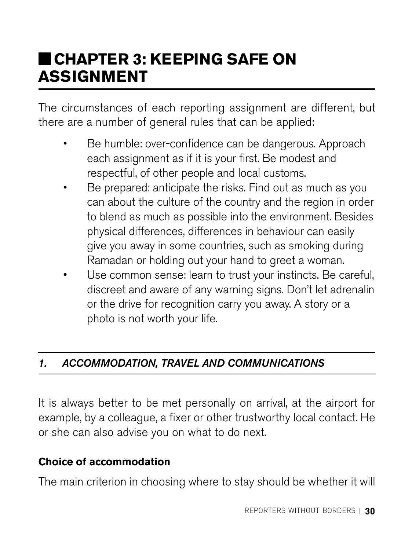## **CHAPTER 3: KEEPING SAFE ON ASSIGNMENT**

The circumstances of each reporting assignment are different, but there are a number of general rules that can be applied:

- Be humble: over-confidence can be dangerous. Approach each assignment as if it is your first. Be modest and respectful, of other people and local customs.
- Be prepared: anticipate the risks. Find out as much as you can about the culture of the country and the region in order to blend as much as possible into the environment. Besides physical differences, differences in behaviour can easily give you away in some countries, such as smoking during Ramadan or holding out your hand to greet a woman.
- Use common sense: learn to trust your instincts. Be careful, discreet and aware of any warning signs. Don't let adrenalin or the drive for recognition carry you away. A story or a photo is not worth your life.

#### *1. ACCOMMODATION, TRAVEL AND COMMUNICATIONS*

It is always better to be met personally on arrival, at the airport for example, by a colleague, a fixer or other trustworthy local contact. He or she can also advise you on what to do next.

#### **Choice of accommodation**

The main criterion in choosing where to stay should be whether it will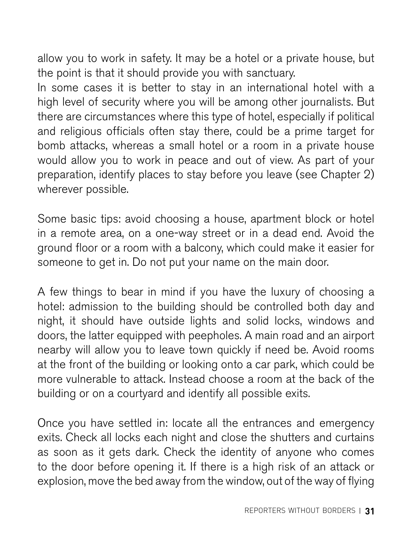allow you to work in safety. It may be a hotel or a private house, but the point is that it should provide you with sanctuary.

In some cases it is better to stay in an international hotel with a high level of security where you will be among other journalists. But there are circumstances where this type of hotel, especially if political and religious officials often stay there, could be a prime target for bomb attacks, whereas a small hotel or a room in a private house would allow you to work in peace and out of view. As part of your preparation, identify places to stay before you leave (see Chapter 2) wherever possible.

Some basic tips: avoid choosing a house, apartment block or hotel in a remote area, on a one-way street or in a dead end. Avoid the ground floor or a room with a balcony, which could make it easier for someone to get in. Do not put your name on the main door.

A few things to bear in mind if you have the luxury of choosing a hotel: admission to the building should be controlled both day and night, it should have outside lights and solid locks, windows and doors, the latter equipped with peepholes. A main road and an airport nearby will allow you to leave town quickly if need be. Avoid rooms at the front of the building or looking onto a car park, which could be more vulnerable to attack. Instead choose a room at the back of the building or on a courtyard and identify all possible exits.

Once you have settled in: locate all the entrances and emergency exits. Check all locks each night and close the shutters and curtains as soon as it gets dark. Check the identity of anyone who comes to the door before opening it. If there is a high risk of an attack or explosion, move the bed away from the window, out of the way of flying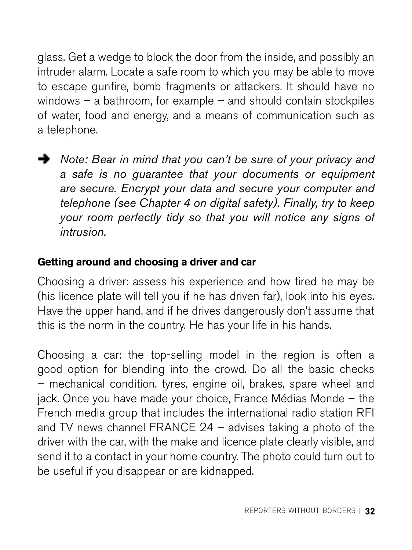glass. Get a wedge to block the door from the inside, and possibly an intruder alarm. Locate a safe room to which you may be able to move to escape gunfire, bomb fragments or attackers. It should have no windows – a bathroom, for example – and should contain stockpiles of water, food and energy, and a means of communication such as a telephone.

**→** *Note: Bear in mind that you can't be sure of your privacy and a safe is no guarantee that your documents or equipment are secure. Encrypt your data and secure your computer and telephone (see Chapter 4 on digital safety). Finally, try to keep your room perfectly tidy so that you will notice any signs of intrusion.* 

#### **Getting around and choosing a driver and car**

Choosing a driver: assess his experience and how tired he may be (his licence plate will tell you if he has driven far), look into his eyes. Have the upper hand, and if he drives dangerously don't assume that this is the norm in the country. He has your life in his hands.

Choosing a car: the top-selling model in the region is often a good option for blending into the crowd. Do all the basic checks – mechanical condition, tyres, engine oil, brakes, spare wheel and jack. Once you have made your choice, France Médias Monde – the French media group that includes the international radio station RFI and TV news channel FRANCE 24 – advises taking a photo of the driver with the car, with the make and licence plate clearly visible, and send it to a contact in your home country. The photo could turn out to be useful if you disappear or are kidnapped.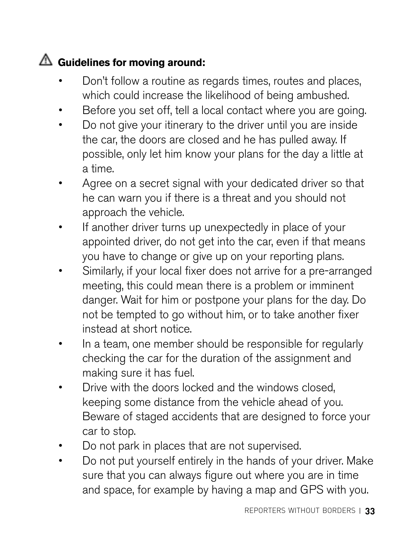#### **Guidelines for moving around:**

- Don't follow a routine as regards times, routes and places, which could increase the likelihood of being ambushed.
- Before you set off, tell a local contact where you are going.
- Do not give your itinerary to the driver until you are inside the car, the doors are closed and he has pulled away. If possible, only let him know your plans for the day a little at a time.
- Agree on a secret signal with your dedicated driver so that he can warn you if there is a threat and you should not approach the vehicle.
- If another driver turns up unexpectedly in place of your appointed driver, do not get into the car, even if that means you have to change or give up on your reporting plans.
- Similarly, if your local fixer does not arrive for a pre-arranged meeting, this could mean there is a problem or imminent danger. Wait for him or postpone your plans for the day. Do not be tempted to go without him, or to take another fixer instead at short notice.
- In a team, one member should be responsible for regularly checking the car for the duration of the assignment and making sure it has fuel.
- Drive with the doors locked and the windows closed, keeping some distance from the vehicle ahead of you. Beware of staged accidents that are designed to force your car to stop.
- Do not park in places that are not supervised.
- Do not put yourself entirely in the hands of your driver. Make sure that you can always figure out where you are in time and space, for example by having a map and GPS with you.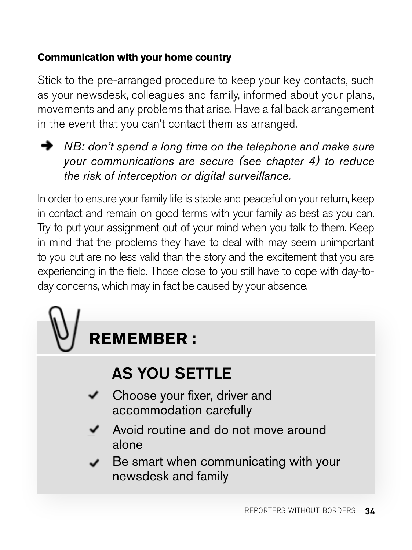#### <span id="page-33-0"></span>**Communication with your home country**

Stick to the pre-arranged procedure to keep your key contacts, such as your newsdesk, colleagues and family, informed about your plans, movements and any problems that arise. Have a fallback arrangement in the event that you can't contact them as arranged.

**→** *NB: don't spend a long time on the telephone and make sure your communications are secure (see chapter 4) to reduce the risk of interception or digital surveillance.* 

In order to ensure your family life is stable and peaceful on your return, keep in contact and remain on good terms with your family as best as you can. Try to put your assignment out of your mind when you talk to them. Keep in mind that the problems they have to deal with may seem unimportant to you but are no less valid than the story and the excitement that you are experiencing in the field. Those close to you still have to cope with day-today concerns, which may in fact be caused by your absence.

## **REMEMBER :**

## AS YOU SETTLE

- Choose your fixer, driver and accommodation carefully
- Avoid routine and do not move around alone
- Be smart when communicating with your newsdesk and family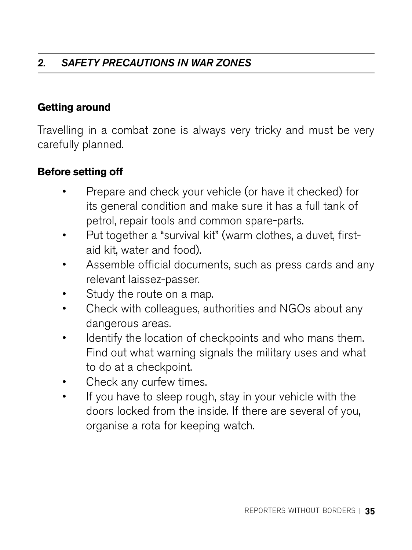#### *2. SAFETY PRECAUTIONS IN WAR ZONES*

#### **Getting around**

Travelling in a combat zone is always very tricky and must be very carefully planned.

#### **Before setting off**

- Prepare and check your vehicle (or have it checked) for its general condition and make sure it has a full tank of petrol, repair tools and common spare-parts.
- Put together a "survival kit" (warm clothes, a duvet, firstaid kit, water and food).
- Assemble official documents, such as press cards and any relevant laissez-passer.
- Study the route on a map.
- Check with colleagues, authorities and NGOs about any dangerous areas.
- Identify the location of checkpoints and who mans them. Find out what warning signals the military uses and what to do at a checkpoint.
- Check any curfew times.
- If you have to sleep rough, stay in your vehicle with the doors locked from the inside. If there are several of you, organise a rota for keeping watch.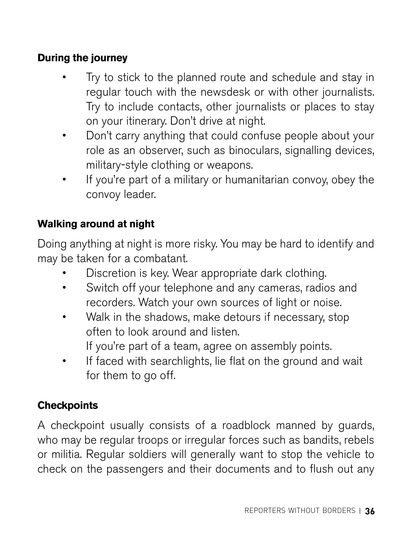#### **During the journey**

- Try to stick to the planned route and schedule and stay in regular touch with the newsdesk or with other journalists. Try to include contacts, other journalists or places to stay on your itinerary. Don't drive at night.
- Don't carry anything that could confuse people about your role as an observer, such as binoculars, signalling devices, military-style clothing or weapons.
- If you're part of a military or humanitarian convoy, obey the convoy leader.

#### **Walking around at night**

Doing anything at night is more risky. You may be hard to identify and may be taken for a combatant.

- Discretion is key. Wear appropriate dark clothing.
- Switch off your telephone and any cameras, radios and recorders. Watch your own sources of light or noise.
- Walk in the shadows, make detours if necessary, stop often to look around and listen.

If you're part of a team, agree on assembly points.

If faced with searchlights, lie flat on the ground and wait for them to go off.

#### **Checkpoints**

A checkpoint usually consists of a roadblock manned by guards, who may be regular troops or irregular forces such as bandits, rebels or militia. Regular soldiers will generally want to stop the vehicle to check on the passengers and their documents and to flush out any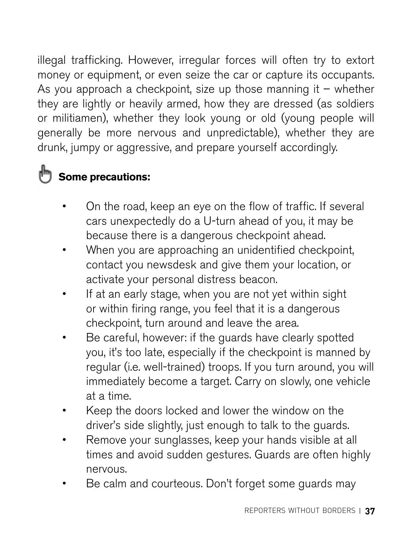illegal trafficking. However, irregular forces will often try to extort money or equipment, or even seize the car or capture its occupants. As you approach a checkpoint, size up those manning it  $-$  whether they are lightly or heavily armed, how they are dressed (as soldiers or militiamen), whether they look young or old (young people will generally be more nervous and unpredictable), whether they are drunk, jumpy or aggressive, and prepare yourself accordingly.

## **Some precautions:**

- On the road, keep an eye on the flow of traffic. If several cars unexpectedly do a U-turn ahead of you, it may be because there is a dangerous checkpoint ahead.
- When you are approaching an unidentified checkpoint, contact you newsdesk and give them your location, or activate your personal distress beacon.
- If at an early stage, when you are not yet within sight or within firing range, you feel that it is a dangerous checkpoint, turn around and leave the area.
- Be careful, however: if the guards have clearly spotted you, it's too late, especially if the checkpoint is manned by regular (i.e. well-trained) troops. If you turn around, you will immediately become a target. Carry on slowly, one vehicle at a time.
- Keep the doors locked and lower the window on the driver's side slightly, just enough to talk to the guards.
- Remove your sunglasses, keep your hands visible at all times and avoid sudden gestures. Guards are often highly nervous.
- Be calm and courteous. Don't forget some guards may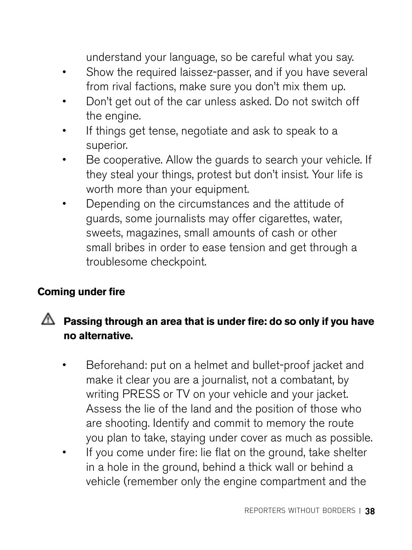understand your language, so be careful what you say.

- Show the required laissez-passer, and if you have several from rival factions, make sure you don't mix them up.
- Don't get out of the car unless asked. Do not switch off the engine.
- If things get tense, negotiate and ask to speak to a superior.
- Be cooperative. Allow the guards to search your vehicle. If they steal your things, protest but don't insist. Your life is worth more than your equipment.
- Depending on the circumstances and the attitude of guards, some journalists may offer cigarettes, water, sweets, magazines, small amounts of cash or other small bribes in order to ease tension and get through a troublesome checkpoint.

#### **Coming under fire**

#### **Passing through an area that is under fire: do so only if you have no alternative.**

- Beforehand: put on a helmet and bullet-proof jacket and make it clear you are a journalist, not a combatant, by writing PRESS or TV on your vehicle and your jacket. Assess the lie of the land and the position of those who are shooting. Identify and commit to memory the route you plan to take, staying under cover as much as possible.
- If you come under fire: lie flat on the ground, take shelter in a hole in the ground, behind a thick wall or behind a vehicle (remember only the engine compartment and the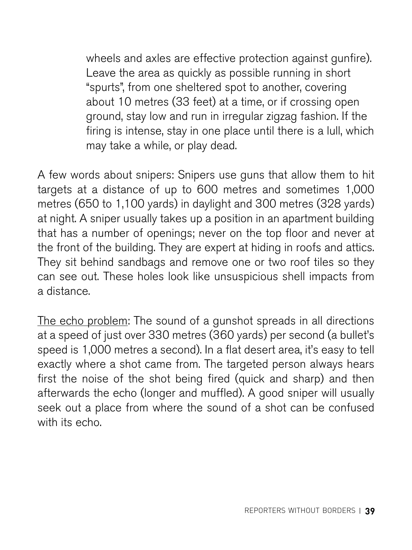wheels and axles are effective protection against gunfire). Leave the area as quickly as possible running in short "spurts", from one sheltered spot to another, covering about 10 metres (33 feet) at a time, or if crossing open ground, stay low and run in irregular zigzag fashion. If the firing is intense, stay in one place until there is a lull, which may take a while, or play dead.

A few words about snipers: Snipers use guns that allow them to hit targets at a distance of up to 600 metres and sometimes 1,000 metres (650 to 1,100 yards) in daylight and 300 metres (328 yards) at night. A sniper usually takes up a position in an apartment building that has a number of openings; never on the top floor and never at the front of the building. They are expert at hiding in roofs and attics. They sit behind sandbags and remove one or two roof tiles so they can see out. These holes look like unsuspicious shell impacts from a distance.

The echo problem: The sound of a gunshot spreads in all directions at a speed of just over 330 metres (360 yards) per second (a bullet's speed is 1,000 metres a second). In a flat desert area, it's easy to tell exactly where a shot came from. The targeted person always hears first the noise of the shot being fired (quick and sharp) and then afterwards the echo (longer and muffled). A good sniper will usually seek out a place from where the sound of a shot can be confused with its echo.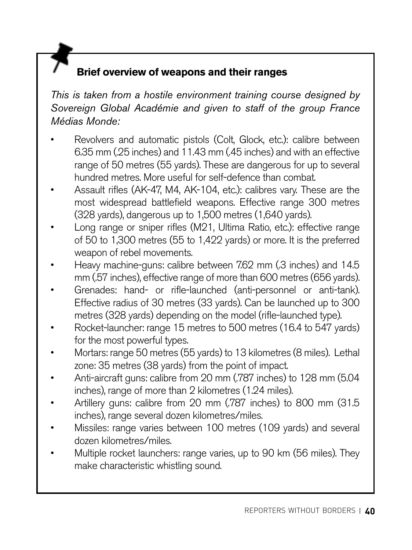#### **Brief overview of weapons and their ranges**

*This is taken from a hostile environment training course designed by Sovereign Global Académie and given to staff of the group France Médias Monde:*

- Revolvers and automatic pistols (Colt, Glock, etc.): calibre between 6.35 mm (.25 inches) and 11.43 mm (.45 inches) and with an effective range of 50 metres (55 yards). These are dangerous for up to several hundred metres. More useful for self-defence than combat.
- Assault rifles (AK-47, M4, AK-104, etc.): calibres vary. These are the most widespread battlefield weapons. Effective range 300 metres (328 yards), dangerous up to 1,500 metres (1,640 yards).
- Long range or sniper rifles (M21, Ultima Ratio, etc.): effective range of 50 to 1,300 metres (55 to 1,422 yards) or more. It is the preferred weapon of rebel movements.
- Heavy machine-guns: calibre between 7.62 mm (.3 inches) and 14.5 mm (.57 inches), effective range of more than 600 metres (656 yards).
- Grenades: hand- or rifle-launched (anti-personnel or anti-tank). Effective radius of 30 metres (33 yards). Can be launched up to 300 metres (328 yards) depending on the model (rifle-launched type).
- Rocket-launcher: range 15 metres to 500 metres (16.4 to 547 yards) for the most powerful types.
- Mortars: range 50 metres (55 yards) to 13 kilometres (8 miles). Lethal zone: 35 metres (38 yards) from the point of impact.
- Anti-aircraft guns: calibre from 20 mm (.787 inches) to 128 mm (5.04 inches), range of more than 2 kilometres (1.24 miles).
- Artillery guns: calibre from 20 mm (.787 inches) to 800 mm (31.5 inches), range several dozen kilometres/miles.
- Missiles: range varies between 100 metres (109 yards) and several dozen kilometres/miles.
- Multiple rocket launchers: range varies, up to 90 km (56 miles). They make characteristic whistling sound.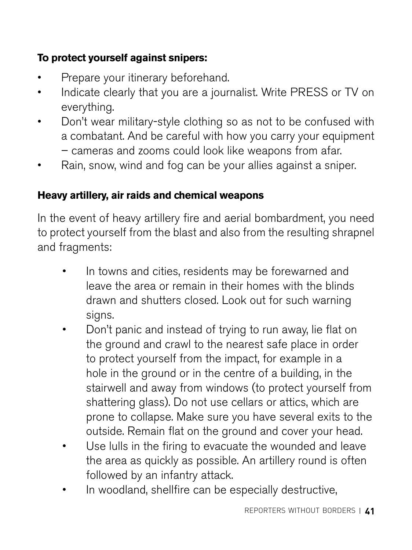#### **To protect yourself against snipers:**

- Prepare your itinerary beforehand.
- Indicate clearly that you are a journalist. Write PRESS or TV on everything.
- Don't wear military-style clothing so as not to be confused with a combatant. And be careful with how you carry your equipment – cameras and zooms could look like weapons from afar.
- Rain, snow, wind and fog can be your allies against a sniper.

#### **Heavy artillery, air raids and chemical weapons**

In the event of heavy artillery fire and aerial bombardment, you need to protect yourself from the blast and also from the resulting shrapnel and fragments:

- In towns and cities, residents may be forewarned and leave the area or remain in their homes with the blinds drawn and shutters closed. Look out for such warning sians.
- Don't panic and instead of trying to run away, lie flat on the ground and crawl to the nearest safe place in order to protect yourself from the impact, for example in a hole in the ground or in the centre of a building, in the stairwell and away from windows (to protect yourself from shattering glass). Do not use cellars or attics, which are prone to collapse. Make sure you have several exits to the outside. Remain flat on the ground and cover your head.
- Use lulls in the firing to evacuate the wounded and leave the area as quickly as possible. An artillery round is often followed by an infantry attack.
- In woodland, shellfire can be especially destructive,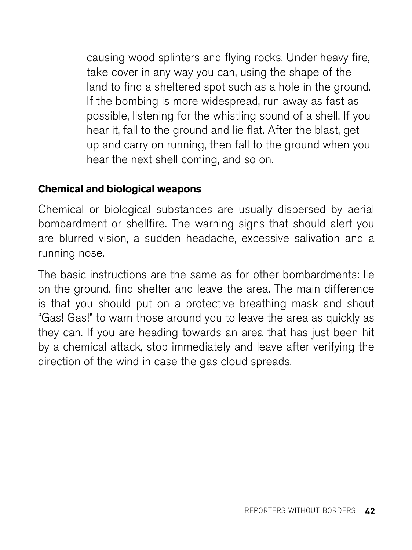causing wood splinters and flying rocks. Under heavy fire, take cover in any way you can, using the shape of the land to find a sheltered spot such as a hole in the ground. If the bombing is more widespread, run away as fast as possible, listening for the whistling sound of a shell. If you hear it, fall to the ground and lie flat. After the blast, get up and carry on running, then fall to the ground when you hear the next shell coming, and so on.

#### **Chemical and biological weapons**

Chemical or biological substances are usually dispersed by aerial bombardment or shellfire. The warning signs that should alert you are blurred vision, a sudden headache, excessive salivation and a running nose.

The basic instructions are the same as for other bombardments: lie on the ground, find shelter and leave the area. The main difference is that you should put on a protective breathing mask and shout "Gas! Gas!" to warn those around you to leave the area as quickly as they can. If you are heading towards an area that has just been hit by a chemical attack, stop immediately and leave after verifying the direction of the wind in case the gas cloud spreads.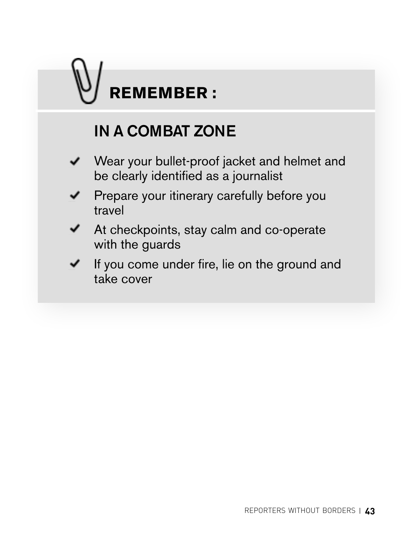## **REMEMBER :**

## IN A COMBAT ZONE

- Wear your bullet-proof jacket and helmet and ✓ be clearly identified as a journalist
- **Prepare your itinerary carefully before you** travel
- At checkpoints, stay calm and co-operate with the guards
- ✓ If you come under fire, lie on the ground and take cover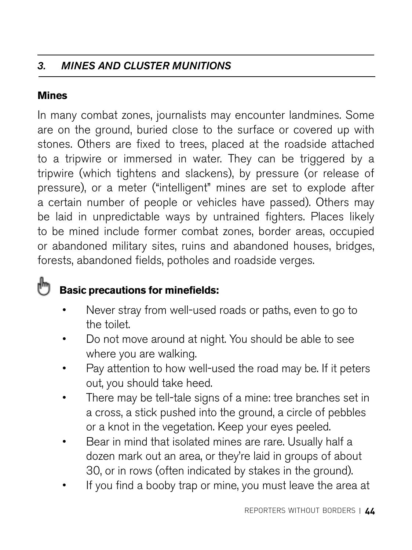#### *3. MINES AND CLUSTER MUNITIONS*

#### **Mines**

In many combat zones, journalists may encounter landmines. Some are on the ground, buried close to the surface or covered up with stones. Others are fixed to trees, placed at the roadside attached to a tripwire or immersed in water. They can be triggered by a tripwire (which tightens and slackens), by pressure (or release of pressure), or a meter ("intelligent" mines are set to explode after a certain number of people or vehicles have passed). Others may be laid in unpredictable ways by untrained fighters. Places likely to be mined include former combat zones, border areas, occupied or abandoned military sites, ruins and abandoned houses, bridges, forests, abandoned fields, potholes and roadside verges.

#### իհղ  **Basic precautions for minefields:**

- Never stray from well-used roads or paths, even to go to the toilet.
- Do not move around at night. You should be able to see where you are walking.
- Pay attention to how well-used the road may be. If it peters out, you should take heed.
- There may be tell-tale signs of a mine: tree branches set in a cross, a stick pushed into the ground, a circle of pebbles or a knot in the vegetation. Keep your eyes peeled.
- Bear in mind that isolated mines are rare. Usually half a dozen mark out an area, or they're laid in groups of about 30, or in rows (often indicated by stakes in the ground).
- If you find a booby trap or mine, you must leave the area at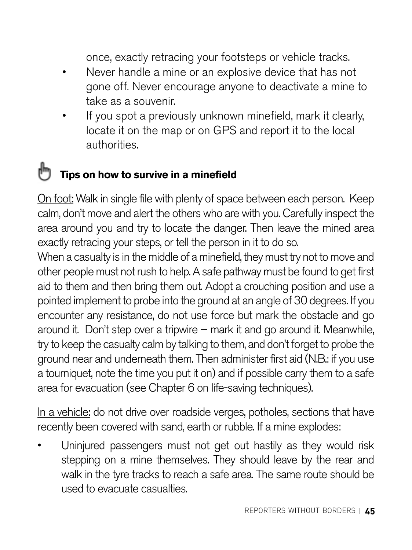once, exactly retracing your footsteps or vehicle tracks.

- Never handle a mine or an explosive device that has not gone off. Never encourage anyone to deactivate a mine to take as a souvenir.
- If you spot a previously unknown minefield, mark it clearly, locate it on the map or on GPS and report it to the local authorities.

#### **Tips on how to survive in a minefield**

On foot: Walk in single file with plenty of space between each person. Keep calm, don't move and alert the others who are with you. Carefully inspect the area around you and try to locate the danger. Then leave the mined area exactly retracing your steps, or tell the person in it to do so.

When a casualty is in the middle of a minefield, they must try not to move and other people must not rush to help. A safe pathway must be found to get first aid to them and then bring them out. Adopt a crouching position and use a pointed implement to probe into the ground at an angle of 30 degrees. If you encounter any resistance, do not use force but mark the obstacle and go around it. Don't step over a tripwire – mark it and go around it. Meanwhile, try to keep the casualty calm by talking to them, and don't forget to probe the ground near and underneath them. Then administer first aid (N.B.: if you use a tourniquet, note the time you put it on) and if possible carry them to a safe area for evacuation (see Chapter 6 on life-saving techniques).

In a vehicle: do not drive over roadside verges, potholes, sections that have recently been covered with sand, earth or rubble. If a mine explodes:

• Uninjured passengers must not get out hastily as they would risk stepping on a mine themselves. They should leave by the rear and walk in the tyre tracks to reach a safe area. The same route should be used to evacuate casualties.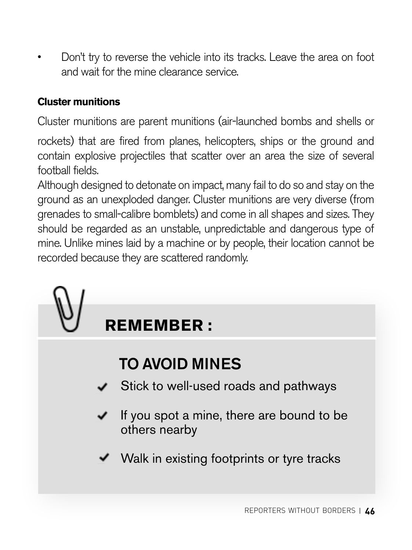• Don't try to reverse the vehicle into its tracks. Leave the area on foot and wait for the mine clearance service.

#### **Cluster munitions**

Cluster munitions are parent munitions (air-launched bombs and shells or

rockets) that are fired from planes, helicopters, ships or the ground and contain explosive projectiles that scatter over an area the size of several football fields.

Although designed to detonate on impact, many fail to do so and stay on the ground as an unexploded danger. Cluster munitions are very diverse (from grenades to small-calibre bomblets) and come in all shapes and sizes. They should be regarded as an unstable, unpredictable and dangerous type of mine. Unlike mines laid by a machine or by people, their location cannot be recorded because they are scattered randomly.

## **REMEMBER :**

## TO AVOID MINES

- Stick to well-used roads and pathways
- If you spot a mine, there are bound to be others nearby
- Walk in existing footprints or tyre tracks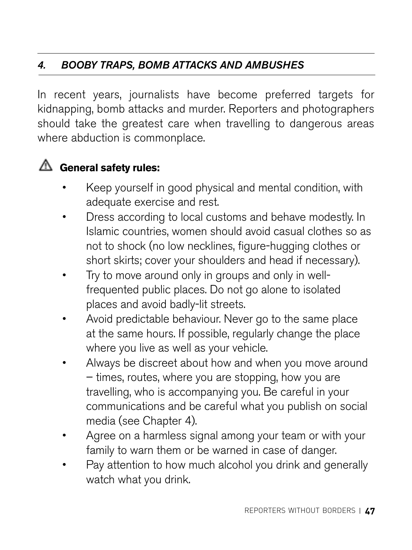#### *4. BOOBY TRAPS, BOMB ATTACKS AND AMBUSHES*

In recent years, journalists have become preferred targets for kidnapping, bomb attacks and murder. Reporters and photographers should take the greatest care when travelling to dangerous areas where abduction is commonplace.

#### **General safety rules:**

- Keep yourself in good physical and mental condition, with adequate exercise and rest.
- Dress according to local customs and behave modestly. In Islamic countries, women should avoid casual clothes so as not to shock (no low necklines, figure-hugging clothes or short skirts; cover your shoulders and head if necessary).
- Try to move around only in groups and only in wellfrequented public places. Do not go alone to isolated places and avoid badly-lit streets.
- Avoid predictable behaviour. Never go to the same place at the same hours. If possible, regularly change the place where you live as well as your vehicle.
- Always be discreet about how and when you move around – times, routes, where you are stopping, how you are travelling, who is accompanying you. Be careful in your communications and be careful what you publish on social media (see Chapter 4).
- Agree on a harmless signal among your team or with your family to warn them or be warned in case of danger.
- Pay attention to how much alcohol you drink and generally watch what you drink.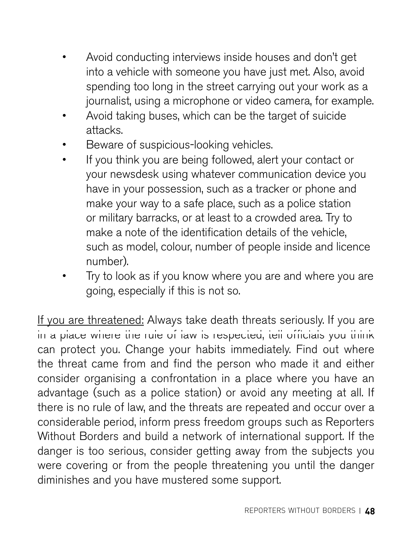- Avoid conducting interviews inside houses and don't get into a vehicle with someone you have just met. Also, avoid spending too long in the street carrying out your work as a journalist, using a microphone or video camera, for example.
- Avoid taking buses, which can be the target of suicide attacks.
- Beware of suspicious-looking vehicles.
- If you think you are being followed, alert your contact or your newsdesk using whatever communication device you have in your possession, such as a tracker or phone and make your way to a safe place, such as a police station or military barracks, or at least to a crowded area. Try to make a note of the identification details of the vehicle, such as model, colour, number of people inside and licence number).
- Try to look as if you know where you are and where you are going, especially if this is not so.

If you are threatened: Always take death threats seriously. If you are In a place where the rule of law is respected, tell officials you think can protect you. Change your habits immediately. Find out where the threat came from and find the person who made it and either consider organising a confrontation in a place where you have an advantage (such as a police station) or avoid any meeting at all. If there is no rule of law, and the threats are repeated and occur over a considerable period, inform press freedom groups such as Reporters Without Borders and build a network of international support. If the danger is too serious, consider getting away from the subjects you were covering or from the people threatening you until the danger diminishes and you have mustered some support.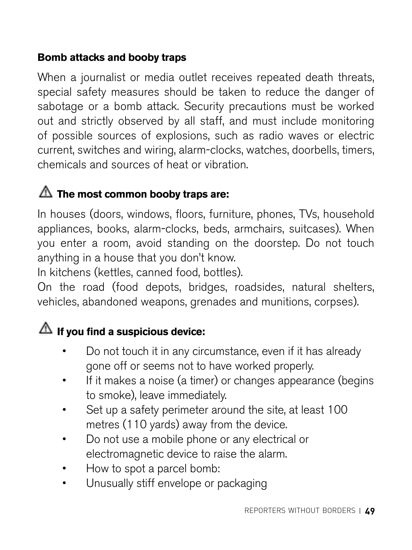#### **Bomb attacks and booby traps**

When a journalist or media outlet receives repeated death threats, special safety measures should be taken to reduce the danger of sabotage or a bomb attack. Security precautions must be worked out and strictly observed by all staff, and must include monitoring of possible sources of explosions, such as radio waves or electric current, switches and wiring, alarm-clocks, watches, doorbells, timers, chemicals and sources of heat or vibration.

#### **The most common booby traps are:**

In houses (doors, windows, floors, furniture, phones, TVs, household appliances, books, alarm-clocks, beds, armchairs, suitcases). When you enter a room, avoid standing on the doorstep. Do not touch anything in a house that you don't know.

In kitchens (kettles, canned food, bottles).

On the road (food depots, bridges, roadsides, natural shelters, vehicles, abandoned weapons, grenades and munitions, corpses).

#### $\triangle$  If you find a suspicious device:

- Do not touch it in any circumstance, even if it has already gone off or seems not to have worked properly.
- If it makes a noise (a timer) or changes appearance (begins to smoke), leave immediately.
- Set up a safety perimeter around the site, at least 100 metres (110 yards) away from the device.
- Do not use a mobile phone or any electrical or electromagnetic device to raise the alarm.
- How to spot a parcel bomb:
- Unusually stiff envelope or packaging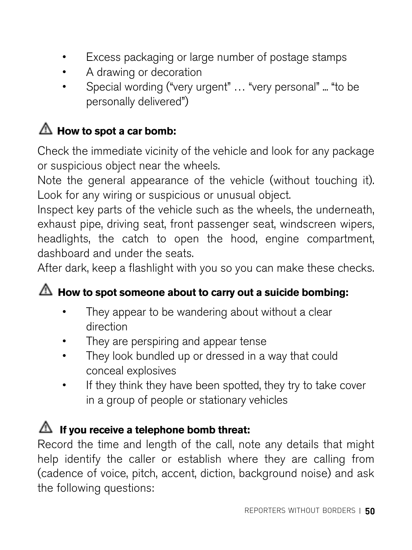- Excess packaging or large number of postage stamps
- A drawing or decoration
- Special wording ("very urgent" ... "very personal" ... "to be personally delivered")

#### $\triangle$  How to spot a car bomb:

Check the immediate vicinity of the vehicle and look for any package or suspicious object near the wheels.

Note the general appearance of the vehicle (without touching it). Look for any wiring or suspicious or unusual object.

Inspect key parts of the vehicle such as the wheels, the underneath, exhaust pipe, driving seat, front passenger seat, windscreen wipers, headlights, the catch to open the hood, engine compartment, dashboard and under the seats.

After dark, keep a flashlight with you so you can make these checks.

#### **How to spot someone about to carry out a suicide bombing:**

- They appear to be wandering about without a clear direction
- They are perspiring and appear tense
- They look bundled up or dressed in a way that could conceal explosives
- If they think they have been spotted, they try to take cover in a group of people or stationary vehicles

#### **If you receive a telephone bomb threat:**

Record the time and length of the call, note any details that might help identify the caller or establish where they are calling from (cadence of voice, pitch, accent, diction, background noise) and ask the following questions: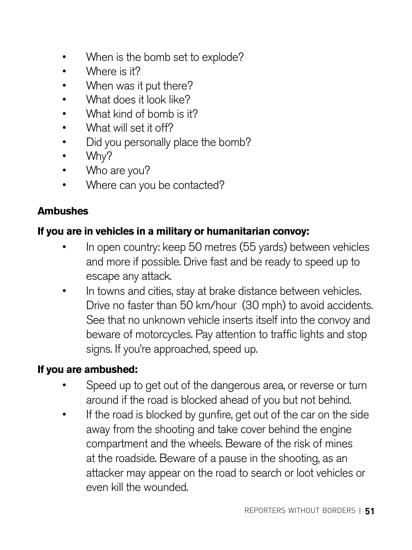- When is the bomb set to explode?
- Where is it?
- When was it put there?
- What does it look like?
- What kind of bomb is it?
- What will set it off?
- Did you personally place the bomb?
- Why?
- Who are you?
- Where can you be contacted?

#### **Ambushes**

#### **If you are in vehicles in a military or humanitarian convoy:**

- In open country: keep 50 metres (55 yards) between vehicles and more if possible. Drive fast and be ready to speed up to escape any attack.
- In towns and cities, stay at brake distance between vehicles. Drive no faster than 50 km/hour (30 mph) to avoid accidents. See that no unknown vehicle inserts itself into the convoy and beware of motorcycles. Pay attention to traffic lights and stop signs. If you're approached, speed up.

#### **If you are ambushed:**

- Speed up to get out of the dangerous area, or reverse or turn around if the road is blocked ahead of you but not behind.
- If the road is blocked by gunfire, get out of the car on the side away from the shooting and take cover behind the engine compartment and the wheels. Beware of the risk of mines at the roadside. Beware of a pause in the shooting, as an attacker may appear on the road to search or loot vehicles or even kill the wounded.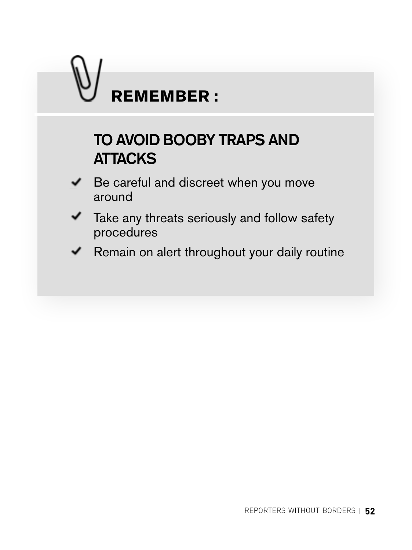# **REMEMBER :**

## TO AVOID BOOBY TRAPS AND **ATTACKS**

- Be careful and discreet when you move around
- Take any threats seriously and follow safety procedures
- Remain on alert throughout your daily routine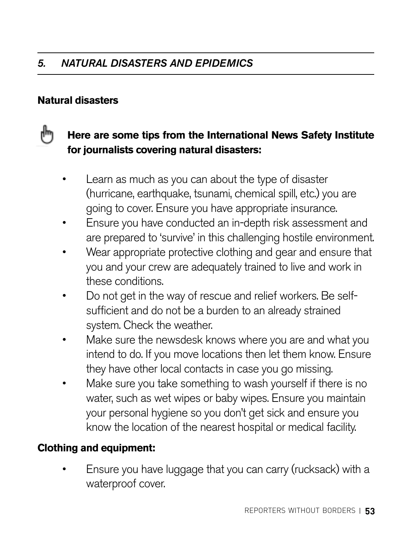#### **Natural disasters**

#### r۳ **Here are some tips from the International News Safety Institute for journalists covering natural disasters:**

- Learn as much as you can about the type of disaster (hurricane, earthquake, tsunami, chemical spill, etc.) you are going to cover. Ensure you have appropriate insurance.
- Ensure you have conducted an in-depth risk assessment and are prepared to 'survive' in this challenging hostile environment.
- Wear appropriate protective clothing and gear and ensure that you and your crew are adequately trained to live and work in these conditions.
- Do not get in the way of rescue and relief workers. Be selfsufficient and do not be a burden to an already strained system. Check the weather.
- Make sure the newsdesk knows where you are and what you intend to do. If you move locations then let them know. Ensure they have other local contacts in case you go missing.
- Make sure you take something to wash yourself if there is no water, such as wet wipes or baby wipes. Ensure you maintain your personal hygiene so you don't get sick and ensure you know the location of the nearest hospital or medical facility.

#### **Clothing and equipment:**

• Ensure you have luggage that you can carry (rucksack) with a waterproof cover.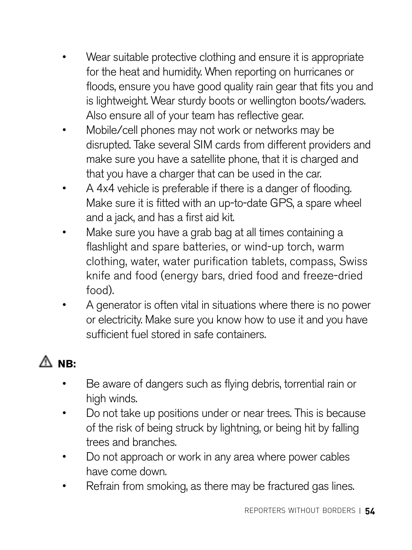- Wear suitable protective clothing and ensure it is appropriate for the heat and humidity. When reporting on hurricanes or floods, ensure you have good quality rain gear that fits you and is lightweight. Wear sturdy boots or wellington boots/waders. Also ensure all of your team has reflective gear.
- Mobile/cell phones may not work or networks may be disrupted. Take several SIM cards from different providers and make sure you have a satellite phone, that it is charged and that you have a charger that can be used in the car.
- A 4x4 vehicle is preferable if there is a danger of flooding. Make sure it is fitted with an up-to-date GPS, a spare wheel and a jack, and has a first aid kit.
- Make sure you have a grab bag at all times containing a flashlight and spare batteries, or wind-up torch, warm clothing, water, water purification tablets, compass, Swiss knife and food (energy bars, dried food and freeze-dried food).
- A generator is often vital in situations where there is no power or electricity. Make sure you know how to use it and you have sufficient fuel stored in safe containers.

## **NB:**

- Be aware of dangers such as flying debris, torrential rain or high winds.
- Do not take up positions under or near trees. This is because of the risk of being struck by lightning, or being hit by falling trees and branches.
- Do not approach or work in any area where power cables have come down.
- Refrain from smoking, as there may be fractured gas lines.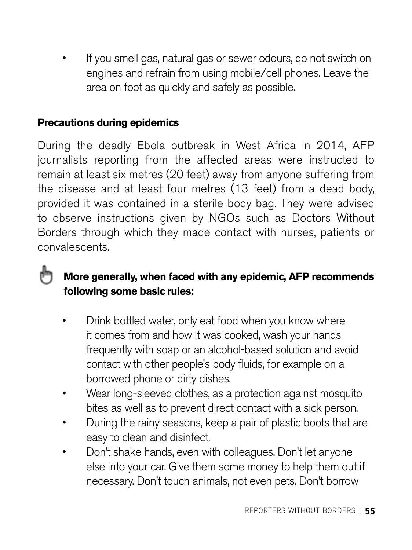• If you smell gas, natural gas or sewer odours, do not switch on engines and refrain from using mobile/cell phones. Leave the area on foot as quickly and safely as possible.

#### **Precautions during epidemics**

r۳

During the deadly Ebola outbreak in West Africa in 2014, AFP journalists reporting from the affected areas were instructed to remain at least six metres (20 feet) away from anyone suffering from the disease and at least four metres (13 feet) from a dead body, provided it was contained in a sterile body bag. They were advised to observe instructions given by NGOs such as Doctors Without Borders through which they made contact with nurses, patients or convalescents.

#### **More generally, when faced with any epidemic, AFP recommends following some basic rules:**

- Drink bottled water, only eat food when you know where it comes from and how it was cooked, wash your hands frequently with soap or an alcohol-based solution and avoid contact with other people's body fluids, for example on a borrowed phone or dirty dishes.
- Wear long-sleeved clothes, as a protection against mosquito bites as well as to prevent direct contact with a sick person.
- During the rainy seasons, keep a pair of plastic boots that are easy to clean and disinfect.
- Don't shake hands, even with colleagues. Don't let anyone else into your car. Give them some money to help them out if necessary. Don't touch animals, not even pets. Don't borrow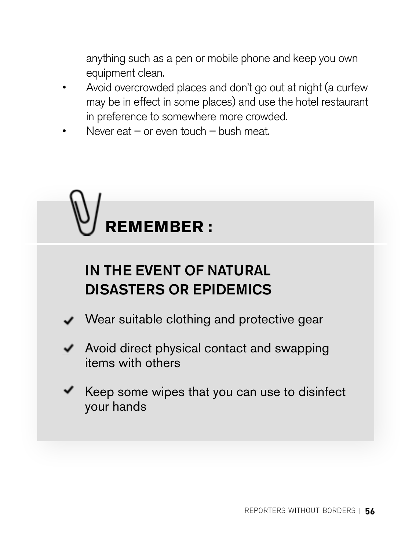anything such as a pen or mobile phone and keep you own equipment clean.

- Avoid overcrowded places and don't go out at night (a curfew may be in effect in some places) and use the hotel restaurant in preference to somewhere more crowded.
- Never eat or even touch bush meat.



### IN THE EVENT OF NATURAL DISASTERS OR EPIDEMICS

- Wear suitable clothing and protective gear
- $\blacktriangleright$  Avoid direct physical contact and swapping items with others
- $\blacktriangleright$  Keep some wipes that you can use to disinfect your hands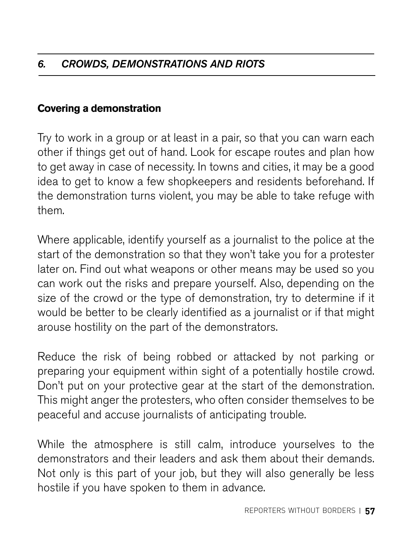#### **Covering a demonstration**

Try to work in a group or at least in a pair, so that you can warn each other if things get out of hand. Look for escape routes and plan how to get away in case of necessity. In towns and cities, it may be a good idea to get to know a few shopkeepers and residents beforehand. If the demonstration turns violent, you may be able to take refuge with them.

Where applicable, identify yourself as a journalist to the police at the start of the demonstration so that they won't take you for a protester later on. Find out what weapons or other means may be used so you can work out the risks and prepare yourself. Also, depending on the size of the crowd or the type of demonstration, try to determine if it would be better to be clearly identified as a journalist or if that might arouse hostility on the part of the demonstrators.

Reduce the risk of being robbed or attacked by not parking or preparing your equipment within sight of a potentially hostile crowd. Don't put on your protective gear at the start of the demonstration. This might anger the protesters, who often consider themselves to be peaceful and accuse journalists of anticipating trouble.

While the atmosphere is still calm, introduce yourselves to the demonstrators and their leaders and ask them about their demands. Not only is this part of your job, but they will also generally be less hostile if you have spoken to them in advance.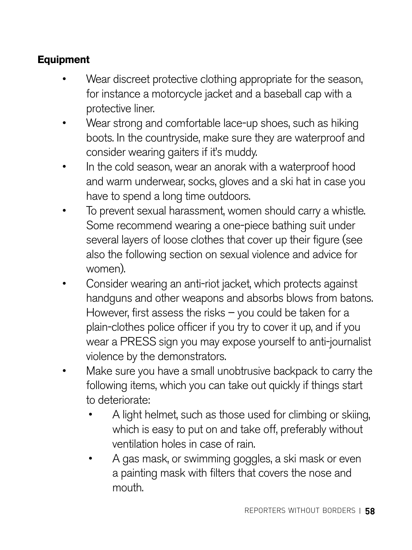#### **Equipment**

- Wear discreet protective clothing appropriate for the season, for instance a motorcycle jacket and a baseball cap with a protective liner.
- Wear strong and comfortable lace-up shoes, such as hiking boots. In the countryside, make sure they are waterproof and consider wearing gaiters if it's muddy.
- In the cold season, wear an anorak with a waterproof hood and warm underwear, socks, gloves and a ski hat in case you have to spend a long time outdoors.
- To prevent sexual harassment, women should carry a whistle. Some recommend wearing a one-piece bathing suit under several layers of loose clothes that cover up their figure (see also the following section on sexual violence and advice for women).
- Consider wearing an anti-riot jacket, which protects against handguns and other weapons and absorbs blows from batons. However, first assess the risks – you could be taken for a plain-clothes police officer if you try to cover it up, and if you wear a PRESS sign you may expose yourself to anti-journalist violence by the demonstrators.
- Make sure you have a small unobtrusive backpack to carry the following items, which you can take out quickly if things start to deteriorate:
	- A light helmet, such as those used for climbing or skiing, which is easy to put on and take off, preferably without ventilation holes in case of rain.
	- A gas mask, or swimming goggles, a ski mask or even a painting mask with filters that covers the nose and mouth.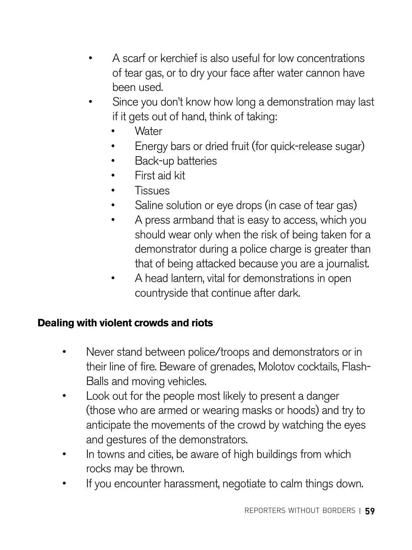- A scarf or kerchief is also useful for low concentrations of tear gas, or to dry your face after water cannon have been used.
- Since you don't know how long a demonstration may last if it gets out of hand, think of taking:
	- **Water**
	- Energy bars or dried fruit (for quick-release sugar)
	- Back-up batteries
	- First aid kit
	- Tissues
	- Saline solution or eye drops (in case of tear gas)
	- A press armband that is easy to access, which you should wear only when the risk of being taken for a demonstrator during a police charge is greater than that of being attacked because you are a journalist.
	- A head lantern, vital for demonstrations in open countryside that continue after dark.

#### **Dealing with violent crowds and riots**

- Never stand between police/troops and demonstrators or in their line of fire. Beware of grenades, Molotov cocktails, Flash-Balls and moving vehicles.
- Look out for the people most likely to present a danger (those who are armed or wearing masks or hoods) and try to anticipate the movements of the crowd by watching the eyes and gestures of the demonstrators.
- In towns and cities, be aware of high buildings from which rocks may be thrown.
- If you encounter harassment, negotiate to calm things down.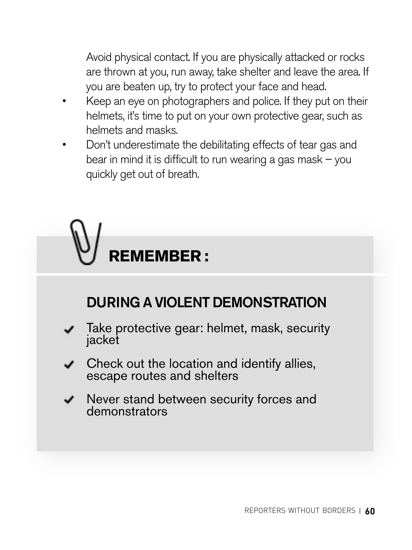Avoid physical contact. If you are physically attacked or rocks are thrown at you, run away, take shelter and leave the area. If you are beaten up, try to protect your face and head.

- Keep an eye on photographers and police. If they put on their helmets, it's time to put on your own protective gear, such as helmets and masks.
- Don't underestimate the debilitating effects of tear gas and bear in mind it is difficult to run wearing a gas mask  $-$  you quickly get out of breath.

## **REMEMBER :**

## DURING A VIOLENT DEMONSTRATION

- Take protective gear: helmet, mask, security jacket
- Check out the location and identify allies, escape routes and shelters
- Never stand between security forces and demonstrators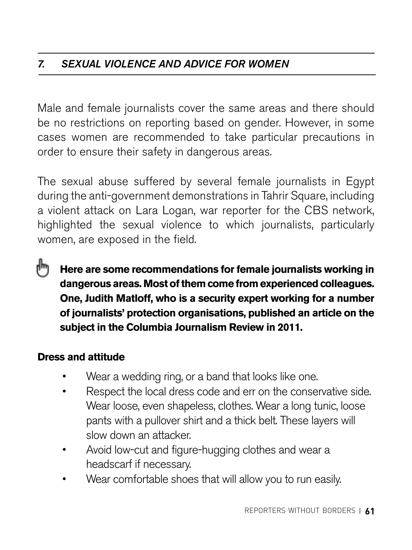#### *7. SEXUAL VIOLENCE AND ADVICE FOR WOMEN*

Male and female journalists cover the same areas and there should be no restrictions on reporting based on gender. However, in some cases women are recommended to take particular precautions in order to ensure their safety in dangerous areas.

The sexual abuse suffered by several female journalists in Egypt during the anti-government demonstrations in Tahrir Square, including a violent attack on Lara Logan, war reporter for the CBS network, highlighted the sexual violence to which journalists, particularly women, are exposed in the field.

**Here are some recommendations for female journalists working in dangerous areas. Most of them come from experienced colleagues. One, Judith Matloff, who is a security expert working for a number of journalists' protection organisations, published an article on the subject in the Columbia Journalism Review in 2011.**

#### **Dress and attitude**

- Wear a wedding ring, or a band that looks like one.
- Respect the local dress code and err on the conservative side. Wear loose, even shapeless, clothes. Wear a long tunic, loose pants with a pullover shirt and a thick belt. These layers will slow down an attacker.
- Avoid low-cut and figure-hugging clothes and wear a headscarf if necessary.
- Wear comfortable shoes that will allow you to run easily.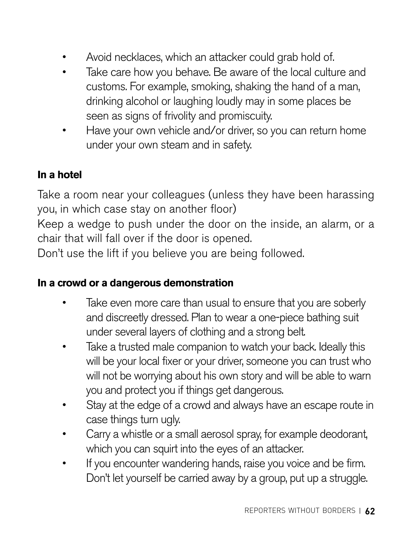- Avoid necklaces, which an attacker could grab hold of.
- Take care how you behave. Be aware of the local culture and customs. For example, smoking, shaking the hand of a man, drinking alcohol or laughing loudly may in some places be seen as signs of frivolity and promiscuity.
- Have your own vehicle and/or driver, so you can return home under your own steam and in safety.

#### **In a hotel**

Take a room near your colleagues (unless they have been harassing you, in which case stay on another floor)

Keep a wedge to push under the door on the inside, an alarm, or a chair that will fall over if the door is opened.

Don't use the lift if you believe you are being followed.

#### **In a crowd or a dangerous demonstration**

- Take even more care than usual to ensure that you are soberly and discreetly dressed. Plan to wear a one-piece bathing suit under several layers of clothing and a strong belt.
- Take a trusted male companion to watch your back. Ideally this will be your local fixer or your driver, someone you can trust who will not be worrying about his own story and will be able to warn you and protect you if things get dangerous.
- Stay at the edge of a crowd and always have an escape route in case things turn ugly.
- Carry a whistle or a small aerosol spray, for example deodorant, which you can squirt into the eyes of an attacker.
- If you encounter wandering hands, raise you voice and be firm. Don't let yourself be carried away by a group, put up a struggle.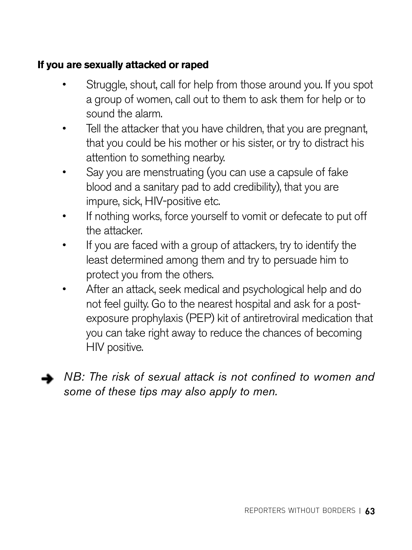#### **If you are sexually attacked or raped**

- Struggle, shout, call for help from those around you. If you spot a group of women, call out to them to ask them for help or to sound the alarm.
- Tell the attacker that you have children, that you are pregnant, that you could be his mother or his sister, or try to distract his attention to something nearby.
- Say you are menstruating (you can use a capsule of fake blood and a sanitary pad to add credibility), that you are impure, sick, HIV-positive etc.
- If nothing works, force yourself to vomit or defecate to put off the attacker.
- If you are faced with a group of attackers, try to identify the least determined among them and try to persuade him to protect you from the others.
- After an attack, seek medical and psychological help and do not feel guilty. Go to the nearest hospital and ask for a postexposure prophylaxis (PEP) kit of antiretroviral medication that you can take right away to reduce the chances of becoming HIV positive.



*NB: The risk of sexual attack is not confined to women and some of these tips may also apply to men.*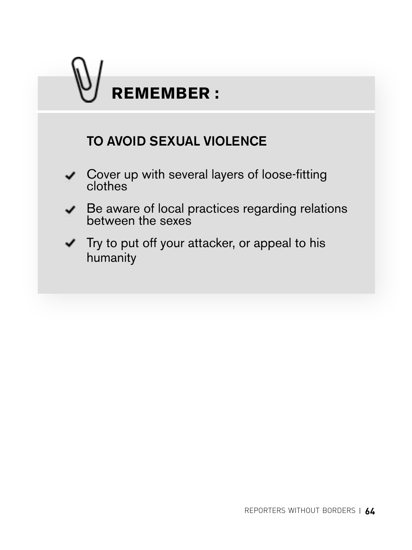## TO AVOID SEXUAL VIOLENCE Cover up with several layers of loose-fitting clothes Be aware of local practices regarding relations between the sexes  $\blacktriangleright$  Try to put off your attacker, or appeal to his humanity **REMEMBER :**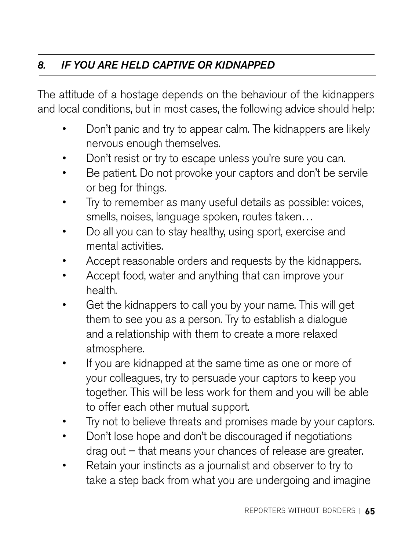#### *8. IF YOU ARE HELD CAPTIVE OR KIDNAPPED*

The attitude of a hostage depends on the behaviour of the kidnappers and local conditions, but in most cases, the following advice should help:

- Don't panic and try to appear calm. The kidnappers are likely nervous enough themselves.
- Don't resist or try to escape unless you're sure you can.
- Be patient. Do not provoke your captors and don't be servile or beg for things.
- Try to remember as many useful details as possible: voices, smells, noises, language spoken, routes taken…
- Do all you can to stay healthy, using sport, exercise and mental activities.
- Accept reasonable orders and requests by the kidnappers.
- Accept food, water and anything that can improve your health.
- Get the kidnappers to call you by your name. This will get them to see you as a person. Try to establish a dialogue and a relationship with them to create a more relaxed atmosphere.
- If you are kidnapped at the same time as one or more of your colleagues, try to persuade your captors to keep you together. This will be less work for them and you will be able to offer each other mutual support.
- Try not to believe threats and promises made by your captors.
- Don't lose hope and don't be discouraged if negotiations drag out – that means your chances of release are greater.
- Retain your instincts as a journalist and observer to try to take a step back from what you are undergoing and imagine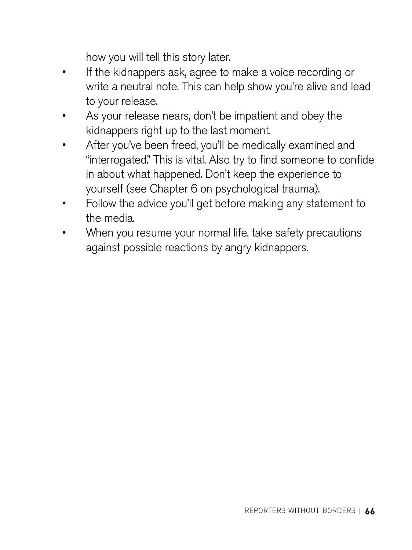how you will tell this story later.

- If the kidnappers ask, agree to make a voice recording or write a neutral note. This can help show you're alive and lead to your release.
- As your release nears, don't be impatient and obey the kidnappers right up to the last moment.
- After you've been freed, you'll be medically examined and "interrogated." This is vital. Also try to find someone to confide in about what happened. Don't keep the experience to yourself (see Chapter 6 on psychological trauma).
- Follow the advice you'll get before making any statement to the media.
- When you resume your normal life, take safety precautions against possible reactions by angry kidnappers.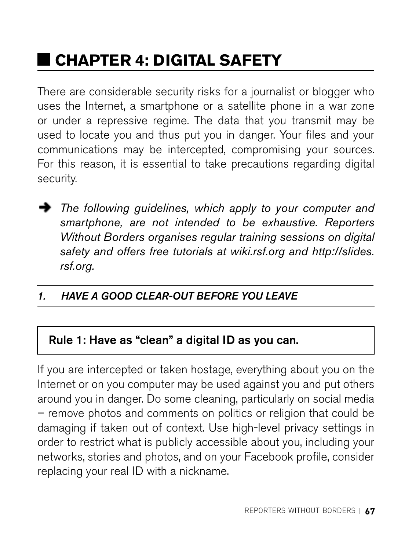## **CHAPTER 4: DIGITAL SAFETY**

There are considerable security risks for a journalist or blogger who uses the Internet, a smartphone or a satellite phone in a war zone or under a repressive regime. The data that you transmit may be used to locate you and thus put you in danger. Your files and your communications may be intercepted, compromising your sources. For this reason, it is essential to take precautions regarding digital security.



*The following guidelines, which apply to your computer and smartphone, are not intended to be exhaustive. Reporters Without Borders organises regular training sessions on digital safety and offers free tutorials at [wiki.rsf.org](http://www.wiki.rsf.org) and [http://slides.](http://slides.rsf.org) [rsf.org.](http://slides.rsf.org)*

#### *1. HAVE A GOOD CLEAR-OUT BEFORE YOU LEAVE*

#### Rule 1: Have as "clean" a digital ID as you can.

If you are intercepted or taken hostage, everything about you on the Internet or on you computer may be used against you and put others around you in danger. Do some cleaning, particularly on social media – remove photos and comments on politics or religion that could be damaging if taken out of context. Use high-level privacy settings in order to restrict what is publicly accessible about you, including your networks, stories and photos, and on your Facebook profile, consider replacing your real ID with a nickname.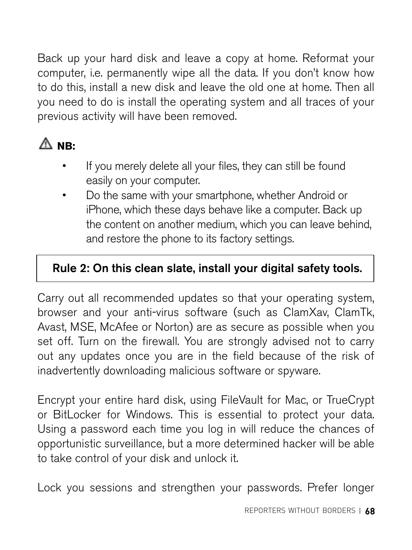Back up your hard disk and leave a copy at home. Reformat your computer, i.e. permanently wipe all the data. If you don't know how to do this, install a new disk and leave the old one at home. Then all you need to do is install the operating system and all traces of your previous activity will have been removed.

### **NB:**

- If you merely delete all your files, they can still be found easily on your computer.
- Do the same with your smartphone, whether Android or iPhone, which these days behave like a computer. Back up the content on another medium, which you can leave behind, and restore the phone to its factory settings.

#### Rule 2: On this clean slate, install your digital safety tools.

Carry out all recommended updates so that your operating system, browser and your anti-virus software (such as ClamXav, ClamTk, Avast, MSE, McAfee or Norton) are as secure as possible when you set off. Turn on the firewall. You are strongly advised not to carry out any updates once you are in the field because of the risk of inadvertently downloading malicious software or spyware.

Encrypt your entire hard disk, using FileVault for Mac, or TrueCrypt or BitLocker for Windows. This is essential to protect your data. Using a password each time you log in will reduce the chances of opportunistic surveillance, but a more determined hacker will be able to take control of your disk and unlock it.

Lock you sessions and strengthen your passwords. Prefer longer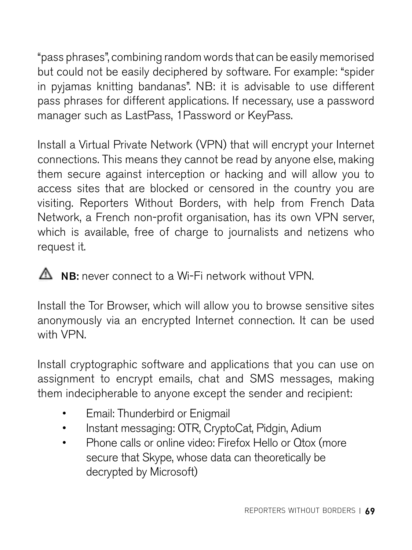"pass phrases", combining random words that can be easily memorised but could not be easily deciphered by software. For example: "spider in pyjamas knitting bandanas". NB: it is advisable to use different pass phrases for different applications. If necessary, use a password manager such as LastPass, 1Password or KeyPass.

Install a Virtual Private Network (VPN) that will encrypt your Internet connections. This means they cannot be read by anyone else, making them secure against interception or hacking and will allow you to access sites that are blocked or censored in the country you are visiting. Reporters Without Borders, with help from French Data Network, a French non-profit organisation, has its own VPN server, which is available, free of charge to journalists and netizens who request it.

 $\triangle$  NB: never connect to a Wi-Fi network without VPN.

Install the Tor Browser, which will allow you to browse sensitive sites anonymously via an encrypted Internet connection. It can be used with VPN.

Install cryptographic software and applications that you can use on assignment to encrypt emails, chat and SMS messages, making them indecipherable to anyone except the sender and recipient:

- Email: Thunderbird or Enigmail
- Instant messaging: OTR, CryptoCat, Pidgin, Adium
- Phone calls or online video: Firefox Hello or Qtox (more secure that Skype, whose data can theoretically be decrypted by Microsoft)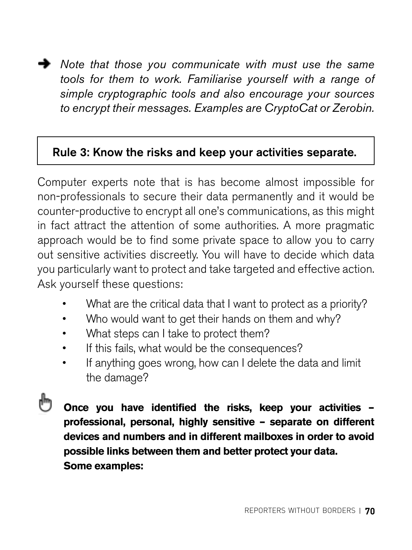*Note that those you communicate with must use the same tools for them to work. Familiarise yourself with a range of simple cryptographic tools and also encourage your sources to encrypt their messages. Examples are CryptoCat or Zerobin.*

#### Rule 3: Know the risks and keep your activities separate.

Computer experts note that is has become almost impossible for non-professionals to secure their data permanently and it would be counter-productive to encrypt all one's communications, as this might in fact attract the attention of some authorities. A more pragmatic approach would be to find some private space to allow you to carry out sensitive activities discreetly. You will have to decide which data you particularly want to protect and take targeted and effective action. Ask yourself these questions:

- What are the critical data that I want to protect as a priority?
- Who would want to get their hands on them and why?
- What steps can I take to protect them?
- If this fails, what would be the consequences?
- If anything goes wrong, how can I delete the data and limit the damage?

**Once you have identified the risks, keep your activities – professional, personal, highly sensitive – separate on different devices and numbers and in different mailboxes in order to avoid possible links between them and better protect your data. Some examples:**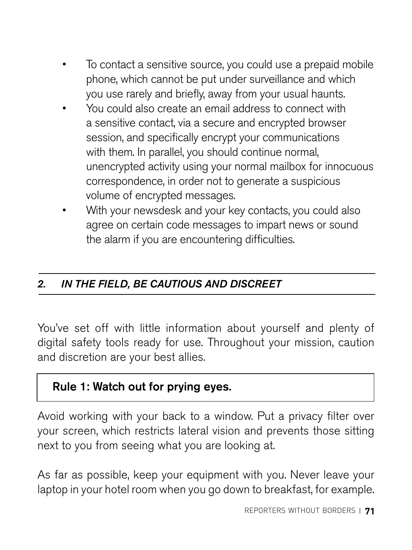- To contact a sensitive source, you could use a prepaid mobile phone, which cannot be put under surveillance and which you use rarely and briefly, away from your usual haunts.
- You could also create an email address to connect with a sensitive contact, via a secure and encrypted browser session, and specifically encrypt your communications with them. In parallel, you should continue normal, unencrypted activity using your normal mailbox for innocuous correspondence, in order not to generate a suspicious volume of encrypted messages.
- With your newsdesk and your key contacts, you could also agree on certain code messages to impart news or sound the alarm if you are encountering difficulties.

#### *2. IN THE FIELD, BE CAUTIOUS AND DISCREET*

You've set off with little information about yourself and plenty of digital safety tools ready for use. Throughout your mission, caution and discretion are your best allies.

#### Rule 1: Watch out for prying eyes.

Avoid working with your back to a window. Put a privacy filter over your screen, which restricts lateral vision and prevents those sitting next to you from seeing what you are looking at.

As far as possible, keep your equipment with you. Never leave your laptop in your hotel room when you go down to breakfast, for example.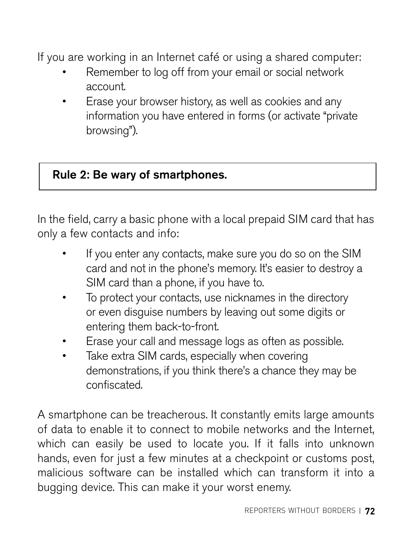If you are working in an Internet café or using a shared computer:

- Remember to log off from your email or social network account.
- Erase your browser history, as well as cookies and any information you have entered in forms (or activate "private browsing").

#### Rule 2: Be wary of smartphones.

In the field, carry a basic phone with a local prepaid SIM card that has only a few contacts and info:

- If you enter any contacts, make sure you do so on the SIM card and not in the phone's memory. It's easier to destroy a SIM card than a phone, if you have to.
- To protect your contacts, use nicknames in the directory or even disguise numbers by leaving out some digits or entering them back-to-front.
- Erase your call and message logs as often as possible.
- Take extra SIM cards, especially when covering demonstrations, if you think there's a chance they may be confiscated.

A smartphone can be treacherous. It constantly emits large amounts of data to enable it to connect to mobile networks and the Internet, which can easily be used to locate you. If it falls into unknown hands, even for just a few minutes at a checkpoint or customs post. malicious software can be installed which can transform it into a bugging device. This can make it your worst enemy.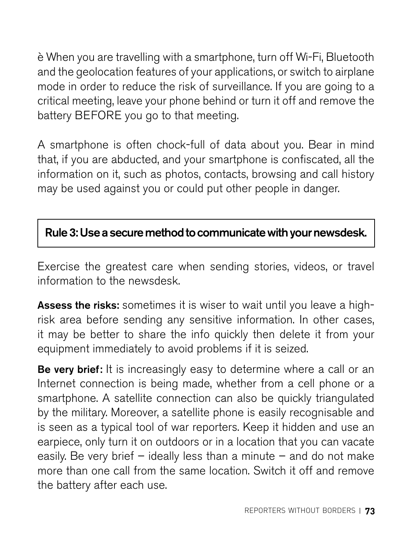è When you are travelling with a smartphone, turn off Wi-Fi, Bluetooth and the geolocation features of your applications, or switch to airplane mode in order to reduce the risk of surveillance. If you are going to a critical meeting, leave your phone behind or turn it off and remove the battery BEFORE you go to that meeting.

A smartphone is often chock-full of data about you. Bear in mind that, if you are abducted, and your smartphone is confiscated, all the information on it, such as photos, contacts, browsing and call history may be used against you or could put other people in danger.

# Rule 3: Use a secure method to communicate with your newsdesk.

Exercise the greatest care when sending stories, videos, or travel information to the newsdesk.

Assess the risks: sometimes it is wiser to wait until you leave a highrisk area before sending any sensitive information. In other cases, it may be better to share the info quickly then delete it from your equipment immediately to avoid problems if it is seized.

Be very brief: It is increasingly easy to determine where a call or an Internet connection is being made, whether from a cell phone or a smartphone. A satellite connection can also be quickly triangulated by the military. Moreover, a satellite phone is easily recognisable and is seen as a typical tool of war reporters. Keep it hidden and use an earpiece, only turn it on outdoors or in a location that you can vacate easily. Be very brief – ideally less than a minute – and do not make more than one call from the same location. Switch it off and remove the battery after each use.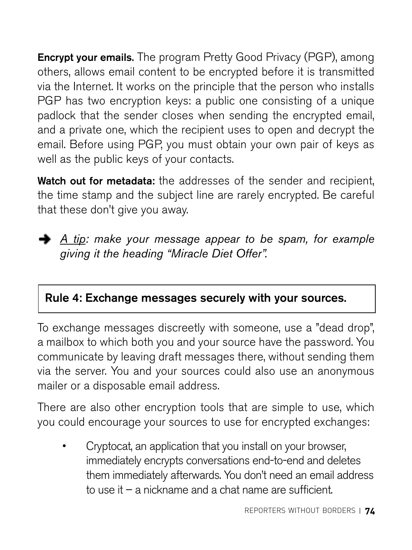Encrypt your emails. The program Pretty Good Privacy (PGP), among others, allows email content to be encrypted before it is transmitted via the Internet. It works on the principle that the person who installs PGP has two encryption keys: a public one consisting of a unique padlock that the sender closes when sending the encrypted email, and a private one, which the recipient uses to open and decrypt the email. Before using PGP, you must obtain your own pair of keys as well as the public keys of your contacts.

Watch out for metadata: the addresses of the sender and recipient, the time stamp and the subject line are rarely encrypted. Be careful that these don't give you away.



*A tip: make your message appear to be spam, for example giving it the heading "Miracle Diet Offer".*

# Rule 4: Exchange messages securely with your sources.

To exchange messages discreetly with someone, use a "dead drop", a mailbox to which both you and your source have the password. You communicate by leaving draft messages there, without sending them via the server. You and your sources could also use an anonymous mailer or a disposable email address.

There are also other encryption tools that are simple to use, which you could encourage your sources to use for encrypted exchanges:

• Cryptocat, an application that you install on your browser, immediately encrypts conversations end-to-end and deletes them immediately afterwards. You don't need an email address to use it – a nickname and a chat name are sufficient.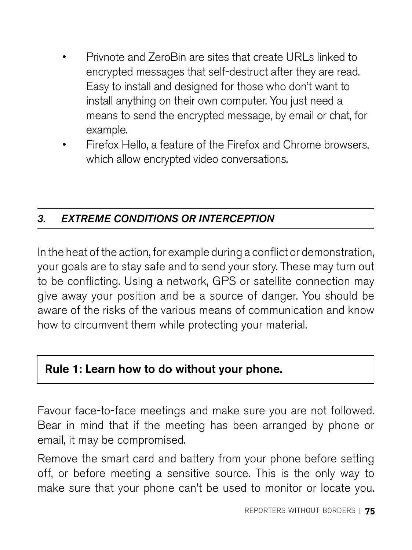- Privnote and ZeroBin are sites that create URLs linked to encrypted messages that self-destruct after they are read. Easy to install and designed for those who don't want to install anything on their own computer. You just need a means to send the encrypted message, by email or chat, for example.
- Firefox Hello, a feature of the Firefox and Chrome browsers, which allow encrypted video conversations.

# *3. EXTREME CONDITIONS OR INTERCEPTION*

In the heat of the action, for example during a conflict or demonstration, your goals are to stay safe and to send your story. These may turn out to be conflicting. Using a network, GPS or satellite connection may give away your position and be a source of danger. You should be aware of the risks of the various means of communication and know how to circumvent them while protecting your material.

# Rule 1: Learn how to do without your phone.

Favour face-to-face meetings and make sure you are not followed. Bear in mind that if the meeting has been arranged by phone or email, it may be compromised.

Remove the smart card and battery from your phone before setting off, or before meeting a sensitive source. This is the only way to make sure that your phone can't be used to monitor or locate you.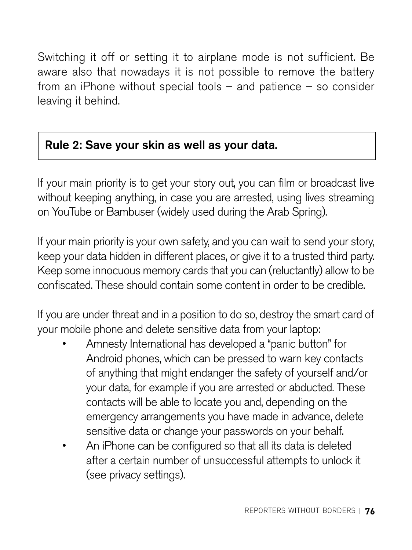Switching it off or setting it to airplane mode is not sufficient. Be aware also that nowadays it is not possible to remove the battery from an iPhone without special tools – and patience – so consider leaving it behind.

# Rule 2: Save your skin as well as your data.

If your main priority is to get your story out, you can film or broadcast live without keeping anything, in case you are arrested, using lives streaming on YouTube or Bambuser (widely used during the Arab Spring).

If your main priority is your own safety, and you can wait to send your story, keep your data hidden in different places, or give it to a trusted third party. Keep some innocuous memory cards that you can (reluctantly) allow to be confiscated. These should contain some content in order to be credible.

If you are under threat and in a position to do so, destroy the smart card of your mobile phone and delete sensitive data from your laptop:

- Amnesty International has developed a "panic button" for Android phones, which can be pressed to warn key contacts of anything that might endanger the safety of yourself and/or your data, for example if you are arrested or abducted. These contacts will be able to locate you and, depending on the emergency arrangements you have made in advance, delete sensitive data or change your passwords on your behalf.
- An iPhone can be configured so that all its data is deleted after a certain number of unsuccessful attempts to unlock it (see privacy settings).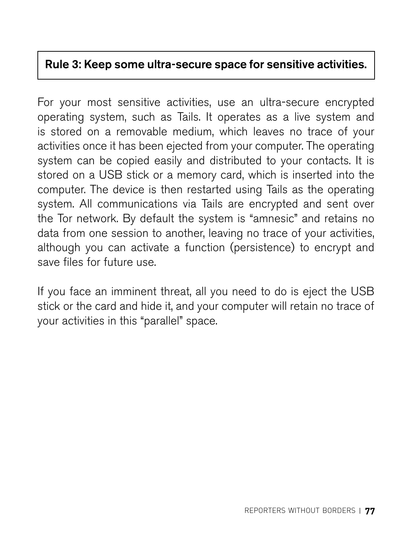## Rule 3: Keep some ultra-secure space for sensitive activities.

For your most sensitive activities, use an ultra-secure encrypted operating system, such as Tails. It operates as a live system and is stored on a removable medium, which leaves no trace of your activities once it has been ejected from your computer. The operating system can be copied easily and distributed to your contacts. It is stored on a USB stick or a memory card, which is inserted into the computer. The device is then restarted using Tails as the operating system. All communications via Tails are encrypted and sent over the Tor network. By default the system is "amnesic" and retains no data from one session to another, leaving no trace of your activities, although you can activate a function (persistence) to encrypt and save files for future use.

If you face an imminent threat, all you need to do is eject the USB stick or the card and hide it, and your computer will retain no trace of your activities in this "parallel" space.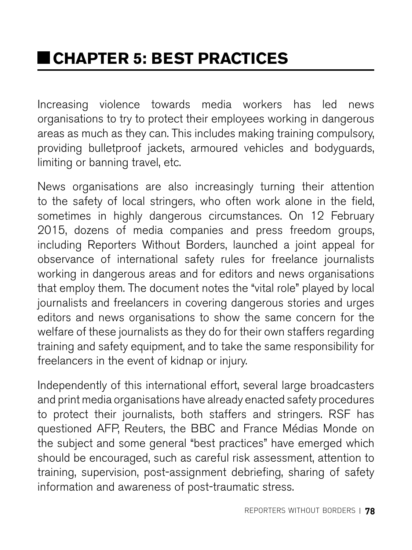Increasing violence towards media workers has led news organisations to try to protect their employees working in dangerous areas as much as they can. This includes making training compulsory, providing bulletproof jackets, armoured vehicles and bodyguards, limiting or banning travel, etc.

News organisations are also increasingly turning their attention to the safety of local stringers, who often work alone in the field, sometimes in highly dangerous circumstances. On 12 February 2015, dozens of media companies and press freedom groups, including Reporters Without Borders, launched a joint appeal for observance of international safety rules for freelance journalists working in dangerous areas and for editors and news organisations that employ them. The document notes the "vital role" played by local journalists and freelancers in covering dangerous stories and urges editors and news organisations to show the same concern for the welfare of these journalists as they do for their own staffers regarding training and safety equipment, and to take the same responsibility for freelancers in the event of kidnap or injury.

Independently of this international effort, several large broadcasters and print media organisations have already enacted safety procedures to protect their journalists, both staffers and stringers. RSF has questioned AFP, Reuters, the BBC and France Médias Monde on the subject and some general "best practices" have emerged which should be encouraged, such as careful risk assessment, attention to training, supervision, post-assignment debriefing, sharing of safety information and awareness of post-traumatic stress.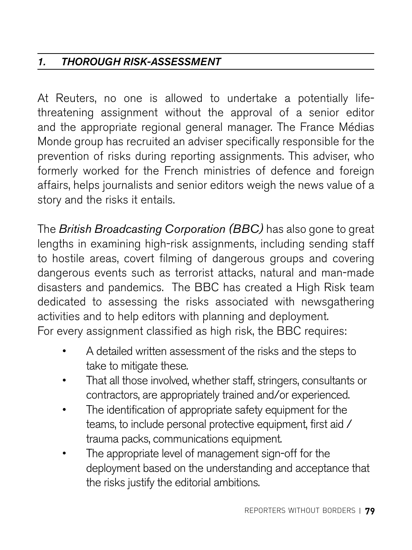# *1. THOROUGH RISK-ASSESSMENT*

At Reuters, no one is allowed to undertake a potentially lifethreatening assignment without the approval of a senior editor and the appropriate regional general manager. The France Médias Monde group has recruited an adviser specifically responsible for the prevention of risks during reporting assignments. This adviser, who formerly worked for the French ministries of defence and foreign affairs, helps journalists and senior editors weigh the news value of a story and the risks it entails.

The *British Broadcasting Corporation (BBC)* has also gone to great lengths in examining high-risk assignments, including sending staff to hostile areas, covert filming of dangerous groups and covering dangerous events such as terrorist attacks, natural and man-made disasters and pandemics. The BBC has created a High Risk team dedicated to assessing the risks associated with newsgathering activities and to help editors with planning and deployment. For every assignment classified as high risk, the BBC requires:

- A detailed written assessment of the risks and the steps to take to mitigate these.
- That all those involved, whether staff, stringers, consultants or contractors, are appropriately trained and/or experienced.
- The identification of appropriate safety equipment for the teams, to include personal protective equipment, first aid / trauma packs, communications equipment.
- The appropriate level of management sign-off for the deployment based on the understanding and acceptance that the risks justify the editorial ambitions.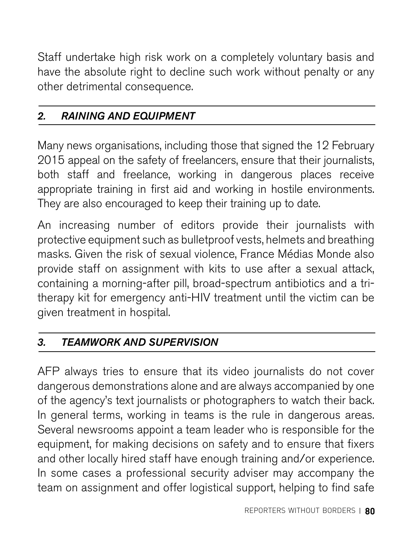Staff undertake high risk work on a completely voluntary basis and have the absolute right to decline such work without penalty or any other detrimental consequence.

# *2. RAINING AND EQUIPMENT*

Many news organisations, including those that signed the 12 February 2015 appeal on the safety of freelancers, ensure that their journalists, both staff and freelance, working in dangerous places receive appropriate training in first aid and working in hostile environments. They are also encouraged to keep their training up to date.

An increasing number of editors provide their journalists with protective equipment such as bulletproof vests, helmets and breathing masks. Given the risk of sexual violence, France Médias Monde also provide staff on assignment with kits to use after a sexual attack, containing a morning-after pill, broad-spectrum antibiotics and a tritherapy kit for emergency anti-HIV treatment until the victim can be given treatment in hospital.

## *3. TEAMWORK AND SUPERVISION*

AFP always tries to ensure that its video journalists do not cover dangerous demonstrations alone and are always accompanied by one of the agency's text journalists or photographers to watch their back. In general terms, working in teams is the rule in dangerous areas. Several newsrooms appoint a team leader who is responsible for the equipment, for making decisions on safety and to ensure that fixers and other locally hired staff have enough training and/or experience. In some cases a professional security adviser may accompany the team on assignment and offer logistical support, helping to find safe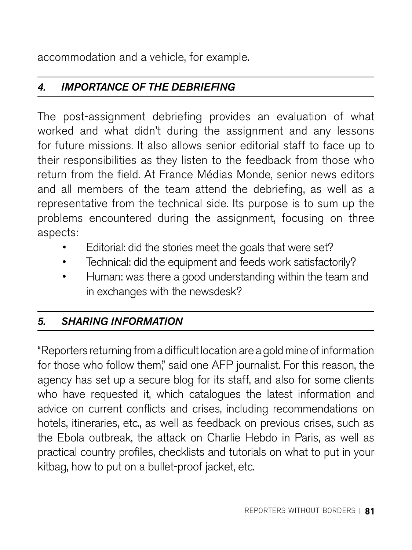accommodation and a vehicle, for example.

# *4. IMPORTANCE OF THE DEBRIEFING*

The post-assignment debriefing provides an evaluation of what worked and what didn't during the assignment and any lessons for future missions. It also allows senior editorial staff to face up to their responsibilities as they listen to the feedback from those who return from the field. At France Médias Monde, senior news editors and all members of the team attend the debriefing, as well as a representative from the technical side. Its purpose is to sum up the problems encountered during the assignment, focusing on three aspects:

- Editorial: did the stories meet the goals that were set?
- Technical: did the equipment and feeds work satisfactorily?
- Human: was there a good understanding within the team and in exchanges with the newsdesk?

# *5. SHARING INFORMATION*

"Reporters returning from a difficult location are a gold mine of information for those who follow them," said one AFP journalist. For this reason, the agency has set up a secure blog for its staff, and also for some clients who have requested it, which catalogues the latest information and advice on current conflicts and crises, including recommendations on hotels, itineraries, etc., as well as feedback on previous crises, such as the Ebola outbreak, the attack on Charlie Hebdo in Paris, as well as practical country profiles, checklists and tutorials on what to put in your kitbag, how to put on a bullet-proof jacket, etc.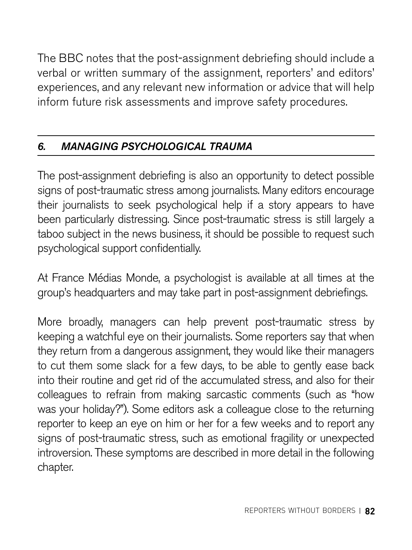The BBC notes that the post-assignment debriefing should include a verbal or written summary of the assignment, reporters' and editors' experiences, and any relevant new information or advice that will help inform future risk assessments and improve safety procedures.

# *6. MANAGING PSYCHOLOGICAL TRAUMA*

The post-assignment debriefing is also an opportunity to detect possible signs of post-traumatic stress among journalists. Many editors encourage their journalists to seek psychological help if a story appears to have been particularly distressing. Since post-traumatic stress is still largely a taboo subject in the news business, it should be possible to request such psychological support confidentially.

At France Médias Monde, a psychologist is available at all times at the group's headquarters and may take part in post-assignment debriefings.

More broadly, managers can help prevent post-traumatic stress by keeping a watchful eye on their journalists. Some reporters say that when they return from a dangerous assignment, they would like their managers to cut them some slack for a few days, to be able to gently ease back into their routine and get rid of the accumulated stress, and also for their colleagues to refrain from making sarcastic comments (such as "how was your holiday?"). Some editors ask a colleague close to the returning reporter to keep an eye on him or her for a few weeks and to report any signs of post-traumatic stress, such as emotional fragility or unexpected introversion. These symptoms are described in more detail in the following chapter.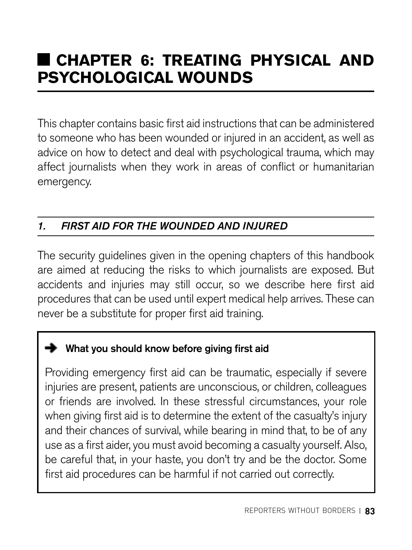# **CHAPTER 6: TREATING PHYSICAL AND PSYCHOLOGICAL WOUNDS**

This chapter contains basic first aid instructions that can be administered to someone who has been wounded or injured in an accident, as well as advice on how to detect and deal with psychological trauma, which may affect journalists when they work in areas of conflict or humanitarian emergency.

# *1. FIRST AID FOR THE WOUNDED AND INJURED*

The security guidelines given in the opening chapters of this handbook are aimed at reducing the risks to which journalists are exposed. But accidents and injuries may still occur, so we describe here first aid procedures that can be used until expert medical help arrives. These can never be a substitute for proper first aid training.

## What you should know before giving first aid

Providing emergency first aid can be traumatic, especially if severe injuries are present, patients are unconscious, or children, colleagues or friends are involved. In these stressful circumstances, your role when giving first aid is to determine the extent of the casualty's injury and their chances of survival, while bearing in mind that, to be of any use as a first aider, you must avoid becoming a casualty yourself. Also, be careful that, in your haste, you don't try and be the doctor. Some first aid procedures can be harmful if not carried out correctly.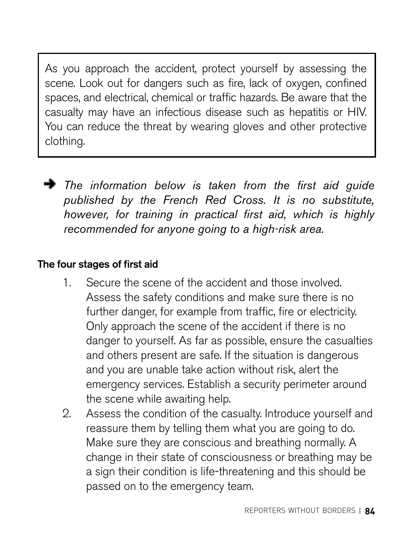As you approach the accident, protect yourself by assessing the scene. Look out for dangers such as fire, lack of oxygen, confined spaces, and electrical, chemical or traffic hazards. Be aware that the casualty may have an infectious disease such as hepatitis or HIV. You can reduce the threat by wearing gloves and other protective clothing.

*The information below is taken from the first aid guide published by the French Red Cross. It is no substitute, however, for training in practical first aid, which is highly recommended for anyone going to a high-risk area.* 

## The four stages of first aid

- 1. Secure the scene of the accident and those involved. Assess the safety conditions and make sure there is no further danger, for example from traffic, fire or electricity. Only approach the scene of the accident if there is no danger to yourself. As far as possible, ensure the casualties and others present are safe. If the situation is dangerous and you are unable take action without risk, alert the emergency services. Establish a security perimeter around the scene while awaiting help.
- 2. Assess the condition of the casualty. Introduce yourself and reassure them by telling them what you are going to do. Make sure they are conscious and breathing normally. A change in their state of consciousness or breathing may be a sign their condition is life-threatening and this should be passed on to the emergency team.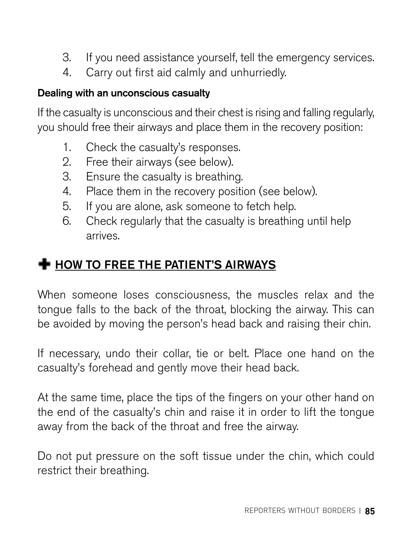- 3. If you need assistance yourself, tell the emergency services.
- 4. Carry out first aid calmly and unhurriedly.

#### Dealing with an unconscious casualty

If the casualty is unconscious and their chest is rising and falling regularly, you should free their airways and place them in the recovery position:

- 1. Check the casualty's responses.
- 2. Free their airways (see below).
- 3. Ensure the casualty is breathing.
- 4. Place them in the recovery position (see below).
- 5. If you are alone, ask someone to fetch help.
- 6. Check regularly that the casualty is breathing until help arrives.

# $\blacktriangleright$  HOW TO FREE THE PATIENT'S AIRWAYS

When someone loses consciousness, the muscles relax and the tongue falls to the back of the throat, blocking the airway. This can be avoided by moving the person's head back and raising their chin.

If necessary, undo their collar, tie or belt. Place one hand on the casualty's forehead and gently move their head back.

At the same time, place the tips of the fingers on your other hand on the end of the casualty's chin and raise it in order to lift the tongue away from the back of the throat and free the airway.

Do not put pressure on the soft tissue under the chin, which could restrict their breathing.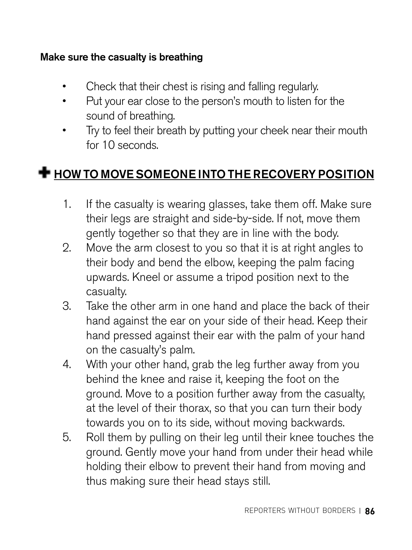#### Make sure the casualty is breathing

- Check that their chest is rising and falling regularly.
- Put your ear close to the person's mouth to listen for the sound of breathing.
- Try to feel their breath by putting your cheek near their mouth for 10 seconds.

# **+** HOW TO MOVE SOMEONE INTO THE RECOVERY POSITION

- 1. If the casualty is wearing glasses, take them off. Make sure their legs are straight and side-by-side. If not, move them gently together so that they are in line with the body.
- 2. Move the arm closest to you so that it is at right angles to their body and bend the elbow, keeping the palm facing upwards. Kneel or assume a tripod position next to the casualty.
- 3. Take the other arm in one hand and place the back of their hand against the ear on your side of their head. Keep their hand pressed against their ear with the palm of your hand on the casualty's palm.
- 4. With your other hand, grab the leg further away from you behind the knee and raise it, keeping the foot on the ground. Move to a position further away from the casualty, at the level of their thorax, so that you can turn their body towards you on to its side, without moving backwards.
- 5. Roll them by pulling on their leg until their knee touches the ground. Gently move your hand from under their head while holding their elbow to prevent their hand from moving and thus making sure their head stays still.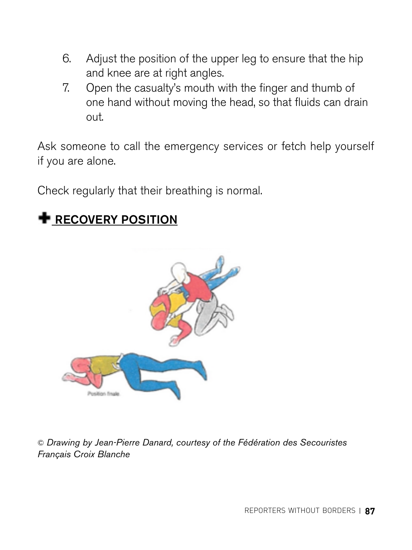- 6. Adjust the position of the upper leg to ensure that the hip and knee are at right angles.
- 7. Open the casualty's mouth with the finger and thumb of one hand without moving the head, so that fluids can drain out.

Ask someone to call the emergency services or fetch help yourself if you are alone.

Check regularly that their breathing is normal.

# **+** RECOVERY POSITION



© *Drawing by Jean-Pierre Danard, courtesy of the Fédération des Secouristes Français Croix Blanche*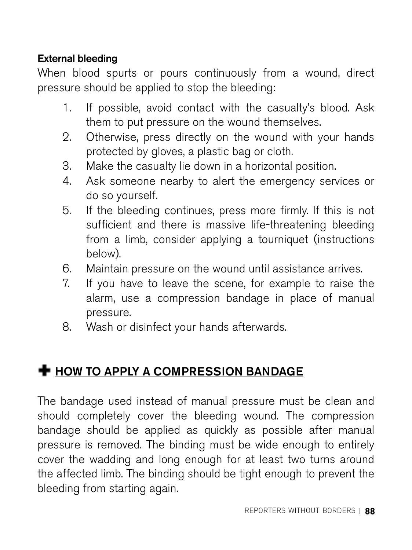## External bleeding

When blood spurts or pours continuously from a wound, direct pressure should be applied to stop the bleeding:

- 1. If possible, avoid contact with the casualty's blood. Ask them to put pressure on the wound themselves.
- 2. Otherwise, press directly on the wound with your hands protected by gloves, a plastic bag or cloth.
- 3. Make the casualty lie down in a horizontal position.
- 4. Ask someone nearby to alert the emergency services or do so yourself.
- 5. If the bleeding continues, press more firmly. If this is not sufficient and there is massive life-threatening bleeding from a limb, consider applying a tourniquet (instructions below).
- 6. Maintain pressure on the wound until assistance arrives.
- 7. If you have to leave the scene, for example to raise the alarm, use a compression bandage in place of manual pressure.
- 8. Wash or disinfect your hands afterwards.

# **+ HOW TO APPLY A COMPRESSION BANDAGE**

The bandage used instead of manual pressure must be clean and should completely cover the bleeding wound. The compression bandage should be applied as quickly as possible after manual pressure is removed. The binding must be wide enough to entirely cover the wadding and long enough for at least two turns around the affected limb. The binding should be tight enough to prevent the bleeding from starting again.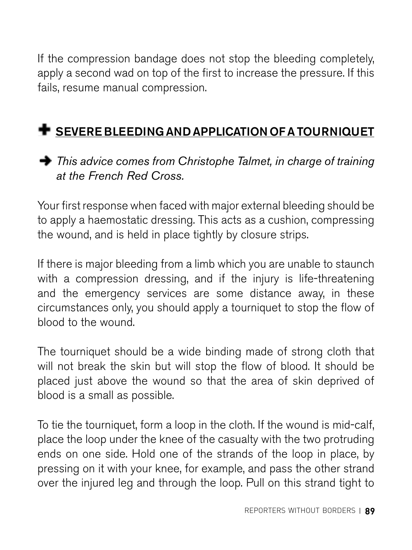If the compression bandage does not stop the bleeding completely, apply a second wad on top of the first to increase the pressure. If this fails, resume manual compression.

# **SEVERE BLEEDING AND APPLICATION OF A TOURNIQUET**



Your first response when faced with major external bleeding should be to apply a haemostatic dressing. This acts as a cushion, compressing the wound, and is held in place tightly by closure strips.

If there is major bleeding from a limb which you are unable to staunch with a compression dressing, and if the injury is life-threatening and the emergency services are some distance away, in these circumstances only, you should apply a tourniquet to stop the flow of blood to the wound.

The tourniquet should be a wide binding made of strong cloth that will not break the skin but will stop the flow of blood. It should be placed just above the wound so that the area of skin deprived of blood is a small as possible.

To tie the tourniquet, form a loop in the cloth. If the wound is mid-calf, place the loop under the knee of the casualty with the two protruding ends on one side. Hold one of the strands of the loop in place, by pressing on it with your knee, for example, and pass the other strand over the injured leg and through the loop. Pull on this strand tight to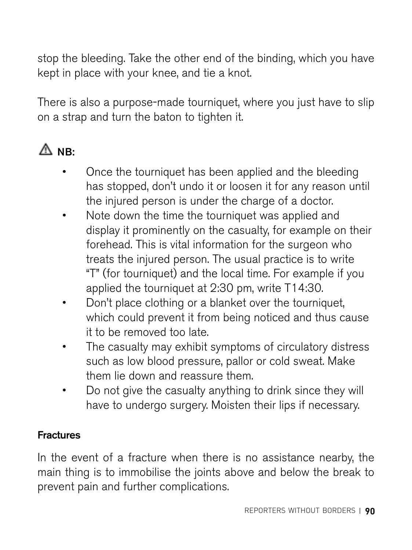stop the bleeding. Take the other end of the binding, which you have kept in place with your knee, and tie a knot.

There is also a purpose-made tourniquet, where you just have to slip on a strap and turn the baton to tighten it.

# $\bigwedge$  NR:

- Once the tourniquet has been applied and the bleeding has stopped, don't undo it or loosen it for any reason until the injured person is under the charge of a doctor.
- Note down the time the tourniquet was applied and display it prominently on the casualty, for example on their forehead. This is vital information for the surgeon who treats the injured person. The usual practice is to write "T" (for tourniquet) and the local time. For example if you applied the tourniquet at 2:30 pm, write T14:30.
- Don't place clothing or a blanket over the tourniquet, which could prevent it from being noticed and thus cause it to be removed too late.
- The casualty may exhibit symptoms of circulatory distress such as low blood pressure, pallor or cold sweat. Make them lie down and reassure them.
- Do not give the casualty anything to drink since they will have to undergo surgery. Moisten their lips if necessary.

# **Fractures**

In the event of a fracture when there is no assistance nearby, the main thing is to immobilise the joints above and below the break to prevent pain and further complications.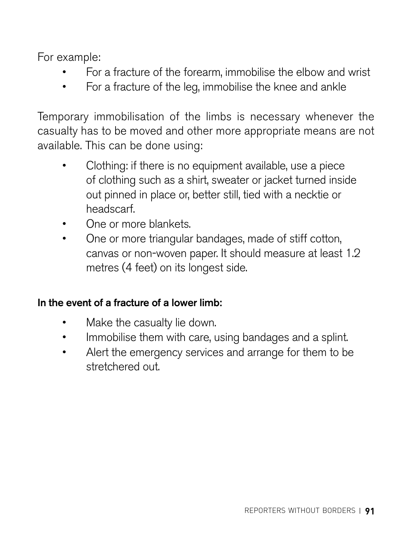For example:

- For a fracture of the forearm, immobilise the elbow and wrist
- For a fracture of the leg, immobilise the knee and ankle

Temporary immobilisation of the limbs is necessary whenever the casualty has to be moved and other more appropriate means are not available. This can be done using:

- Clothing: if there is no equipment available, use a piece of clothing such as a shirt, sweater or jacket turned inside out pinned in place or, better still, tied with a necktie or headscarf.
- One or more blankets.
- One or more triangular bandages, made of stiff cotton, canvas or non-woven paper. It should measure at least 1.2 metres (4 feet) on its longest side.

#### In the event of a fracture of a lower limb:

- Make the casualty lie down.
- Immobilise them with care, using bandages and a splint.
- Alert the emergency services and arrange for them to be stretchered out.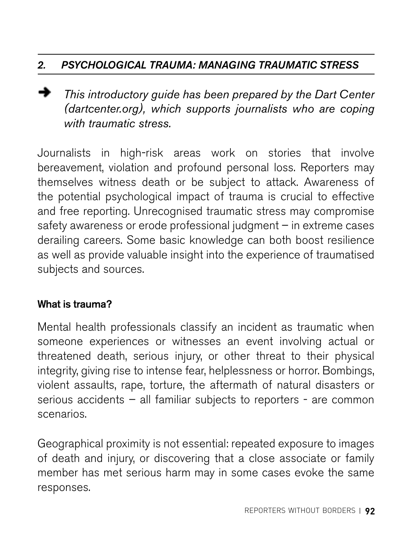# *2. PSYCHOLOGICAL TRAUMA: MANAGING TRAUMATIC STRESS*

*This introductory guide has been prepared by the Dart Center (dartcenter.org), which supports journalists who are coping with traumatic stress.* 

Journalists in high-risk areas work on stories that involve bereavement, violation and profound personal loss. Reporters may themselves witness death or be subject to attack. Awareness of the potential psychological impact of trauma is crucial to effective and free reporting. Unrecognised traumatic stress may compromise safety awareness or erode professional judgment – in extreme cases derailing careers. Some basic knowledge can both boost resilience as well as provide valuable insight into the experience of traumatised subjects and sources.

## What is trauma?

Mental health professionals classify an incident as traumatic when someone experiences or witnesses an event involving actual or threatened death, serious injury, or other threat to their physical integrity, giving rise to intense fear, helplessness or horror. Bombings, violent assaults, rape, torture, the aftermath of natural disasters or serious accidents – all familiar subjects to reporters - are common scenarios.

Geographical proximity is not essential: repeated exposure to images of death and injury, or discovering that a close associate or family member has met serious harm may in some cases evoke the same responses.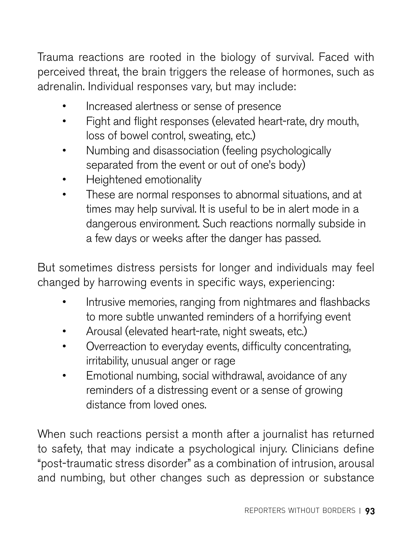Trauma reactions are rooted in the biology of survival. Faced with perceived threat, the brain triggers the release of hormones, such as adrenalin. Individual responses vary, but may include:

- Increased alertness or sense of presence
- Fight and flight responses (elevated heart-rate, dry mouth, loss of bowel control, sweating, etc.)
- Numbing and disassociation (feeling psychologically separated from the event or out of one's body)
- Heightened emotionality
- These are normal responses to abnormal situations, and at times may help survival. It is useful to be in alert mode in a dangerous environment. Such reactions normally subside in a few days or weeks after the danger has passed.

But sometimes distress persists for longer and individuals may feel changed by harrowing events in specific ways, experiencing:

- Intrusive memories, ranging from nightmares and flashbacks to more subtle unwanted reminders of a horrifying event
- Arousal (elevated heart-rate, night sweats, etc.)
- Overreaction to everyday events, difficulty concentrating, irritability, unusual anger or rage
- Emotional numbing, social withdrawal, avoidance of any reminders of a distressing event or a sense of growing distance from loved ones.

When such reactions persist a month after a journalist has returned to safety, that may indicate a psychological injury. Clinicians define "post-traumatic stress disorder" as a combination of intrusion, arousal and numbing, but other changes such as depression or substance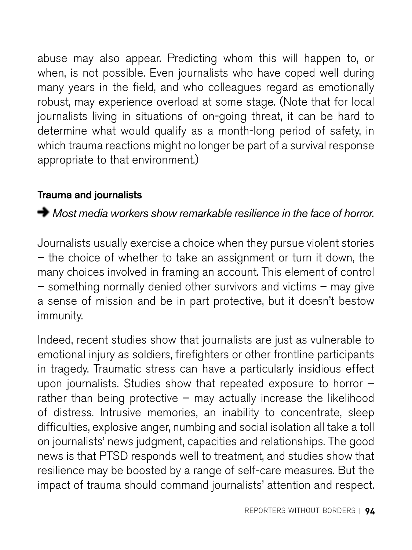abuse may also appear. Predicting whom this will happen to, or when, is not possible. Even journalists who have coped well during many years in the field, and who colleagues regard as emotionally robust, may experience overload at some stage. (Note that for local journalists living in situations of on-going threat, it can be hard to determine what would qualify as a month-long period of safety, in which trauma reactions might no longer be part of a survival response appropriate to that environment.)

#### Trauma and journalists

# *Most media workers show remarkable resilience in the face of horror.*

Journalists usually exercise a choice when they pursue violent stories – the choice of whether to take an assignment or turn it down, the many choices involved in framing an account. This element of control – something normally denied other survivors and victims – may give a sense of mission and be in part protective, but it doesn't bestow immunity.

Indeed, recent studies show that journalists are just as vulnerable to emotional injury as soldiers, firefighters or other frontline participants in tragedy. Traumatic stress can have a particularly insidious effect upon journalists. Studies show that repeated exposure to horror – rather than being protective – may actually increase the likelihood of distress. Intrusive memories, an inability to concentrate, sleep difficulties, explosive anger, numbing and social isolation all take a toll on journalists' news judgment, capacities and relationships. The good news is that PTSD responds well to treatment, and studies show that resilience may be boosted by a range of self-care measures. But the impact of trauma should command journalists' attention and respect.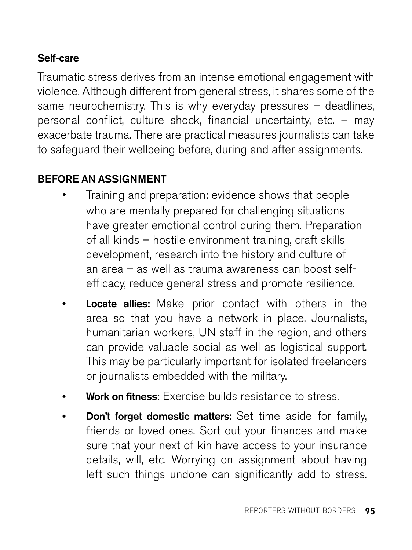## Self-care

Traumatic stress derives from an intense emotional engagement with violence. Although different from general stress, it shares some of the same neurochemistry. This is why everyday pressures – deadlines, personal conflict, culture shock, financial uncertainty, etc. – may exacerbate trauma. There are practical measures journalists can take to safeguard their wellbeing before, during and after assignments.

## BEFORE AN ASSIGNMENT

- Training and preparation: evidence shows that people who are mentally prepared for challenging situations have greater emotional control during them. Preparation of all kinds – hostile environment training, craft skills development, research into the history and culture of an area – as well as trauma awareness can boost selfefficacy, reduce general stress and promote resilience.
- **Locate allies:** Make prior contact with others in the area so that you have a network in place. Journalists, humanitarian workers, UN staff in the region, and others can provide valuable social as well as logistical support. This may be particularly important for isolated freelancers or journalists embedded with the military.
- Work on fitness: Exercise builds resistance to stress.
- **Don't forget domestic matters:** Set time aside for family. friends or loved ones. Sort out your finances and make sure that your next of kin have access to your insurance details, will, etc. Worrying on assignment about having left such things undone can significantly add to stress.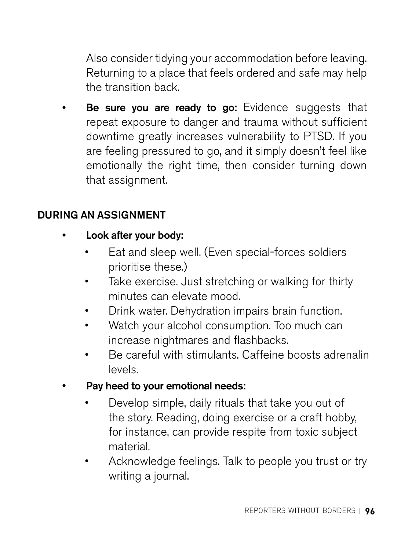Also consider tidying your accommodation before leaving. Returning to a place that feels ordered and safe may help the transition back.

Be sure you are ready to go: Evidence suggests that repeat exposure to danger and trauma without sufficient downtime greatly increases vulnerability to PTSD. If you are feeling pressured to go, and it simply doesn't feel like emotionally the right time, then consider turning down that assignment.

### DURING AN ASSIGNMENT

- Look after your body:
	- Eat and sleep well. (Even special-forces soldiers prioritise these.)
	- Take exercise. Just stretching or walking for thirty minutes can elevate mood.
	- Drink water. Dehydration impairs brain function.
	- Watch your alcohol consumption. Too much can increase nightmares and flashbacks.
	- Be careful with stimulants. Caffeine boosts adrenalin levels.
- Pay heed to your emotional needs:
	- Develop simple, daily rituals that take you out of the story. Reading, doing exercise or a craft hobby, for instance, can provide respite from toxic subject material.
	- Acknowledge feelings. Talk to people you trust or try writing a journal.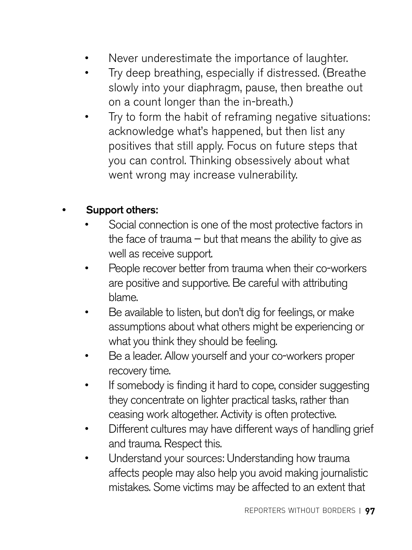- Never underestimate the importance of laughter.
- Try deep breathing, especially if distressed. (Breathe slowly into your diaphragm, pause, then breathe out on a count longer than the in-breath.)
- Try to form the habit of reframing negative situations: acknowledge what's happened, but then list any positives that still apply. Focus on future steps that you can control. Thinking obsessively about what went wrong may increase vulnerability.

#### Support others:

- Social connection is one of the most protective factors in the face of trauma  $-$  but that means the ability to give as well as receive support.
- People recover better from trauma when their co-workers are positive and supportive. Be careful with attributing blame.
- Be available to listen, but don't dig for feelings, or make assumptions about what others might be experiencing or what you think they should be feeling.
- Be a leader. Allow yourself and your co-workers proper recovery time.
- If somebody is finding it hard to cope, consider suggesting they concentrate on lighter practical tasks, rather than ceasing work altogether. Activity is often protective.
- Different cultures may have different ways of handling grief and trauma. Respect this.
- Understand your sources: Understanding how trauma affects people may also help you avoid making journalistic mistakes. Some victims may be affected to an extent that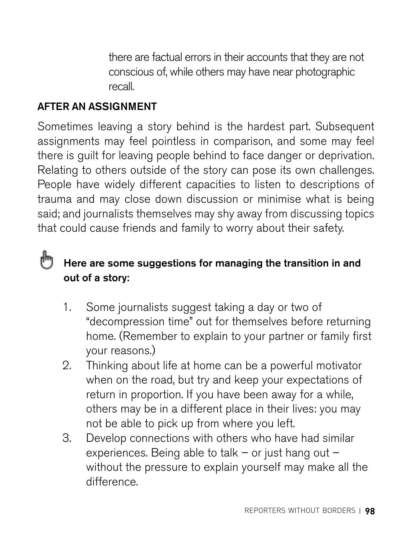there are factual errors in their accounts that they are not conscious of, while others may have near photographic recall.

# AFTER AN ASSIGNMENT

Sometimes leaving a story behind is the hardest part. Subsequent assignments may feel pointless in comparison, and some may feel there is guilt for leaving people behind to face danger or deprivation. Relating to others outside of the story can pose its own challenges. People have widely different capacities to listen to descriptions of trauma and may close down discussion or minimise what is being said; and journalists themselves may shy away from discussing topics that could cause friends and family to worry about their safety.

#### ďη Here are some suggestions for managing the transition in and out of a story:

- 1. Some journalists suggest taking a day or two of "decompression time" out for themselves before returning home. (Remember to explain to your partner or family first your reasons.)
- 2. Thinking about life at home can be a powerful motivator when on the road, but try and keep your expectations of return in proportion. If you have been away for a while, others may be in a different place in their lives: you may not be able to pick up from where you left.
- 3. Develop connections with others who have had similar experiences. Being able to talk – or just hang out – without the pressure to explain yourself may make all the difference.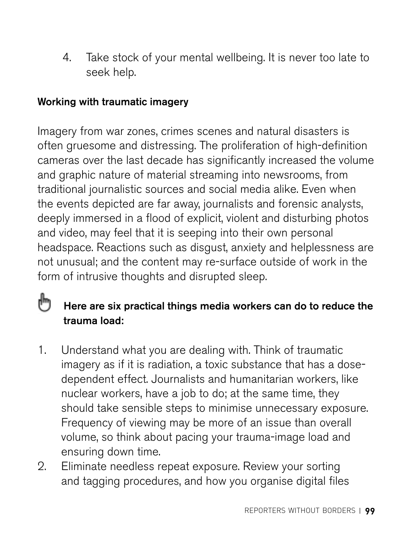4. Take stock of your mental wellbeing. It is never too late to seek help.

## Working with traumatic imagery

Imagery from war zones, crimes scenes and natural disasters is often gruesome and distressing. The proliferation of high-definition cameras over the last decade has significantly increased the volume and graphic nature of material streaming into newsrooms, from traditional journalistic sources and social media alike. Even when the events depicted are far away, journalists and forensic analysts, deeply immersed in a flood of explicit, violent and disturbing photos and video, may feel that it is seeping into their own personal headspace. Reactions such as disgust, anxiety and helplessness are not unusual; and the content may re-surface outside of work in the form of intrusive thoughts and disrupted sleep.

#### կայ Here are six practical things media workers can do to reduce the trauma load:

- 1. Understand what you are dealing with. Think of traumatic imagery as if it is radiation, a toxic substance that has a dosedependent effect. Journalists and humanitarian workers, like nuclear workers, have a job to do; at the same time, they should take sensible steps to minimise unnecessary exposure. Frequency of viewing may be more of an issue than overall volume, so think about pacing your trauma-image load and ensuring down time.
- 2. Eliminate needless repeat exposure. Review your sorting and tagging procedures, and how you organise digital files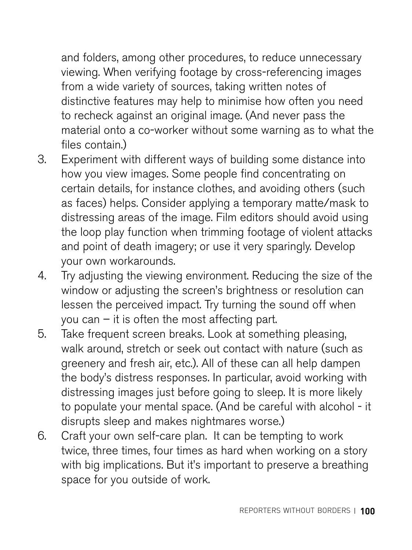and folders, among other procedures, to reduce unnecessary viewing. When verifying footage by cross-referencing images from a wide variety of sources, taking written notes of distinctive features may help to minimise how often you need to recheck against an original image. (And never pass the material onto a co-worker without some warning as to what the files contain.)

- 3. Experiment with different ways of building some distance into how you view images. Some people find concentrating on certain details, for instance clothes, and avoiding others (such as faces) helps. Consider applying a temporary matte/mask to distressing areas of the image. Film editors should avoid using the loop play function when trimming footage of violent attacks and point of death imagery; or use it very sparingly. Develop your own workarounds.
- 4. Try adjusting the viewing environment. Reducing the size of the window or adjusting the screen's brightness or resolution can lessen the perceived impact. Try turning the sound off when you can – it is often the most affecting part.
- 5. Take frequent screen breaks. Look at something pleasing, walk around, stretch or seek out contact with nature (such as greenery and fresh air, etc.). All of these can all help dampen the body's distress responses. In particular, avoid working with distressing images just before going to sleep. It is more likely to populate your mental space. (And be careful with alcohol - it disrupts sleep and makes nightmares worse.)
- 6. Craft your own self-care plan. It can be tempting to work twice, three times, four times as hard when working on a story with big implications. But it's important to preserve a breathing space for you outside of work.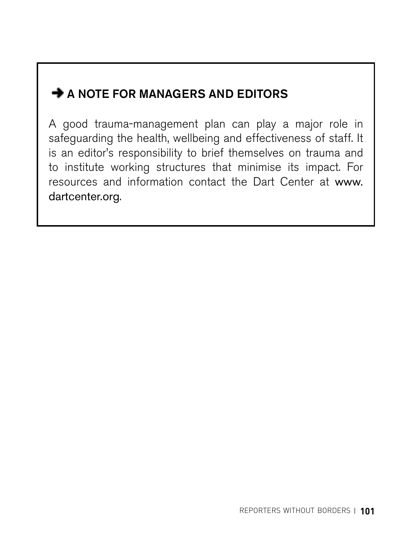# $\rightarrow$  A NOTE FOR MANAGERS AND EDITORS

A good trauma-management plan can play a major role in safeguarding the health, wellbeing and effectiveness of staff. It is an editor's responsibility to brief themselves on trauma and to institute working structures that minimise its impact. For resources and information contact the Dart Center at [www.](http://www.dartcenter.org) [dartcenter.org](http://www.dartcenter.org).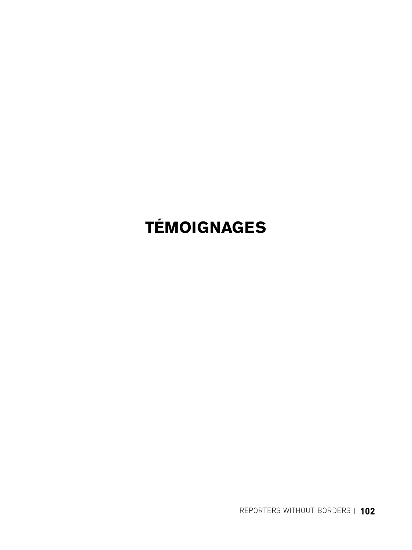# **TÉMOIGNAGES**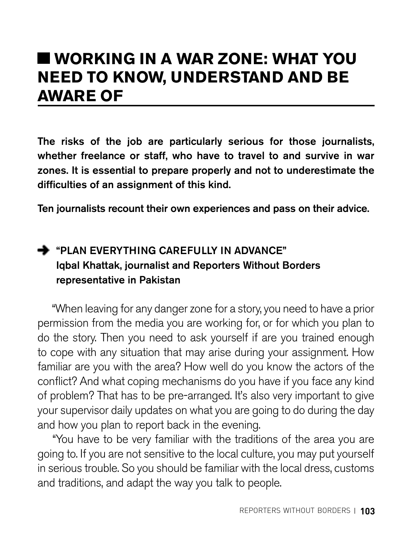# **WORKING IN A WAR ZONE: WHAT YOU NEED TO KNOW, UNDERSTAND AND BE AWARE OF**

The risks of the job are particularly serious for those journalists, whether freelance or staff, who have to travel to and survive in war zones. It is essential to prepare properly and not to underestimate the difficulties of an assignment of this kind.

Ten journalists recount their own experiences and pass on their advice.

# **+** "PLAN EVERYTHING CAREFULLY IN ADVANCE" Iqbal Khattak, journalist and Reporters Without Borders representative in Pakistan

"When leaving for any danger zone for a story, you need to have a prior permission from the media you are working for, or for which you plan to do the story. Then you need to ask yourself if are you trained enough to cope with any situation that may arise during your assignment. How familiar are you with the area? How well do you know the actors of the conflict? And what coping mechanisms do you have if you face any kind of problem? That has to be pre-arranged. It's also very important to give your supervisor daily updates on what you are going to do during the day and how you plan to report back in the evening.

 "You have to be very familiar with the traditions of the area you are going to. If you are not sensitive to the local culture, you may put yourself in serious trouble. So you should be familiar with the local dress, customs and traditions, and adapt the way you talk to people.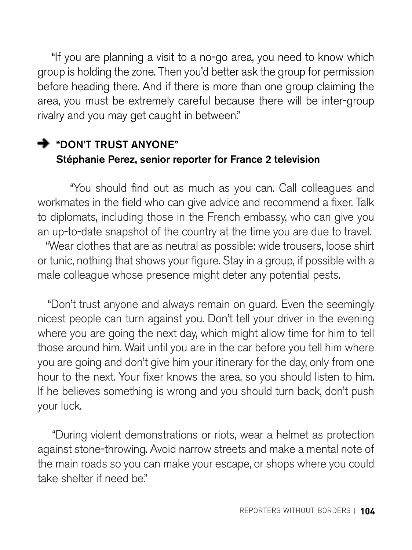"If you are planning a visit to a no-go area, you need to know which group is holding the zone. Then you'd better ask the group for permission before heading there. And if there is more than one group claiming the area, you must be extremely careful because there will be inter-group rivalry and you may get caught in between."

# **DON'T TRUST ANYONE"** Stéphanie Perez, senior reporter for France 2 television

 "You should find out as much as you can. Call colleagues and workmates in the field who can give advice and recommend a fixer. Talk to diplomats, including those in the French embassy, who can give you an up-to-date snapshot of the country at the time you are due to travel.

 "Wear clothes that are as neutral as possible: wide trousers, loose shirt or tunic, nothing that shows your figure. Stay in a group, if possible with a male colleague whose presence might deter any potential pests.

 "Don't trust anyone and always remain on guard. Even the seemingly nicest people can turn against you. Don't tell your driver in the evening where you are going the next day, which might allow time for him to tell those around him. Wait until you are in the car before you tell him where you are going and don't give him your itinerary for the day, only from one hour to the next. Your fixer knows the area, so you should listen to him. If he believes something is wrong and you should turn back, don't push your luck.

 "During violent demonstrations or riots, wear a helmet as protection against stone-throwing. Avoid narrow streets and make a mental note of the main roads so you can make your escape, or shops where you could take shelter if need be"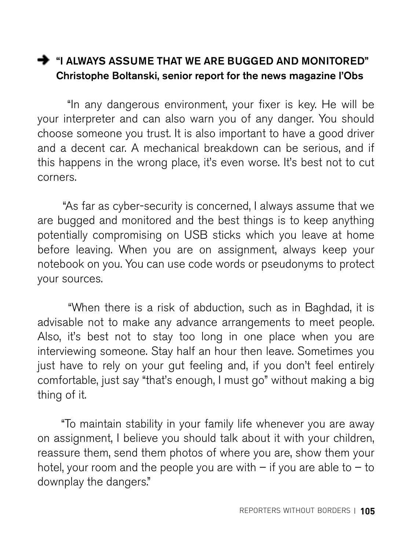# **THE MUST ASSUME THAT WE ARE BUGGED AND MONITORED"** Christophe Boltanski, senior report for the news magazine l'Obs

 "In any dangerous environment, your fixer is key. He will be your interpreter and can also warn you of any danger. You should choose someone you trust. It is also important to have a good driver and a decent car. A mechanical breakdown can be serious, and if this happens in the wrong place, it's even worse. It's best not to cut corners.

 "As far as cyber-security is concerned, I always assume that we are bugged and monitored and the best things is to keep anything potentially compromising on USB sticks which you leave at home before leaving. When you are on assignment, always keep your notebook on you. You can use code words or pseudonyms to protect your sources.

 "When there is a risk of abduction, such as in Baghdad, it is advisable not to make any advance arrangements to meet people. Also, it's best not to stay too long in one place when you are interviewing someone. Stay half an hour then leave. Sometimes you just have to rely on your gut feeling and, if you don't feel entirely comfortable, just say "that's enough, I must go" without making a big thing of it.

 "To maintain stability in your family life whenever you are away on assignment, I believe you should talk about it with your children, reassure them, send them photos of where you are, show them your hotel, your room and the people you are with  $-$  if you are able to  $-$  to downplay the dangers."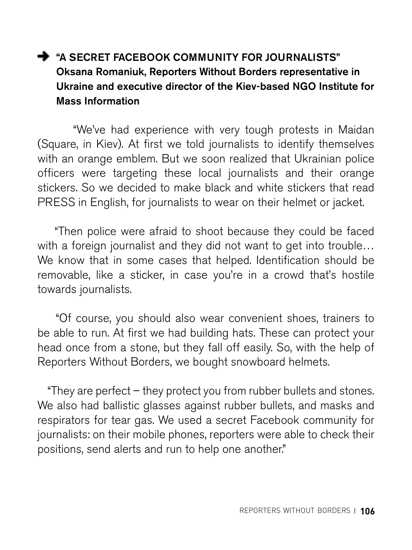# A "A SECRET FACEBOOK COMMUNITY FOR JOURNALISTS" Oksana Romaniuk, Reporters Without Borders representative in Ukraine and executive director of the Kiev-based NGO Institute for Mass Information

 "We've had experience with very tough protests in Maidan (Square, in Kiev). At first we told journalists to identify themselves with an orange emblem. But we soon realized that Ukrainian police officers were targeting these local journalists and their orange stickers. So we decided to make black and white stickers that read PRESS in English, for journalists to wear on their helmet or jacket.

 "Then police were afraid to shoot because they could be faced with a foreign journalist and they did not want to get into trouble... We know that in some cases that helped. Identification should be removable, like a sticker, in case you're in a crowd that's hostile towards journalists.

 "Of course, you should also wear convenient shoes, trainers to be able to run. At first we had building hats. These can protect your head once from a stone, but they fall off easily. So, with the help of Reporters Without Borders, we bought snowboard helmets.

 "They are perfect – they protect you from rubber bullets and stones. We also had ballistic glasses against rubber bullets, and masks and respirators for tear gas. We used a secret Facebook community for journalists: on their mobile phones, reporters were able to check their positions, send alerts and run to help one another."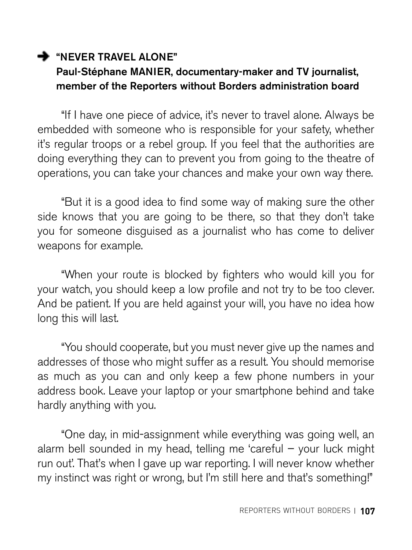## **WEVER TRAVEL ALONE"** Paul-Stéphane MANIER, documentary-maker and TV journalist, member of the Reporters without Borders administration board

"If I have one piece of advice, it's never to travel alone. Always be embedded with someone who is responsible for your safety, whether it's regular troops or a rebel group. If you feel that the authorities are doing everything they can to prevent you from going to the theatre of operations, you can take your chances and make your own way there.

"But it is a good idea to find some way of making sure the other side knows that you are going to be there, so that they don't take you for someone disguised as a journalist who has come to deliver weapons for example.

"When your route is blocked by fighters who would kill you for your watch, you should keep a low profile and not try to be too clever. And be patient. If you are held against your will, you have no idea how long this will last.

"You should cooperate, but you must never give up the names and addresses of those who might suffer as a result. You should memorise as much as you can and only keep a few phone numbers in your address book. Leave your laptop or your smartphone behind and take hardly anything with you.

"One day, in mid-assignment while everything was going well, an alarm bell sounded in my head, telling me 'careful – your luck might run out'. That's when I gave up war reporting. I will never know whether my instinct was right or wrong, but I'm still here and that's something!"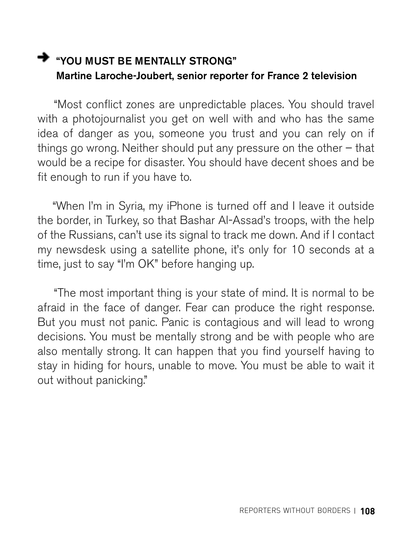# **WAG WARE AT A THE MENTALLY STRONG**" Martine Laroche-Joubert, senior reporter for France 2 television

 "Most conflict zones are unpredictable places. You should travel with a photojournalist you get on well with and who has the same idea of danger as you, someone you trust and you can rely on if things go wrong. Neither should put any pressure on the other – that would be a recipe for disaster. You should have decent shoes and be fit enough to run if you have to.

 "When I'm in Syria, my iPhone is turned off and I leave it outside the border, in Turkey, so that Bashar Al-Assad's troops, with the help of the Russians, can't use its signal to track me down. And if I contact my newsdesk using a satellite phone, it's only for 10 seconds at a time, just to say "I'm OK" before hanging up.

 "The most important thing is your state of mind. It is normal to be afraid in the face of danger. Fear can produce the right response. But you must not panic. Panic is contagious and will lead to wrong decisions. You must be mentally strong and be with people who are also mentally strong. It can happen that you find yourself having to stay in hiding for hours, unable to move. You must be able to wait it out without panicking."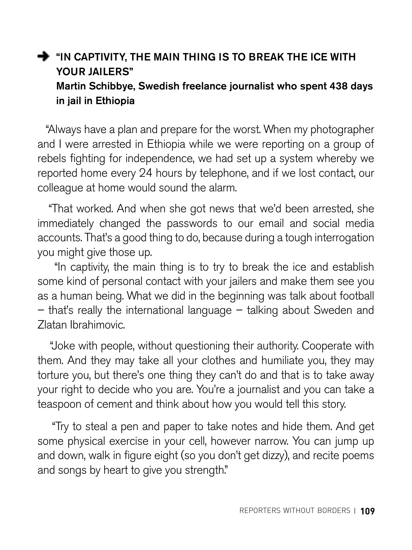#### $\rightarrow$  "IN CAPTIVITY, THE MAIN THING IS TO BREAK THE ICE WITH YOUR JAILERS" Martin Schibbye, Swedish freelance journalist who spent 438 days in jail in Ethiopia

 "Always have a plan and prepare for the worst. When my photographer and I were arrested in Ethiopia while we were reporting on a group of rebels fighting for independence, we had set up a system whereby we reported home every 24 hours by telephone, and if we lost contact, our colleague at home would sound the alarm.

 "That worked. And when she got news that we'd been arrested, she immediately changed the passwords to our email and social media accounts. That's a good thing to do, because during a tough interrogation you might give those up.

 "In captivity, the main thing is to try to break the ice and establish some kind of personal contact with your jailers and make them see you as a human being. What we did in the beginning was talk about football – that's really the international language – talking about Sweden and Zlatan Ibrahimovic.

 "Joke with people, without questioning their authority. Cooperate with them. And they may take all your clothes and humiliate you, they may torture you, but there's one thing they can't do and that is to take away your right to decide who you are. You're a journalist and you can take a teaspoon of cement and think about how you would tell this story.

 "Try to steal a pen and paper to take notes and hide them. And get some physical exercise in your cell, however narrow. You can jump up and down, walk in figure eight (so you don't get dizzy), and recite poems and songs by heart to give you strength."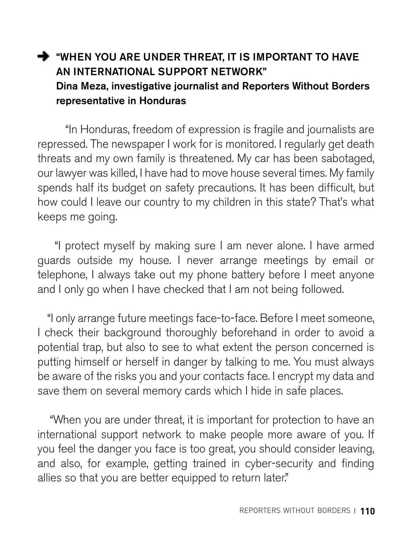#### WHEN YOU ARE UNDER THREAT. IT IS IMPORTANT TO HAVE AN INTERNATIONAL SUPPORT NETWORK" Dina Meza, investigative journalist and Reporters Without Borders representative in Honduras

 "In Honduras, freedom of expression is fragile and journalists are repressed. The newspaper I work for is monitored. I regularly get death threats and my own family is threatened. My car has been sabotaged, our lawyer was killed, I have had to move house several times. My family spends half its budget on safety precautions. It has been difficult, but how could I leave our country to my children in this state? That's what keeps me going.

 "I protect myself by making sure I am never alone. I have armed guards outside my house. I never arrange meetings by email or telephone, I always take out my phone battery before I meet anyone and I only go when I have checked that I am not being followed.

 "I only arrange future meetings face-to-face. Before I meet someone, I check their background thoroughly beforehand in order to avoid a potential trap, but also to see to what extent the person concerned is putting himself or herself in danger by talking to me. You must always be aware of the risks you and your contacts face. I encrypt my data and save them on several memory cards which I hide in safe places.

 "When you are under threat, it is important for protection to have an international support network to make people more aware of you. If you feel the danger you face is too great, you should consider leaving, and also, for example, getting trained in cyber-security and finding allies so that you are better equipped to return later."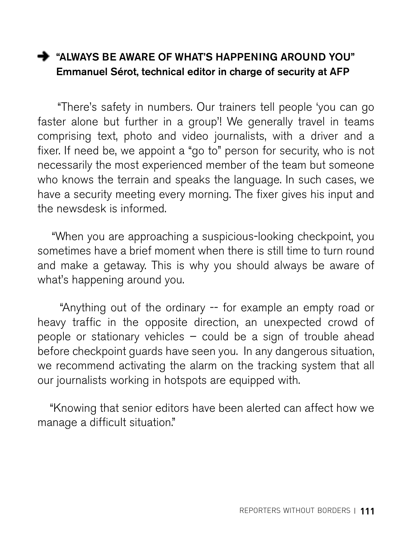#### "ALWAYS BE AWARE OF WHAT'S HAPPENING AROUND YOU" Emmanuel Sérot, technical editor in charge of security at AFP

 "There's safety in numbers. Our trainers tell people 'you can go faster alone but further in a group'! We generally travel in teams comprising text, photo and video journalists, with a driver and a fixer. If need be, we appoint a "go to" person for security, who is not necessarily the most experienced member of the team but someone who knows the terrain and speaks the language. In such cases, we have a security meeting every morning. The fixer gives his input and the newsdesk is informed.

 "When you are approaching a suspicious-looking checkpoint, you sometimes have a brief moment when there is still time to turn round and make a getaway. This is why you should always be aware of what's happening around you.

 "Anything out of the ordinary -- for example an empty road or heavy traffic in the opposite direction, an unexpected crowd of people or stationary vehicles – could be a sign of trouble ahead before checkpoint guards have seen you. In any dangerous situation, we recommend activating the alarm on the tracking system that all our journalists working in hotspots are equipped with.

 "Knowing that senior editors have been alerted can affect how we manage a difficult situation."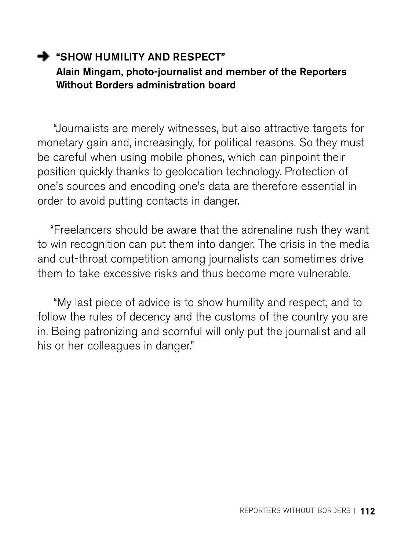#### SHOW HUMILITY AND RESPECT" Alain Mingam, photo-journalist and member of the Reporters Without Borders administration board

 "Journalists are merely witnesses, but also attractive targets for monetary gain and, increasingly, for political reasons. So they must be careful when using mobile phones, which can pinpoint their position quickly thanks to geolocation technology. Protection of one's sources and encoding one's data are therefore essential in order to avoid putting contacts in danger.

 "Freelancers should be aware that the adrenaline rush they want to win recognition can put them into danger. The crisis in the media and cut-throat competition among journalists can sometimes drive them to take excessive risks and thus become more vulnerable.

 "My last piece of advice is to show humility and respect, and to follow the rules of decency and the customs of the country you are in. Being patronizing and scornful will only put the journalist and all his or her colleagues in danger."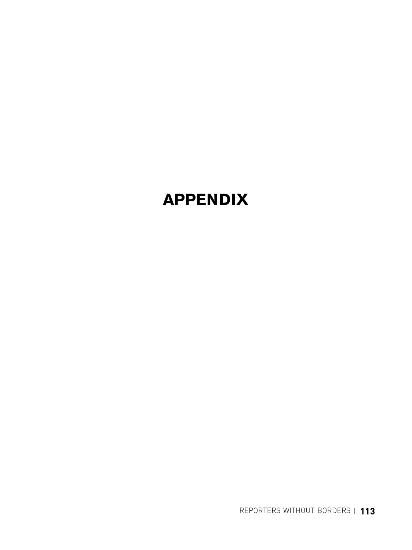# **APPENDIX**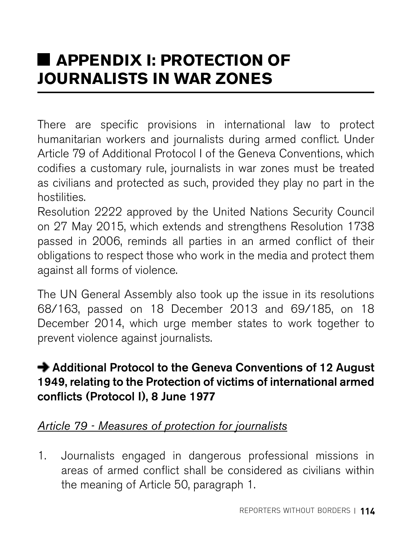# **APPENDIX I: PROTECTION OF JOURNALISTS IN WAR ZONES**

There are specific provisions in international law to protect humanitarian workers and journalists during armed conflict. Under Article 79 of Additional Protocol I of the Geneva Conventions, which codifies a customary rule, journalists in war zones must be treated as civilians and protected as such, provided they play no part in the hostilities.

Resolution 2222 approved by the United Nations Security Council on 27 May 2015, which extends and strengthens Resolution 1738 passed in 2006, reminds all parties in an armed conflict of their obligations to respect those who work in the media and protect them against all forms of violence.

The UN General Assembly also took up the issue in its resolutions 68/163, passed on 18 December 2013 and 69/185, on 18 December 2014, which urge member states to work together to prevent violence against journalists.

#### **→** Additional Protocol to the Geneva Conventions of 12 August 1949, relating to the Protection of victims of international armed conflicts (Protocol I), 8 June 1977

#### *Article 79 - Measures of protection for journalists*

1. Journalists engaged in dangerous professional missions in areas of armed conflict shall be considered as civilians within the meaning of Article 50, paragraph 1.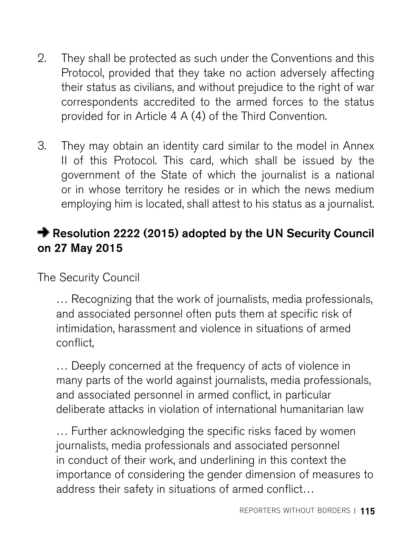- 2. They shall be protected as such under the Conventions and this Protocol, provided that they take no action adversely affecting their status as civilians, and without prejudice to the right of war correspondents accredited to the armed forces to the status provided for in Article 4 A (4) of the Third Convention.
- 3. They may obtain an identity card similar to the model in Annex II of this Protocol. This card, which shall be issued by the government of the State of which the journalist is a national or in whose territory he resides or in which the news medium employing him is located, shall attest to his status as a journalist.

#### **→ [Resolution 2222 \(2015\)](http://www.un.org/fr/documents/view_doc.asp?symbol=S/RES/2222%282015%29&TYPE=&referer=/fr/&Lang=E) adopted by the UN Security Council** on 27 May 2015

The Security Council

… Recognizing that the work of journalists, media professionals, and associated personnel often puts them at specific risk of intimidation, harassment and violence in situations of armed conflict,

… Deeply concerned at the frequency of acts of violence in many parts of the world against journalists, media professionals, and associated personnel in armed conflict, in particular deliberate attacks in violation of international humanitarian law

… Further acknowledging the specific risks faced by women journalists, media professionals and associated personnel in conduct of their work, and underlining in this context the importance of considering the gender dimension of measures to address their safety in situations of armed conflict…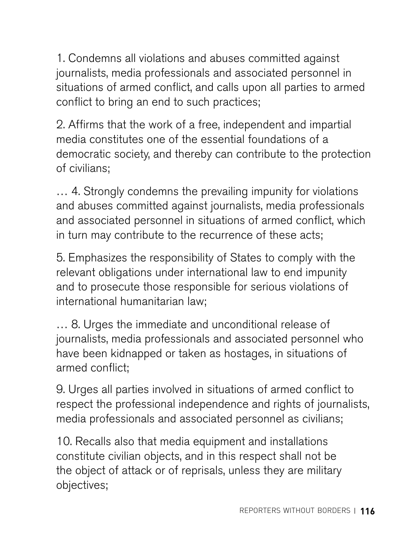1. Condemns all violations and abuses committed against journalists, media professionals and associated personnel in situations of armed conflict, and calls upon all parties to armed conflict to bring an end to such practices;

2. Affirms that the work of a free, independent and impartial media constitutes one of the essential foundations of a democratic society, and thereby can contribute to the protection of civilians;

… 4. Strongly condemns the prevailing impunity for violations and abuses committed against journalists, media professionals and associated personnel in situations of armed conflict, which in turn may contribute to the recurrence of these acts;

5. Emphasizes the responsibility of States to comply with the relevant obligations under international law to end impunity and to prosecute those responsible for serious violations of international humanitarian law;

… 8. Urges the immediate and unconditional release of journalists, media professionals and associated personnel who have been kidnapped or taken as hostages, in situations of armed conflict;

9. Urges all parties involved in situations of armed conflict to respect the professional independence and rights of journalists, media professionals and associated personnel as civilians;

10. Recalls also that media equipment and installations constitute civilian objects, and in this respect shall not be the object of attack or of reprisals, unless they are military objectives;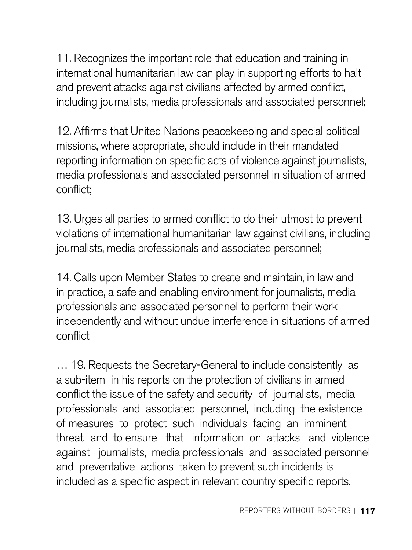11. Recognizes the important role that education and training in international humanitarian law can play in supporting efforts to halt and prevent attacks against civilians affected by armed conflict, including journalists, media professionals and associated personnel;

12. Affirms that United Nations peacekeeping and special political missions, where appropriate, should include in their mandated reporting information on specific acts of violence against journalists, media professionals and associated personnel in situation of armed conflict;

13. Urges all parties to armed conflict to do their utmost to prevent violations of international humanitarian law against civilians, including journalists, media professionals and associated personnel;

14. Calls upon Member States to create and maintain, in law and in practice, a safe and enabling environment for journalists, media professionals and associated personnel to perform their work independently and without undue interference in situations of armed conflict

… 19. Requests the Secretary-General to include consistently as a sub-item in his reports on the protection of civilians in armed conflict the issue of the safety and security of journalists, media professionals and associated personnel, including the existence of measures to protect such individuals facing an imminent threat, and to ensure that information on attacks and violence against journalists, media professionals and associated personnel and preventative actions taken to prevent such incidents is included as a specific aspect in relevant country specific reports.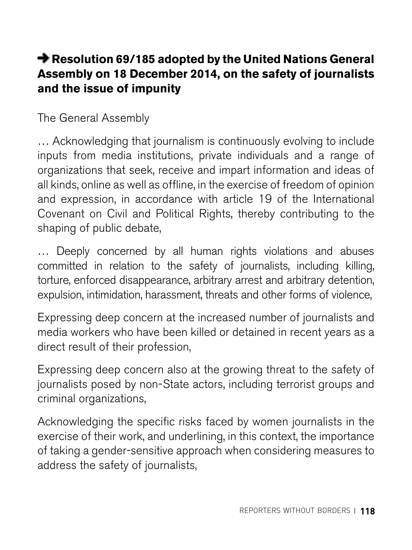#### **[Resolution 69/185](http://www.un.org/fr/documents/view_doc.asp?symbol=A/RES/69/185&TYPE=&referer=/fr/&Lang=E) adopted by the United Nations General Assembly on 18 December 2014, on the safety of journalists and the issue of impunity**

The General Assembly

… Acknowledging that journalism is continuously evolving to include inputs from media institutions, private individuals and a range of organizations that seek, receive and impart information and ideas of all kinds, online as well as offline, in the exercise of freedom of opinion and expression, in accordance with article 19 of the International Covenant on Civil and Political Rights, thereby contributing to the shaping of public debate,

… Deeply concerned by all human rights violations and abuses committed in relation to the safety of journalists, including killing, torture, enforced disappearance, arbitrary arrest and arbitrary detention, expulsion, intimidation, harassment, threats and other forms of violence,

Expressing deep concern at the increased number of journalists and media workers who have been killed or detained in recent years as a direct result of their profession,

Expressing deep concern also at the growing threat to the safety of journalists posed by non-State actors, including terrorist groups and criminal organizations,

Acknowledging the specific risks faced by women journalists in the exercise of their work, and underlining, in this context, the importance of taking a gender-sensitive approach when considering measures to address the safety of journalists,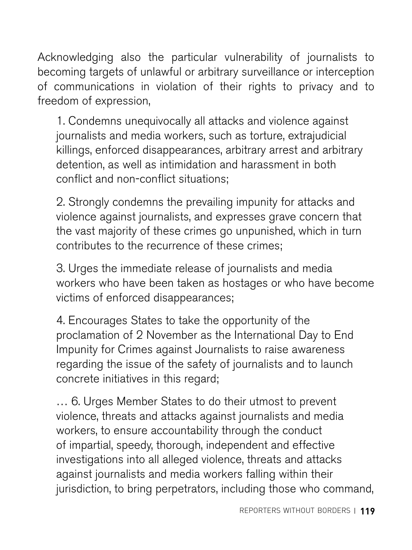Acknowledging also the particular vulnerability of journalists to becoming targets of unlawful or arbitrary surveillance or interception of communications in violation of their rights to privacy and to freedom of expression,

1. Condemns unequivocally all attacks and violence against journalists and media workers, such as torture, extrajudicial killings, enforced disappearances, arbitrary arrest and arbitrary detention, as well as intimidation and harassment in both conflict and non-conflict situations;

2. Strongly condemns the prevailing impunity for attacks and violence against journalists, and expresses grave concern that the vast majority of these crimes go unpunished, which in turn contributes to the recurrence of these crimes;

3. Urges the immediate release of journalists and media workers who have been taken as hostages or who have become victims of enforced disappearances;

4. Encourages States to take the opportunity of the proclamation of 2 November as the International Day to End Impunity for Crimes against Journalists to raise awareness regarding the issue of the safety of journalists and to launch concrete initiatives in this regard;

... 6. Urges Member States to do their utmost to prevent violence, threats and attacks against journalists and media workers, to ensure accountability through the conduct of impartial, speedy, thorough, independent and effective investigations into all alleged violence, threats and attacks against journalists and media workers falling within their jurisdiction, to bring perpetrators, including those who command,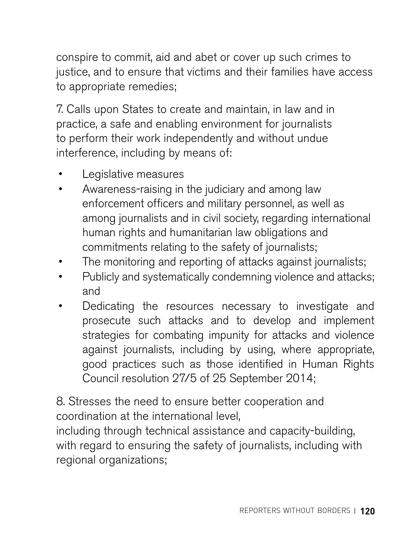conspire to commit, aid and abet or cover up such crimes to justice, and to ensure that victims and their families have access to appropriate remedies;

7. Calls upon States to create and maintain, in law and in practice, a safe and enabling environment for journalists to perform their work independently and without undue interference, including by means of:

- Legislative measures
- Awareness-raising in the judiciary and among law enforcement officers and military personnel, as well as among journalists and in civil society, regarding international human rights and humanitarian law obligations and commitments relating to the safety of journalists;
- The monitoring and reporting of attacks against journalists;
- Publicly and systematically condemning violence and attacks; and
- Dedicating the resources necessary to investigate and prosecute such attacks and to develop and implement strategies for combating impunity for attacks and violence against journalists, including by using, where appropriate, good practices such as those identified in Human Rights Council resolution 27/5 of 25 September 2014;

8. Stresses the need to ensure better cooperation and coordination at the international level,

including through technical assistance and capacity-building, with regard to ensuring the safety of journalists, including with regional organizations;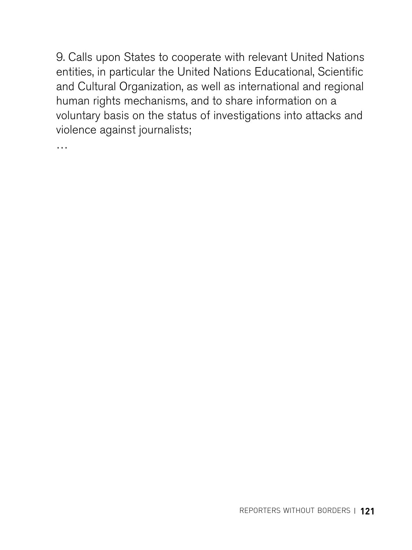9. Calls upon States to cooperate with relevant United Nations entities, in particular the United Nations Educational, Scientific and Cultural Organization, as well as international and regional human rights mechanisms, and to share information on a voluntary basis on the status of investigations into attacks and violence against journalists;

…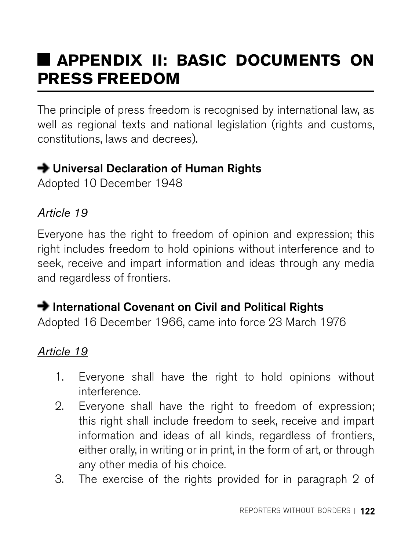# **APPENDIX II: BASIC DOCUMENTS ON PRESS FREEDOM**

The principle of press freedom is recognised by international law, as well as regional texts and national legislation (rights and customs, constitutions, laws and decrees).

### **→ Universal Declaration of Human Rights**

Adopted 10 December 1948

#### *Article 19*

Everyone has the right to freedom of opinion and expression; this right includes freedom to hold opinions without interference and to seek, receive and impart information and ideas through any media and regardless of frontiers.

#### $\rightarrow$  International Covenant on Civil and Political Rights

Adopted 16 December 1966, came into force 23 March 1976

#### *Article 19*

- 1. Everyone shall have the right to hold opinions without interference.
- 2. Everyone shall have the right to freedom of expression; this right shall include freedom to seek, receive and impart information and ideas of all kinds, regardless of frontiers, either orally, in writing or in print, in the form of art, or through any other media of his choice.
- 3. The exercise of the rights provided for in paragraph 2 of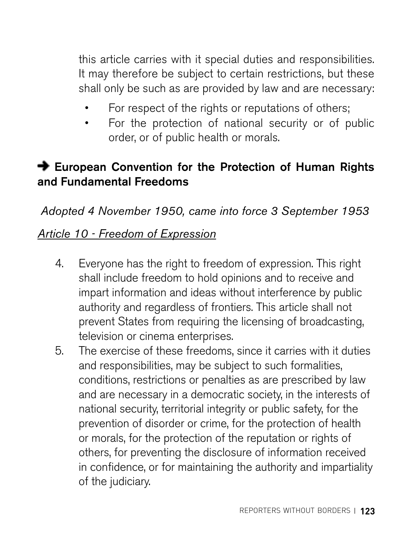this article carries with it special duties and responsibilities. It may therefore be subject to certain restrictions, but these shall only be such as are provided by law and are necessary:

- For respect of the rights or reputations of others;
- For the protection of national security or of public order, or of public health or morals.

### $\rightarrow$  European Convention for the Protection of Human Rights and Fundamental Freedoms

*Adopted 4 November 1950, came into force 3 September 1953* 

#### *Article 10 - Freedom of Expression*

- 4. Everyone has the right to freedom of expression. This right shall include freedom to hold opinions and to receive and impart information and ideas without interference by public authority and regardless of frontiers. This article shall not prevent States from requiring the licensing of broadcasting, television or cinema enterprises.
- 5. The exercise of these freedoms, since it carries with it duties and responsibilities, may be subject to such formalities, conditions, restrictions or penalties as are prescribed by law and are necessary in a democratic society, in the interests of national security, territorial integrity or public safety, for the prevention of disorder or crime, for the protection of health or morals, for the protection of the reputation or rights of others, for preventing the disclosure of information received in confidence, or for maintaining the authority and impartiality of the judiciary.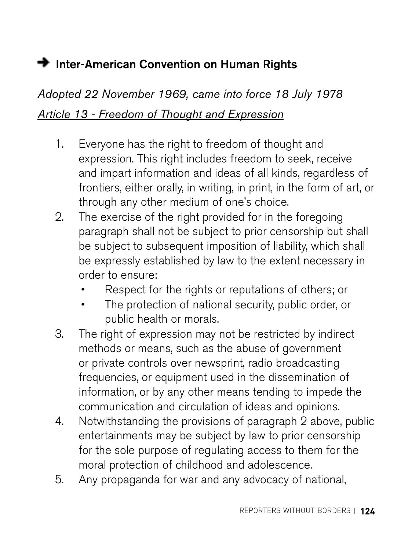## **→** Inter-American Convention on Human Rights

# *Adopted 22 November 1969, came into force 18 July 1978 Article 13 - Freedom of Thought and Expression*

- 1. Everyone has the right to freedom of thought and expression. This right includes freedom to seek, receive and impart information and ideas of all kinds, regardless of frontiers, either orally, in writing, in print, in the form of art, or through any other medium of one's choice.
- 2. The exercise of the right provided for in the foregoing paragraph shall not be subject to prior censorship but shall be subject to subsequent imposition of liability, which shall be expressly established by law to the extent necessary in order to ensure:
	- Respect for the rights or reputations of others; or
	- The protection of national security, public order, or public health or morals.
- 3. The right of expression may not be restricted by indirect methods or means, such as the abuse of government or private controls over newsprint, radio broadcasting frequencies, or equipment used in the dissemination of information, or by any other means tending to impede the communication and circulation of ideas and opinions.
- 4. Notwithstanding the provisions of paragraph 2 above, public entertainments may be subject by law to prior censorship for the sole purpose of regulating access to them for the moral protection of childhood and adolescence.
- 5. Any propaganda for war and any advocacy of national,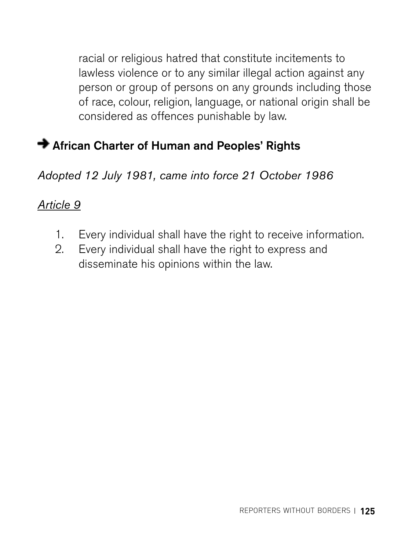racial or religious hatred that constitute incitements to lawless violence or to any similar illegal action against any person or group of persons on any grounds including those of race, colour, religion, language, or national origin shall be considered as offences punishable by law.

#### African Charter of Human and Peoples' Rights

*Adopted 12 July 1981, came into force 21 October 1986* 

#### *Article 9*

- 1. Every individual shall have the right to receive information.
- 2. Every individual shall have the right to express and disseminate his opinions within the law.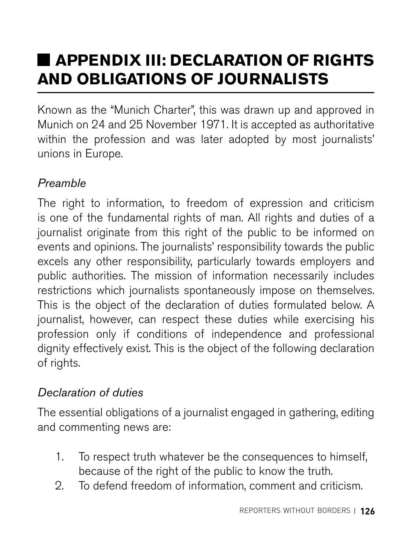# **APPENDIX III: DECLARATION OF RIGHTS AND OBLIGATIONS OF JOURNALISTS**

Known as the "Munich Charter", this was drawn up and approved in Munich on 24 and 25 November 1971. It is accepted as authoritative within the profession and was later adopted by most journalists' unions in Europe.

### *Preamble*

The right to information, to freedom of expression and criticism is one of the fundamental rights of man. All rights and duties of a journalist originate from this right of the public to be informed on events and opinions. The journalists' responsibility towards the public excels any other responsibility, particularly towards employers and public authorities. The mission of information necessarily includes restrictions which journalists spontaneously impose on themselves. This is the object of the declaration of duties formulated below. A journalist, however, can respect these duties while exercising his profession only if conditions of independence and professional dignity effectively exist. This is the object of the following declaration of rights.

#### *Declaration of duties*

The essential obligations of a journalist engaged in gathering, editing and commenting news are:

- 1. To respect truth whatever be the consequences to himself, because of the right of the public to know the truth.
- 2. To defend freedom of information, comment and criticism.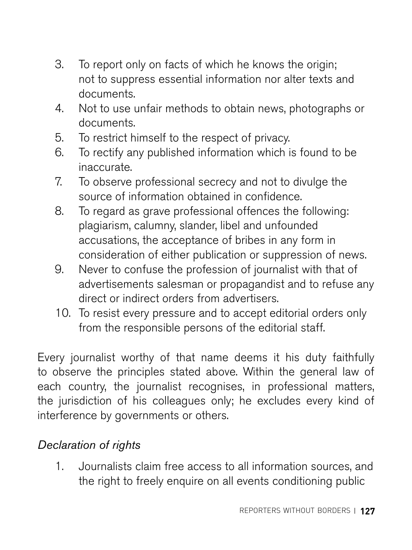- 3. To report only on facts of which he knows the origin; not to suppress essential information nor alter texts and documents.
- 4. Not to use unfair methods to obtain news, photographs or documents.
- 5. To restrict himself to the respect of privacy.
- 6. To rectify any published information which is found to be inaccurate.
- 7. To observe professional secrecy and not to divulge the source of information obtained in confidence.
- 8. To regard as grave professional offences the following: plagiarism, calumny, slander, libel and unfounded accusations, the acceptance of bribes in any form in consideration of either publication or suppression of news.
- 9. Never to confuse the profession of journalist with that of advertisements salesman or propagandist and to refuse any direct or indirect orders from advertisers.
- 10. To resist every pressure and to accept editorial orders only from the responsible persons of the editorial staff.

Every journalist worthy of that name deems it his duty faithfully to observe the principles stated above. Within the general law of each country, the journalist recognises, in professional matters, the jurisdiction of his colleagues only; he excludes every kind of interference by governments or others.

#### *Declaration of rights*

1. Journalists claim free access to all information sources, and the right to freely enquire on all events conditioning public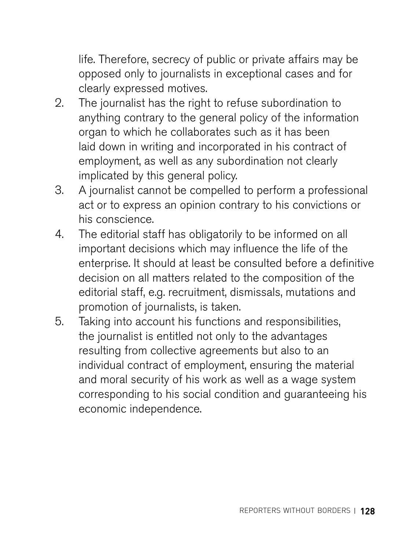life. Therefore, secrecy of public or private affairs may be opposed only to journalists in exceptional cases and for clearly expressed motives.

- 2. The journalist has the right to refuse subordination to anything contrary to the general policy of the information organ to which he collaborates such as it has been laid down in writing and incorporated in his contract of employment, as well as any subordination not clearly implicated by this general policy.
- 3. A journalist cannot be compelled to perform a professional act or to express an opinion contrary to his convictions or his conscience.
- 4. The editorial staff has obligatorily to be informed on all important decisions which may influence the life of the enterprise. It should at least be consulted before a definitive decision on all matters related to the composition of the editorial staff, e.g. recruitment, dismissals, mutations and promotion of journalists, is taken.
- 5. Taking into account his functions and responsibilities, the journalist is entitled not only to the advantages resulting from collective agreements but also to an individual contract of employment, ensuring the material and moral security of his work as well as a wage system corresponding to his social condition and guaranteeing his economic independence.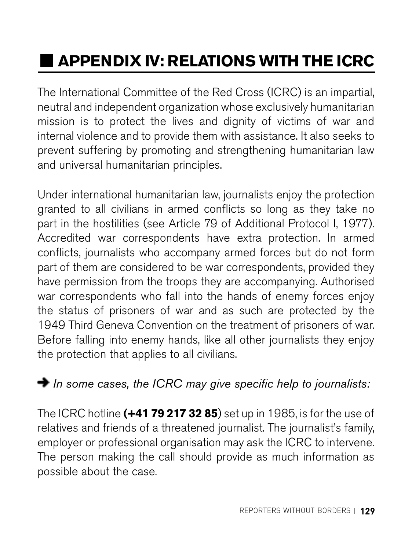# **APPENDIX IV: RELATIONS WITH THE ICRC**

The International Committee of the Red Cross (ICRC) is an impartial, neutral and independent organization whose exclusively humanitarian mission is to protect the lives and dignity of victims of war and internal violence and to provide them with assistance. It also seeks to prevent suffering by promoting and strengthening humanitarian law and universal humanitarian principles.

Under international humanitarian law, journalists enjoy the protection granted to all civilians in armed conflicts so long as they take no part in the hostilities (see Article 79 of Additional Protocol I, 1977). Accredited war correspondents have extra protection. In armed conflicts, journalists who accompany armed forces but do not form part of them are considered to be war correspondents, provided they have permission from the troops they are accompanying. Authorised war correspondents who fall into the hands of enemy forces enjoy the status of prisoners of war and as such are protected by the 1949 Third Geneva Convention on the treatment of prisoners of war. Before falling into enemy hands, like all other journalists they enjoy the protection that applies to all civilians.

### *In some cases, the ICRC may give specific help to journalists:*

The ICRC hotline **(+41 79 217 32 85**) set up in 1985, is for the use of relatives and friends of a threatened journalist. The journalist's family, employer or professional organisation may ask the ICRC to intervene. The person making the call should provide as much information as possible about the case.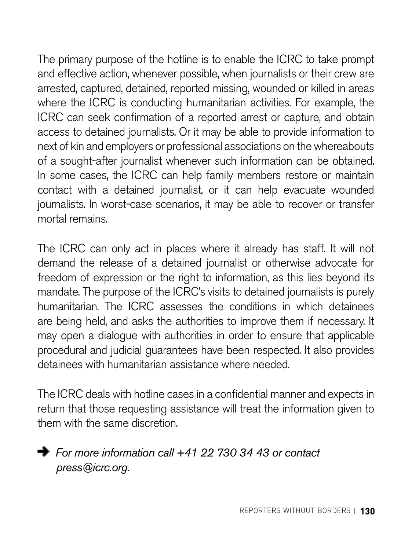The primary purpose of the hotline is to enable the ICRC to take prompt and effective action, whenever possible, when journalists or their crew are arrested, captured, detained, reported missing, wounded or killed in areas where the ICRC is conducting humanitarian activities. For example, the ICRC can seek confirmation of a reported arrest or capture, and obtain access to detained journalists. Or it may be able to provide information to next of kin and employers or professional associations on the whereabouts of a sought-after journalist whenever such information can be obtained. In some cases, the ICRC can help family members restore or maintain contact with a detained journalist, or it can help evacuate wounded journalists. In worst-case scenarios, it may be able to recover or transfer mortal remains.

The ICRC can only act in places where it already has staff. It will not demand the release of a detained journalist or otherwise advocate for freedom of expression or the right to information, as this lies beyond its mandate. The purpose of the ICRC's visits to detained journalists is purely humanitarian. The ICRC assesses the conditions in which detainees are being held, and asks the authorities to improve them if necessary. It may open a dialogue with authorities in order to ensure that applicable procedural and judicial guarantees have been respected. It also provides detainees with humanitarian assistance where needed.

The ICRC deals with hotline cases in a confidential manner and expects in return that those requesting assistance will treat the information given to them with the same discretion.



 *For more information call +41 22 730 34 43 or contact [press@icrc.org](mailto:press@icrc.org).*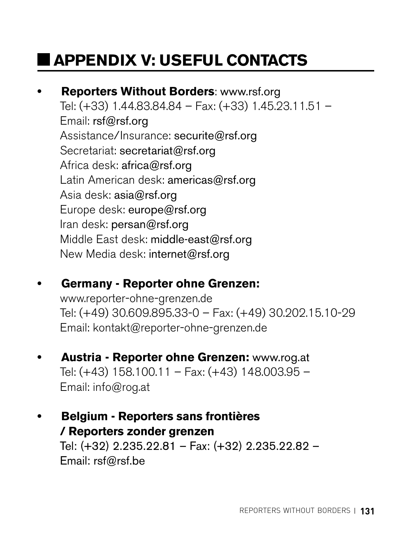# **APPENDIX V: USEFUL CONTACTS**

## **• Reporters Without Borders**: [www.rsf.org](http://www.rsf.org)

Tel: (+33) 1.44.83.84.84 – Fax: (+33) 1.45.23.11.51 – Email: [rsf@rsf.org](mailto:rsf@rsf.org) Assistance/Insurance: [securite@rsf.org](mailto:securite@rsf.org) Secretariat: [secretariat@rsf.org](mailto:secretariat@rsf.org) Africa desk: [africa@rsf.org](mailto:africa@rsf.org) Latin American desk: [americas@rsf.org](mailto:americas@rsf.org) Asia desk: [asia@rsf.org](mailto:asia@rsf.org) Europe desk: [europe@rsf.org](mailto:europe@rsf.org) Iran desk: [persan@rsf.org](mailto:persan@rsf.org) Middle East desk: [middle-east@rsf.org](mailto:middle-east@rsf.org) New Media desk: [internet@rsf.org](mailto:internet@rsf.org)

### **• Germany - Reporter ohne Grenzen:**

[www.reporter-ohne-grenzen.de](http://www.reporter-ohne-grenzen.de)  Tel: (+49) 30.609.895.33-0 – Fax: (+49) 30.202.15.10-29 Email: [kontakt@reporter-ohne-grenzen.de](mailto:kontakt@reporter-ohne-grenzen.de)

**• Austria - Reporter ohne Grenzen:** [www.rog.at](http://www.rog.at) Tel: (+43) 158.100.11 – Fax: (+43) 148.003.95 – Email: [info@rog.at](mailto:info@rog.at)

#### **• Belgium - Reporters sans frontières / Reporters zonder grenzen**  Tel: (+32) 2.235.22.81 – Fax: (+32) 2.235.22.82 – Email: [rsf@rsf.be](mailto:rsf@rsf.be)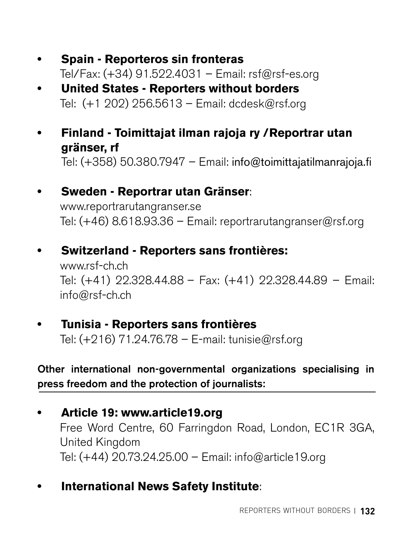- **• Spain Reporteros sin fronteras**  Tel/Fax: (+34) 91.522.4031 – Email: [rsf@rsf-es.org](mailto:rsf@rsf-es.org)
- **• United States Reporters without borders**  Tel: (+1 202) 256.5613 – Email: [dcdesk@rsf.org](mailto:dcdesk@rsf.org)
- **• Finland Toimittajat ilman rajoja ry /Reportrar utan gränser, rf** Tel: (+358) 50.380.7947 – Email: [info@toimittajatilmanrajoja.fi](mailto:info@toimittajatilmanrajoja.fi)
- **• Sweden Reportrar utan Gränser**:

[www.reportrarutangranser.se](http://www.reportrarutangranser.se) Tel: (+46) 8.618.93.36 – Email: [reportrarutangranser@rsf.org](mailto:reportrarutangranser@rsf.org) 

**• Switzerland - Reporters sans frontières:**

[www.rsf-ch.ch](http://www.rsf-ch.ch) Tel: (+41) 22.328.44.88 – Fax: (+41) 22.328.44.89 – Email: [info@rsf-ch.ch](mailto:info@rsf-ch.ch) 

**• Tunisia - Reporters sans frontières** Tel: (+216) 71.24.76.78 – E-mail: [tunisie@rsf.org](mailto:tunisie@rsf.org)

Other international non-governmental organizations specialising in press freedom and the protection of journalists:

- **• Article 19: [www.article19.org](http://www.article19.org)**  Free Word Centre, 60 Farringdon Road, London, EC1R 3GA, United Kingdom Tel: (+44) 20.73.24.25.00 – Email: [info@article19.org](mailto:info@article19.org)
- **• International News Safety Institute**: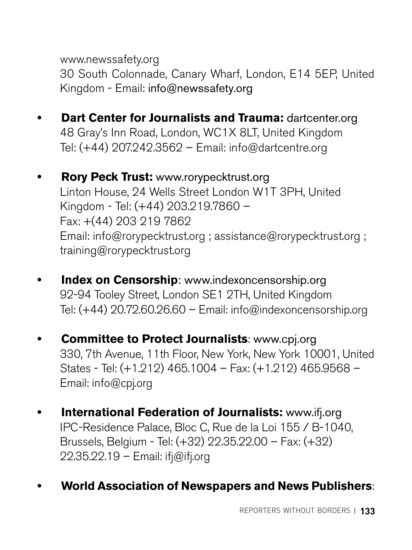[www.newssafety.org](http://www.newssafety.org) 

30 South Colonnade, Canary Wharf, London, E14 5EP, United Kingdom - Email: [info@newssafety.org](mailto:info@newssafety.org)

- **• Dart Center for Journalists and Trauma:** [dartcenter.org](http://dartcenter.org) 48 Gray's Inn Road, London, WC1X 8LT, United Kingdom Tel: (+44) 207.242.3562 – Email: [info@dartcentre.org](mailto:info@dartcentre.org)
- **• Rory Peck Trust:** [www.rorypecktrust.org](http://www.rorypecktrust.org) Linton House, 24 Wells Street London W1T 3PH, United Kingdom - Tel: (+44) 203.219.7860 – Fax: +(44) 203 219 7862 Email: [info@rorypecktrust.org](mailto:info@rorypecktrust.org) ; [assistance@rorypecktrust.org](mailto:assistance@rorypecktrust.org) ; [training@rorypecktrust.org](mailto:training@rorypecktrust.org)
- **• Index on Censorship**: [www.indexoncensorship.org](http://www.indexoncensorship.org) 92-94 Tooley Street, London SE1 2TH, United Kingdom Tel:  $(+44)$  20.72.60.26.60 – Email: [info@indexoncensorship.org](mailto:info@indexoncensorship.org)
- **• Committee to Protect Journalists**: [www.cpj.org](http://www.cpj.org) 330, 7th Avenue, 11th Floor, New York, New York 10001, United States - Tel: (+1.212) 465.1004 – Fax: (+1.212) 465.9568 – Email: [info@cpj.org](mailto:info@cpj.org)
- **• International Federation of Journalists:** [www.ifj.org](http://www.ifj.org) IPC-Residence Palace, Bloc C, Rue de la Loi 155 / B-1040, Brussels, Belgium - Tel: (+32) 22.35.22.00 – Fax: (+32) 22.35.22.19 – Email: [ifj@ifj.org](mailto:ifj@ifj.org)
- **• World Association of Newspapers and News Publishers**: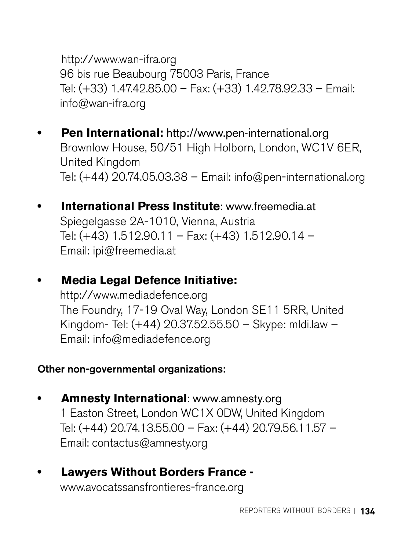<http://www.wan-ifra.org> 96 bis rue Beaubourg 75003 Paris, France Tel: (+33) 1.47.42.85.00 – Fax: (+33) 1.42.78.92.33 – Email: [info@wan-ifra.org](mailto:info@wan-ifra.org) 

- **• Pen International:** <http://www.pen-international.org> Brownlow House, 50/51 High Holborn, London, WC1V 6ER, United Kingdom Tel: (+44) 20.74.05.03.38 – Email: [info@pen-international.org](mailto:info@pen-international.org)
- **• International Press Institute**: [www.freemedia.at](http://www.freemedia.at) Spiegelgasse 2A-1010, Vienna, Austria Tel: (+43) 1.512.90.11 – Fax: (+43) 1.512.90.14 – Email: [ipi@freemedia.at](mailto:ipi@freemedia.at)
- **• Media Legal Defence Initiative:**

<http://www.mediadefence.org> The Foundry, 17-19 Oval Way, London SE11 5RR, United Kingdom- Tel: (+44) 20.37.52.55.50 – Skype: mldi.law – Email: [info@mediadefence.org](mailto:info@mediadefence.org)

#### Other non-governmental organizations:

- **• Amnesty International**: [www.amnesty.org](http://www.amnesty.org) 1 Easton Street, London WC1X 0DW, United Kingdom Tel: (+44) 20.74.13.55.00 – Fax: (+44) 20.79.56.11.57 – Email: [contactus@amnesty.org](mailto:contactus@amnesty.org)
- **• Lawyers Without Borders France**  [www.avocatssansfrontieres-france.org](http://www.avocatssansfrontieres-france.org)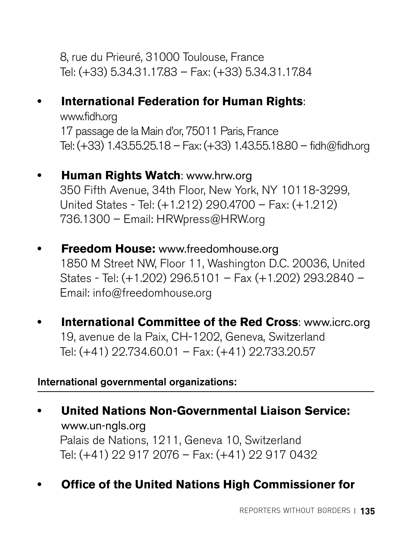8, rue du Prieuré, 31000 Toulouse, France Tel: (+33) 5.34.31.17.83 – Fax: (+33) 5.34.31.17.84

#### **• International Federation for Human Rights**:

[www.fidh.org](http://www.fidh.org) 17 passage de la Main d'or, 75011 Paris, France Tel: (+33) 1.43.55.25.18 – Fax: (+33) 1.43.55.18.80 – [fidh@fidh.org](mailto:fidh@fidh.org)

- **• Human Rights Watch**: [www.hrw.org](http://www.hrw.org) 350 Fifth Avenue, 34th Floor, New York, NY 10118-3299, United States - Tel: (+1.212) 290.4700 – Fax: (+1.212) 736.1300 – Email: [HRWpress@HRW.org](mailto:HRWpress@HRW.org)
- **• Freedom House:** [www.freedomhouse.org](http://www.freedomhouse.org)  1850 M Street NW, Floor 11, Washington D.C. 20036, United States - Tel: (+1.202) 296.5101 – Fax (+1.202) 293.2840 – Email: [info@freedomhouse.org](mailto:info@freedomhouse.org)
- **• International Committee of the Red Cross**: [www.icrc.org](http://www.icrc.org) 19, avenue de la Paix, CH-1202, Geneva, Switzerland Tel: (+41) 22.734.60.01 – Fax: (+41) 22.733.20.57

#### International governmental organizations:

**• United Nations Non-Governmental Liaison Service:**  [www.un-ngls.org](http://www.un-ngls.org) Palais de Nations, 1211, Geneva 10, Switzerland Tel: (+41) 22 917 2076 – Fax: (+41) 22 917 0432

#### **• Office of the United Nations High Commissioner for**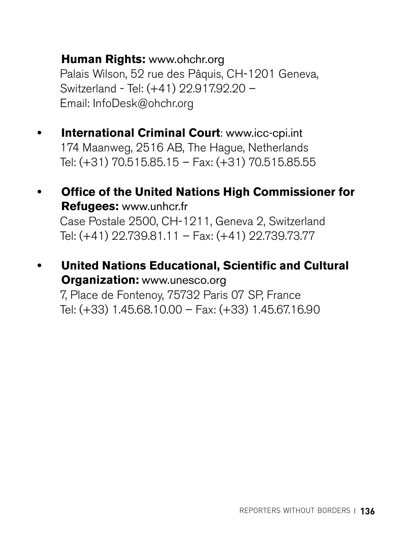#### **Human Rights:** [www.ohchr.org](http://www.ohchr.org)

Palais Wilson, 52 rue des Pâquis, CH-1201 Geneva, Switzerland - Tel: (+41) 22.917.92.20 – Email: [InfoDesk@ohchr.org](mailto:InfoDesk@ohchr.org) 

- **• International Criminal Court**: [www.icc-cpi.int](http://www.icc-cpi.int) 174 Maanweg, 2516 AB, The Hague, Netherlands Tel: (+31) 70.515.85.15 – Fax: (+31) 70.515.85.55
- **• Office of the United Nations High Commissioner for Refugees:** [www.unhcr.fr](http://www.unhcr.fr) Case Postale 2500, CH-1211, Geneva 2, Switzerland Tel: (+41) 22.739.81.11 – Fax: (+41) 22.739.73.77
- **• United Nations Educational, Scientific and Cultural Organization:** [www.unesco.org](http://www.unesco.org) 7, Place de Fontenoy, 75732 Paris 07 SP, France Tel: (+33) 1.45.68.10.00 – Fax: (+33) 1.45.67.16.90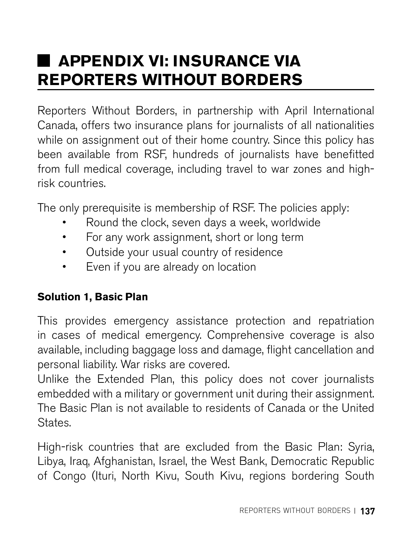# **APPENDIX VI: INSURANCE VIA REPORTERS WITHOUT BORDERS**

Reporters Without Borders, in partnership with April International Canada, offers two insurance plans for journalists of all nationalities while on assignment out of their home country. Since this policy has been available from RSF, hundreds of journalists have benefitted from full medical coverage, including travel to war zones and highrisk countries.

The only prerequisite is membership of RSF. The policies apply:

- Round the clock, seven days a week, worldwide
- For any work assignment, short or long term
- Outside your usual country of residence
- Even if you are already on location

#### **Solution 1, Basic Plan**

This provides emergency assistance protection and repatriation in cases of medical emergency. Comprehensive coverage is also available, including baggage loss and damage, flight cancellation and personal liability. War risks are covered.

Unlike the Extended Plan, this policy does not cover journalists embedded with a military or government unit during their assignment. The Basic Plan is not available to residents of Canada or the United States.

High-risk countries that are excluded from the Basic Plan: Syria, Libya, Iraq, Afghanistan, Israel, the West Bank, Democratic Republic of Congo (Ituri, North Kivu, South Kivu, regions bordering South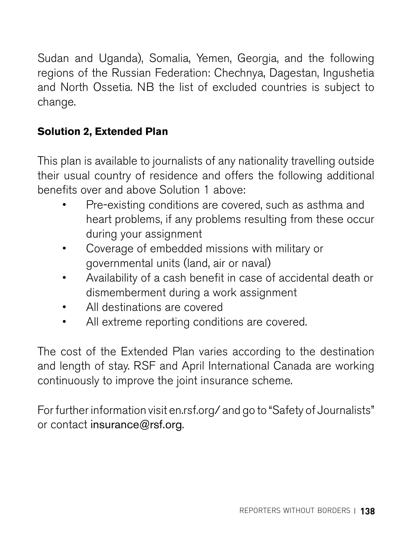Sudan and Uganda), Somalia, Yemen, Georgia, and the following regions of the Russian Federation: Chechnya, Dagestan, Ingushetia and North Ossetia. NB the list of excluded countries is subject to change.

#### **Solution 2, Extended Plan**

This plan is available to journalists of any nationality travelling outside their usual country of residence and offers the following additional benefits over and above Solution 1 above:

- Pre-existing conditions are covered, such as asthma and heart problems, if any problems resulting from these occur during your assignment
- Coverage of embedded missions with military or governmental units (land, air or naval)
- Availability of a cash benefit in case of accidental death or dismemberment during a work assignment
- All destinations are covered
- All extreme reporting conditions are covered.

The cost of the Extended Plan varies according to the destination and length of stay. RSF and April International Canada are working continuously to improve the joint insurance scheme.

For further information visit en.rsf.org/ and go to "Safety of Journalists" or contact [insurance@rsf.org](mailto:insurance@rsf.org).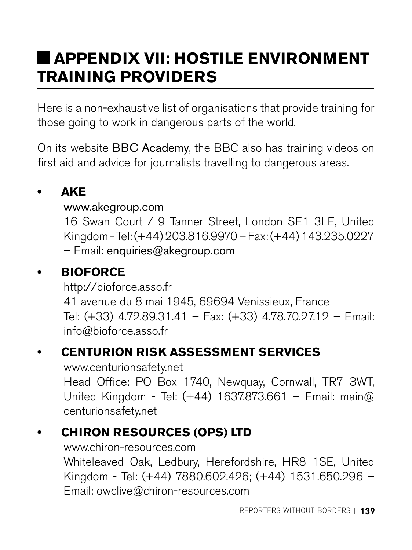# **APPENDIX VII: HOSTILE ENVIRONMENT TRAINING PROVIDERS**

Here is a non-exhaustive list of organisations that provide training for those going to work in dangerous parts of the world.

On its website [BBC Academy](http://www.bbc.co.uk/academy/journalism/safety), the BBC also has training videos on first aid and advice for journalists travelling to dangerous areas.

#### **• AKE**

#### [www.akegroup.com](http://www.akegroup.com)

16 Swan Court / 9 Tanner Street, London SE1 3LE, United Kingdom - Tel: (+44) 203.816.9970 – Fax: (+44) 143.235.0227 – Email: [enquiries@akegroup.com](mailto:enquiries@akegroup.com)

### **• BIOFORCE**

<http://bioforce.asso.fr> 41 avenue du 8 mai 1945, 69694 Venissieux, France Tel: (+33) 4.72.89.31.41 – Fax: (+33) 4.78.70.27.12 – Email: [info@bioforce.asso.fr](mailto:info@bioforce.asso.fr)

### **• CENTURION RISK ASSESSMENT SERVICES**

[www.centurionsafety.net](http://www.centurionsafety.net) Head Office: PO Box 1740, Newquay, Cornwall, TR7 3WT, United Kingdom - Tel: (+44) 1637.873.661 – Email: [main@](mailto:main@centurionsafety.net) [centurionsafety.net](mailto:main@centurionsafety.net) 

### **• CHIRON RESOURCES (OPS) LTD**

[www.chiron-resources.com](http://www.chiron-resources.com/) Whiteleaved Oak, Ledbury, Herefordshire, HR8 1SE, United Kingdom - Tel: (+44) 7880.602.426; (+44) 1531.650.296 – Email: [owclive@chiron-resources.com](mailto:owclive@chiron-resources.com)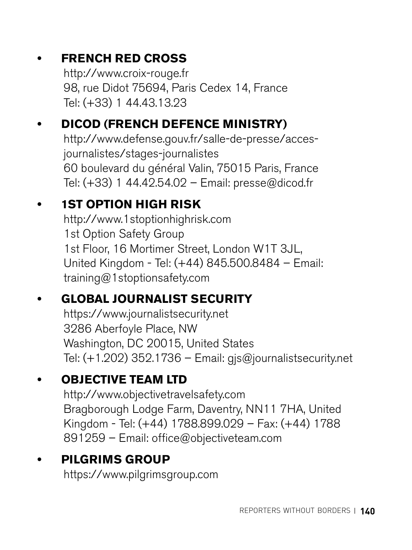## **• FRENCH RED CROSS**

<http://www.croix-rouge.fr> 98, rue Didot 75694, Paris Cedex 14, France Tel: (+33) 1 44.43.13.23

## **• DICOD (FRENCH DEFENCE MINISTRY)**

[http://www.defense.gouv.fr/salle-de-presse/acces](http://www.defense.gouv.fr/salle-de-presse/acces-journalistes/stages-journalistes)[journalistes/stages-journalistes](http://www.defense.gouv.fr/salle-de-presse/acces-journalistes/stages-journalistes)  60 boulevard du général Valin, 75015 Paris, France Tel: (+33) 1 44.42.54.02 – Email: [presse@dicod.fr](mailto:presse@dicod.fr)

## **• 1ST OPTION HIGH RISK**

<http://www.1stoptionhighrisk.com> 1st Option Safety Group 1st Floor, 16 Mortimer Street, London W1T 3JL, United Kingdom - Tel: (+44) 845.500.8484 – Email: [training@1stoptionsafety.com](mailto:training@1stoptionsafety.com) 

### **• GLOBAL JOURNALIST SECURITY**

<https://www.journalistsecurity.net> 3286 Aberfoyle Place, NW Washington, DC 20015, United States Tel: (+1.202) 352.1736 – Email: [gjs@journalistsecurity.net](mailto:gjs@journalistsecurity.net)

### **• OBJECTIVE TEAM LTD**

<http://www.objectivetravelsafety.com> Bragborough Lodge Farm, Daventry, NN11 7HA, United Kingdom - Tel: (+44) 1788.899.029 – Fax: (+44) 1788 891259 – Email: [office@objectiveteam.com](mailto:office@objectiveteam.com) 

### **• PILGRIMS GROUP**

<https://www.pilgrimsgroup.com>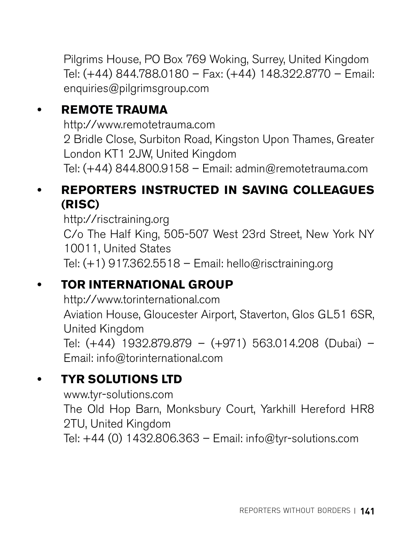Pilgrims House, PO Box 769 Woking, Surrey, United Kingdom Tel: (+44) 844.788.0180 – Fax: (+44) 148.322.8770 – Email: [enquiries@pilgrimsgroup.com](mailto:enquiries@pilgrimsgroup.com)

#### **• REMOTE TRAUMA**

<http://www.remotetrauma.com> 2 Bridle Close, Surbiton Road, Kingston Upon Thames, Greater London KT1 2JW, United Kingdom Tel: (+44) 844.800.9158 – Email: [admin@remotetrauma.com](mailto:admin@remotetrauma.com)

#### **• REPORTERS INSTRUCTED IN SAVING COLLEAGUES (RISC)**

<http://risctraining.org> C/o The Half King, 505-507 West 23rd Street, New York NY 10011, United States Tel:  $(+1)$  917.362.5518 – Email: [hello@risctraining.org](mailto:hello@risctraining.org)

#### **• TOR INTERNATIONAL GROUP**

<http://www.torinternational.com> Aviation House, Gloucester Airport, Staverton, Glos GL51 6SR, United Kingdom Tel: (+44) 1932.879.879 – (+971) 563.014.208 (Dubai) – Email: [info@torinternational.com](mailto:info@torinternational.com) 

### **• TYR SOLUTIONS LTD**

[www.tyr-solutions.com](http://www.tyr-solutions.com) The Old Hop Barn, Monksbury Court, Yarkhill Hereford HR8 2TU, United Kingdom Tel: +44 (0) 1432.806.363 – Email: [info@tyr-solutions.com](mailto:info@tyr-solutions.com)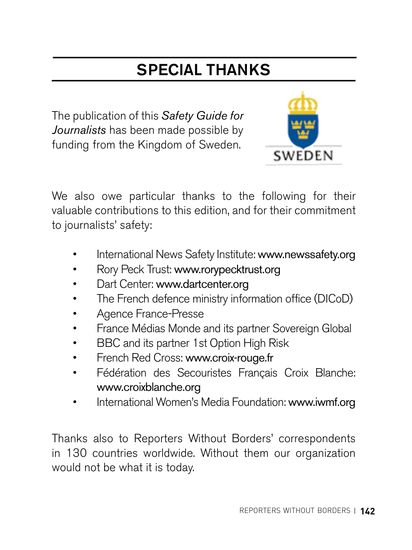# SPECIAL THANKS

The publication of this *Safety Guide for Journalists* has been made possible by funding from the Kingdom of Sweden.



We also owe particular thanks to the following for their valuable contributions to this edition, and for their commitment to journalists' safety:

- International News Safety Institute: [www.newssafety.org](http://www.newssafety.org)
- Rory Peck Trust: [www.rorypecktrust.org](http://www.rorypecktrust.org)
- Dart Center: [www.dartcenter.org](http://www.dartcenter.org)
- The French defence ministry information office (DICoD)
- Agence France-Presse
- France Médias Monde and its partner Sovereign Global
- BBC and its partner 1st Option High Risk
- French Red Cross: [www.croix-rouge.fr](http://www.croix-rouge.fr)
- Fédération des Secouristes Français Croix Blanche: [www.croixblanche.org](http://www.croixblanche.org)
- International Women's Media Foundation: [www.iwmf.org](http://www.iwmf.org)

Thanks also to Reporters Without Borders' correspondents in 130 countries worldwide. Without them our organization would not be what it is today.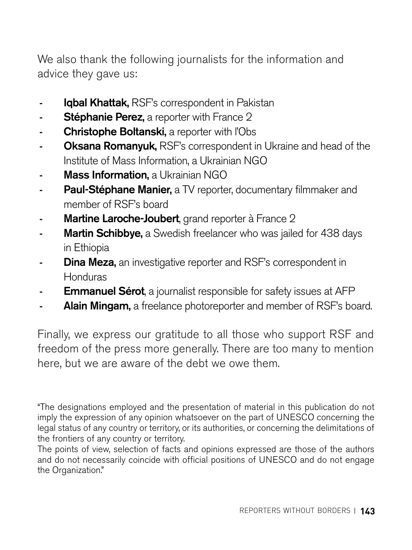We also thank the following journalists for the information and advice they gave us:

- Igbal Khattak, RSF's correspondent in Pakistan
- Stéphanie Perez, a reporter with France 2
- Christophe Boltanski, a reporter with l'Obs
- Oksana Romanyuk, RSF's correspondent in Ukraine and head of the Institute of Mass Information, a Ukrainian NGO
- Mass Information, a Ukrainian NGO
- Paul-Stéphane Manier, a TV reporter, documentary filmmaker and member of RSF's board
- Martine Laroche-Joubert, grand reporter à France 2
- Martin Schibbye, a Swedish freelancer who was jailed for 438 days in Ethiopia
- Dina Meza, an investigative reporter and RSF's correspondent in Honduras
- **Emmanuel Sérot**, a journalist responsible for safety issues at AFP
- Alain Mingam, a freelance photoreporter and member of RSF's board.

Finally, we express our gratitude to all those who support RSF and freedom of the press more generally. There are too many to mention here, but we are aware of the debt we owe them.

"The designations employed and the presentation of material in this publication do not imply the expression of any opinion whatsoever on the part of UNESCO concerning the legal status of any country or territory, or its authorities, or concerning the delimitations of the frontiers of any country or territory.

The points of view, selection of facts and opinions expressed are those of the authors and do not necessarily coincide with official positions of UNESCO and do not engage the Organization."